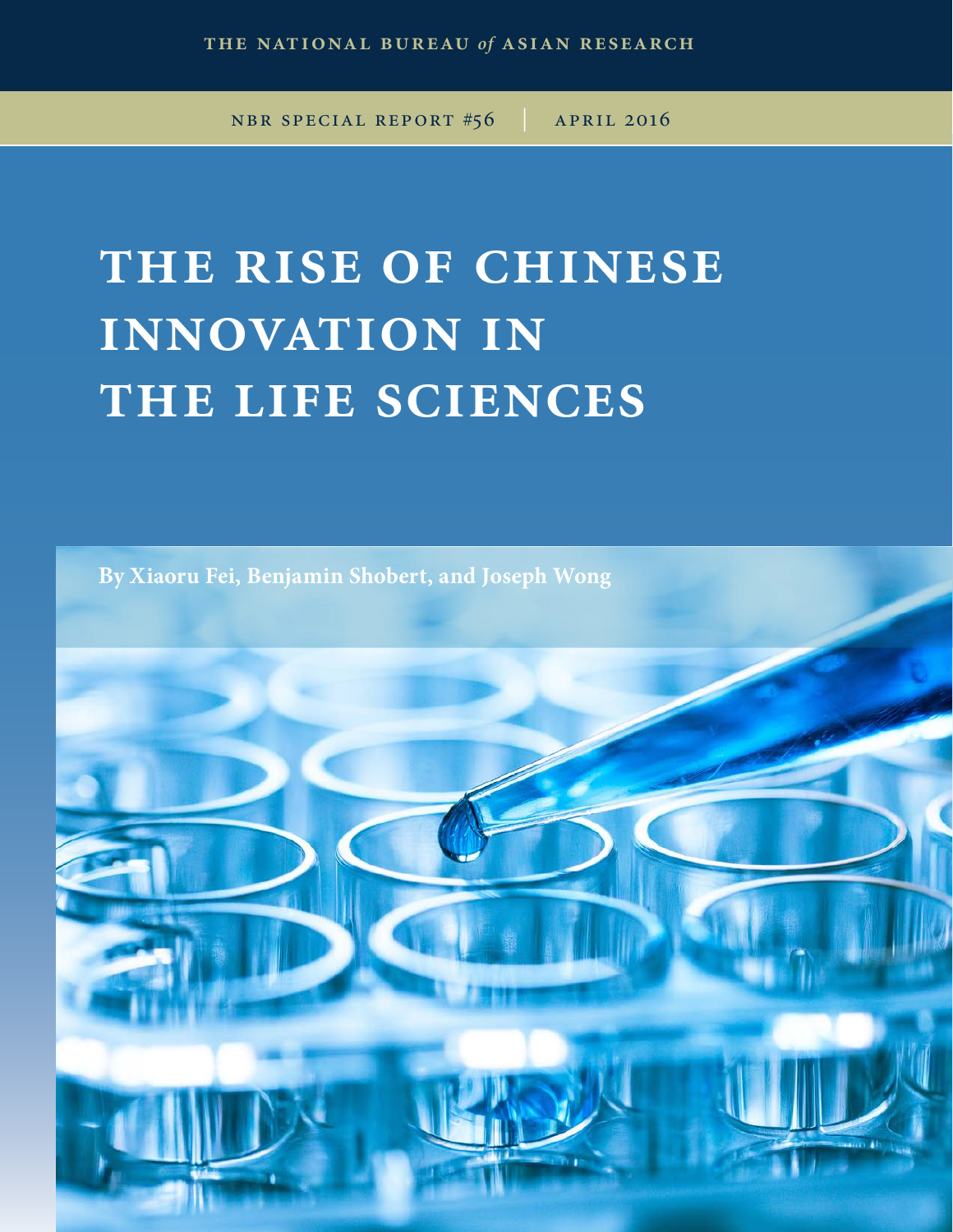nbr special report #56 | april 2016

# **the rise of chinese INNOVATION IN the life sciences**

**By Xiaoru Fei, Benjamin Shobert, and Joseph Wong**

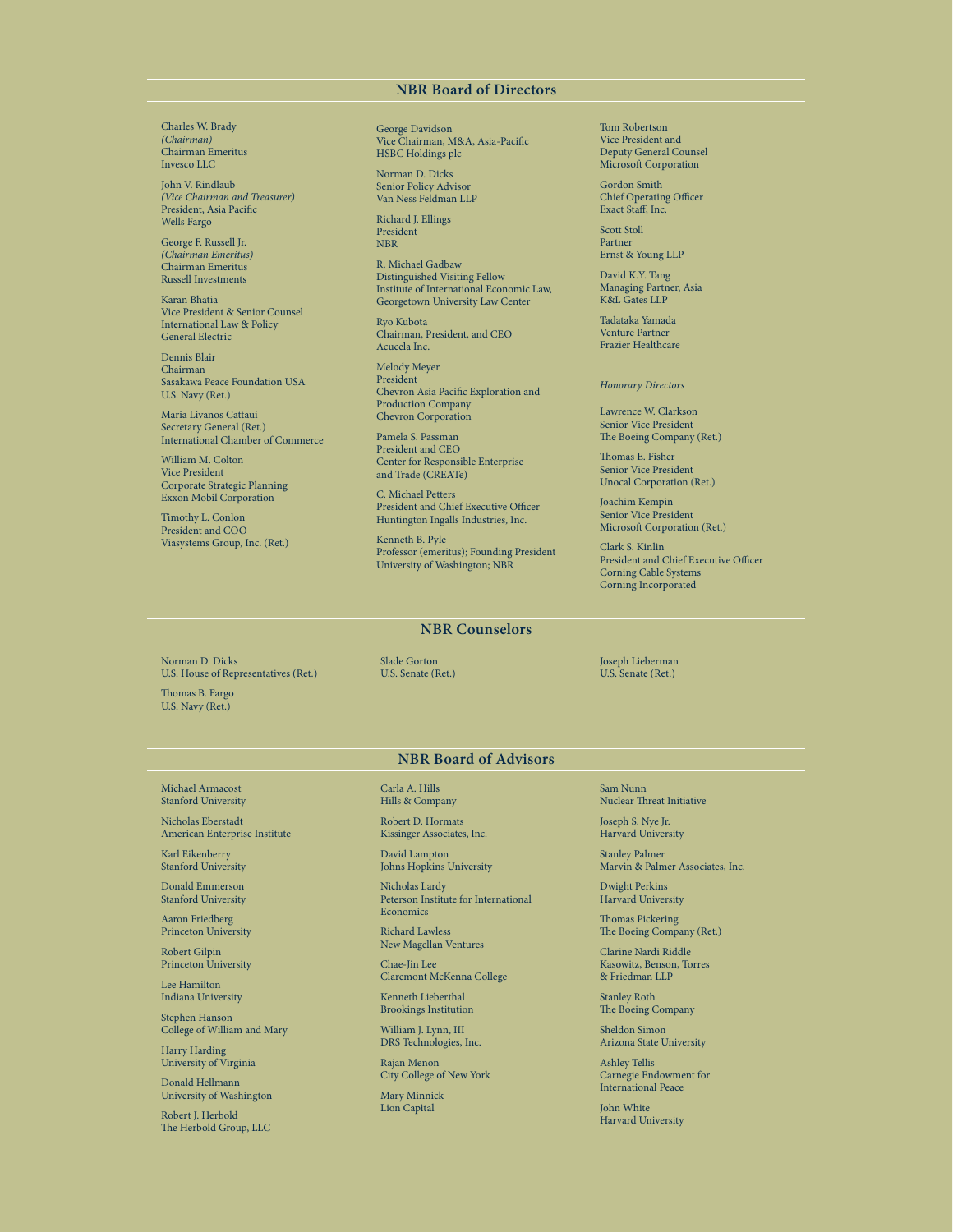#### **NBR Board of Directors**

Charles W. Brady *(Chairman)* Chairman Emeritus Invesco LLC

John V. Rindlaub *(Vice Chairman and Treasurer)* President, Asia Pacific Wells Fargo

George F. Russell Jr. *(Chairman Emeritus)* Chairman Emeritus Russell Investments

Karan Bhatia Vice President & Senior Counsel International Law & Policy General Electric

Dennis Blair Chairman Sasakawa Peace Foundation USA U.S. Navy (Ret.)

Maria Livanos Cattaui Secretary General (Ret.) International Chamber of Commerce

William M. Colton Vice President Corporate Strategic Planning Exxon Mobil Corporation

Timothy L. Conlon President and COO Viasystems Group, Inc. (Ret.) George Davidson Vice Chairman, M&A, Asia-Pacific HSBC Holdings plc

Norman D. Dicks Senior Policy Advisor Van Ness Feldman LLP

Richard J. Ellings President NBR

R. Michael Gadbaw Distinguished Visiting Fellow Institute of International Economic Law, Georgetown University Law Center

Ryo Kubota Chairman, President, and CEO Acucela Inc.

Melody Meyer President Chevron Asia Pacific Exploration and Production Company Chevron Corporation

Pamela S. Passman President and CEO Center for Responsible Enterprise and Trade (CREATe)

C. Michael Petters President and Chief Executive Officer Huntington Ingalls Industries, Inc.

Kenneth B. Pyle Professor (emeritus); Founding President University of Washington; NBR

#### **NBR Counselors**

U.S. Senate (Ret.)

Tom Robertson Vice President and Deputy General Counsel Microsoft Corporation

Gordon Smith Chief Operating Officer Exact Staff, Inc.

Scott Stoll Partner Ernst & Young LLP

David K.Y. Tang Managing Partner, Asia K&L Gates LLP

Tadataka Yamada Venture Partner Frazier Healthcare

#### *Honorary Directors*

Lawrence W. Clarkson Senior Vice President The Boeing Company (Ret.)

Thomas E. Fisher Senior Vice President Unocal Corporation (Ret.)

Joachim Kempin Senior Vice President Microsoft Corporation (Ret.)

Clark S. Kinlin President and Chief Executive Officer Corning Cable Systems Corning Incorporated

Norman D. Dicks U.S. House of Representatives (Ret.)

Thomas B. Fargo U.S. Navy (Ret.)

Michael Armacost Stanford University Nicholas Eberstadt American Enterprise Institute

Karl Eikenberry Stanford University Donald Emmerson Stanford University Aaron Friedberg Princeton University Robert Gilpin Princeton University Lee Hamilton Indiana University Stephen Hanson College of William and Mary

Harry Harding University of Virginia Donald Hellmann University of Washington Robert J. Herbold The Herbold Group, LLC

Slade Gorton

**NBR Board of Advisors**

Carla A. Hills Hills & Company Robert D. Hormats

Kissinger Associates, Inc. David Lampton Johns Hopkins University

Nicholas Lardy Peterson Institute for International Economics

Richard Lawless New Magellan Ventures

Chae-Jin Lee Claremont McKenna College

Kenneth Lieberthal Brookings Institution

William J. Lynn, III DRS Technologies, Inc.

Rajan Menon City College of New York

Mary Minnick Lion Capital

#### Sam Nunn

Joseph Lieberman U.S. Senate (Ret.)

Nuclear Threat Initiative Joseph S. Nye Jr.

Harvard University

Stanley Palmer Marvin & Palmer Associates, Inc.

Dwight Perkins Harvard University

Thomas Pickering The Boeing Company (Ret.)

Clarine Nardi Riddle Kasowitz, Benson, Torres & Friedman LLP

Stanley Roth

The Boeing Company Sheldon Simon

Arizona State University

Ashley Tellis Carnegie Endowment for International Peace

John White Harvard University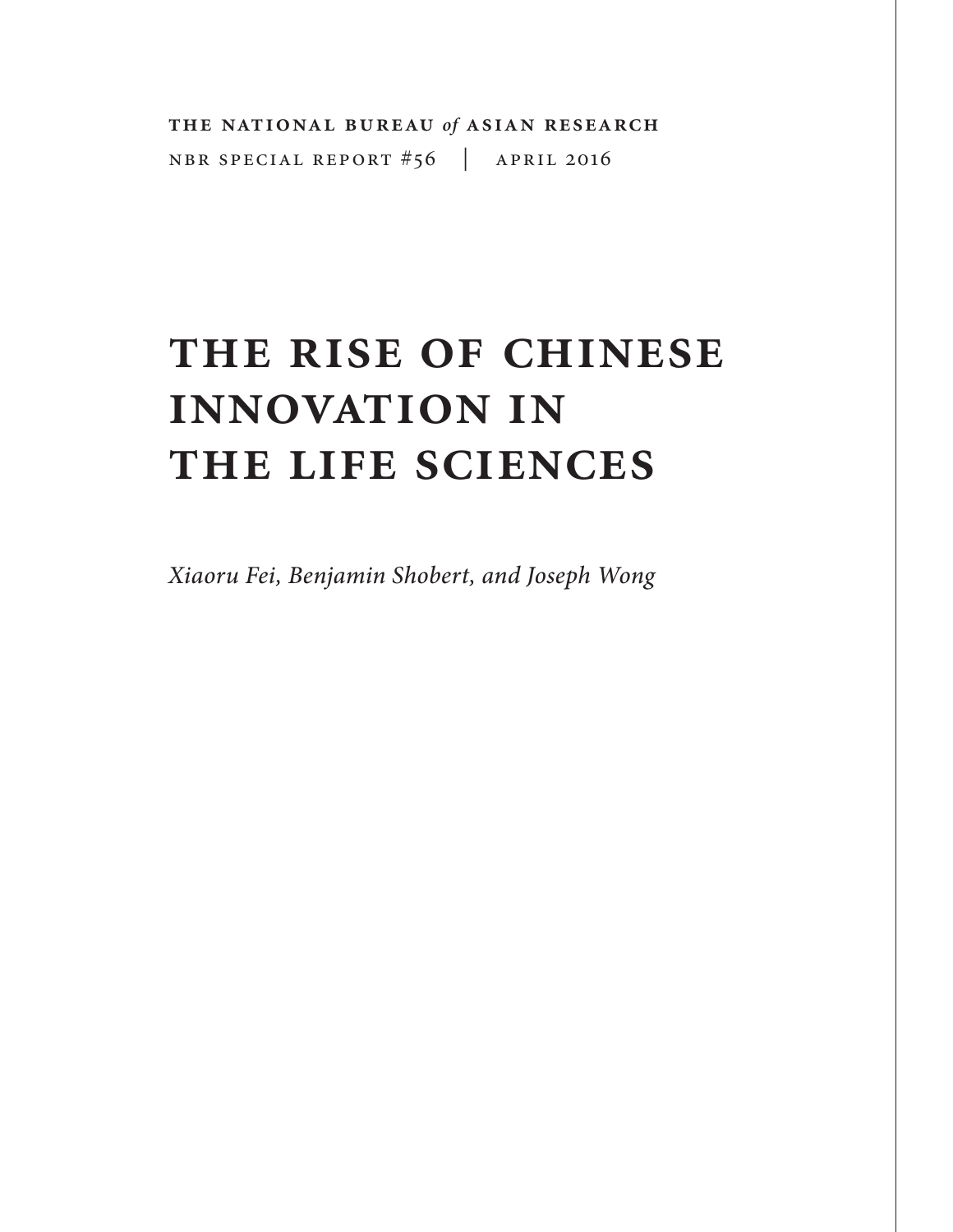### nbr special report #56 | april 2016 **the national bureau** *of* **asian research**

## **the rise of chinese innovation in the life sciences**

*Xiaoru Fei, Benjamin Shobert, and Joseph Wong*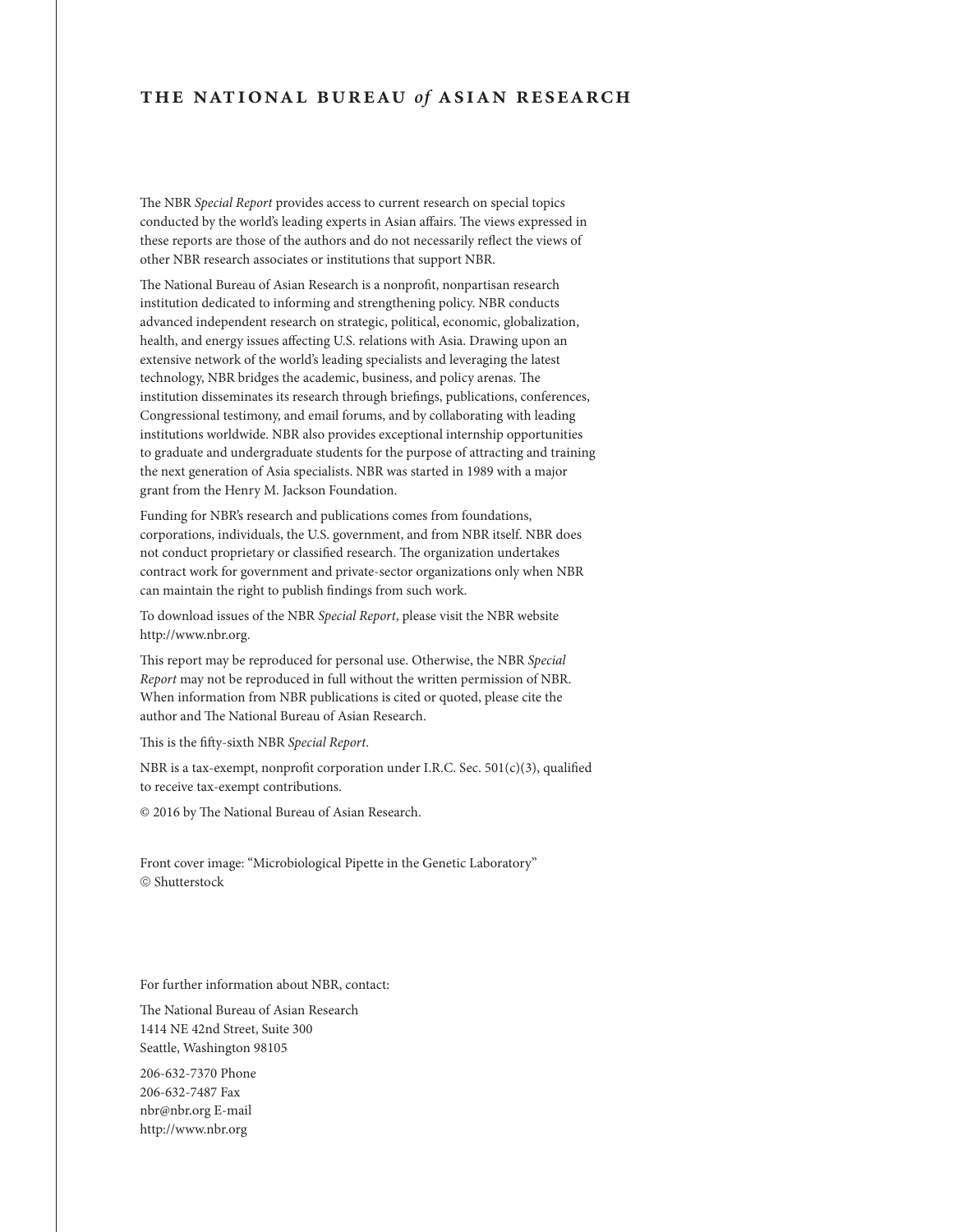#### **the national bureau** *of* **asian research**

The NBR *Special Report* provides access to current research on special topics conducted by the world's leading experts in Asian affairs. The views expressed in these reports are those of the authors and do not necessarily reflect the views of other NBR research associates or institutions that support NBR.

The National Bureau of Asian Research is a nonprofit, nonpartisan research institution dedicated to informing and strengthening policy. NBR conducts advanced independent research on strategic, political, economic, globalization, health, and energy issues affecting U.S. relations with Asia. Drawing upon an extensive network of the world's leading specialists and leveraging the latest technology, NBR bridges the academic, business, and policy arenas. The institution disseminates its research through briefings, publications, conferences, Congressional testimony, and email forums, and by collaborating with leading institutions worldwide. NBR also provides exceptional internship opportunities to graduate and undergraduate students for the purpose of attracting and training the next generation of Asia specialists. NBR was started in 1989 with a major grant from the Henry M. Jackson Foundation.

Funding for NBR's research and publications comes from foundations, corporations, individuals, the U.S. government, and from NBR itself. NBR does not conduct proprietary or classified research. The organization undertakes contract work for government and private-sector organizations only when NBR can maintain the right to publish findings from such work.

To download issues of the NBR *Special Report*, please visit the NBR website http://www.nbr.org.

This report may be reproduced for personal use. Otherwise, the NBR *Special Report* may not be reproduced in full without the written permission of NBR. When information from NBR publications is cited or quoted, please cite the author and The National Bureau of Asian Research.

This is the fifty-sixth NBR *Special Report*.

NBR is a tax-exempt, nonprofit corporation under I.R.C. Sec. 501(c)(3), qualified to receive tax-exempt contributions.

© 2016 by The National Bureau of Asian Research.

Front cover image: "Microbiological Pipette in the Genetic Laboratory" © Shutterstock

For further information about NBR, contact:

The National Bureau of Asian Research 1414 NE 42nd Street, Suite 300 Seattle, Washington 98105

206-632-7370 Phone 206-632-7487 Fax nbr@nbr.org E-mail http://www.nbr.org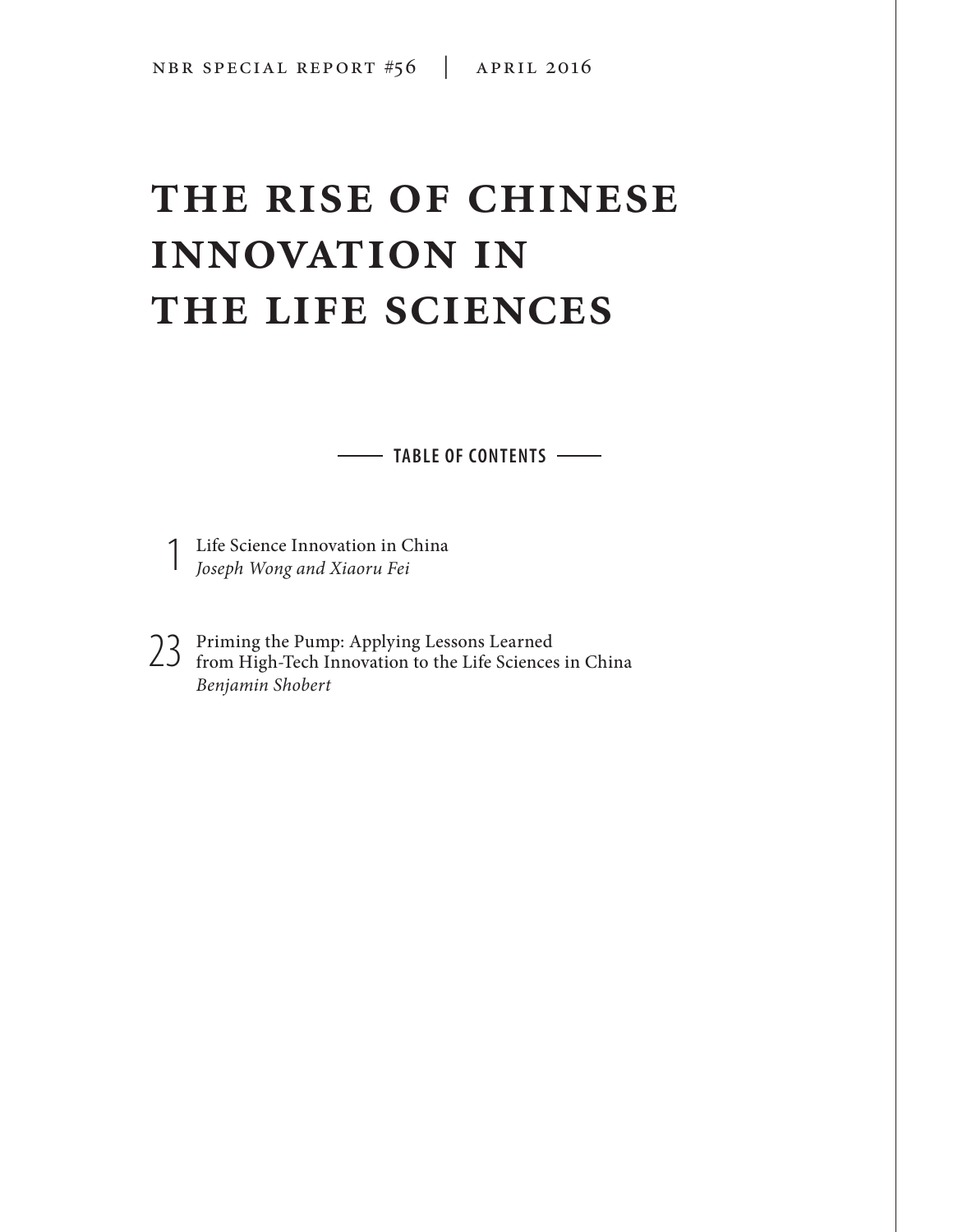## **the rise of chinese innovation in the life sciences**

**TABLE OF CONTENTS** 

- 1 Life Science Innovation in China *Joseph Wong and Xiaoru Fei*
- 23 Priming the Pump: Applying Lessons Learned from High-Tech Innovation to the Life Sciences in China *Benjamin Shobert*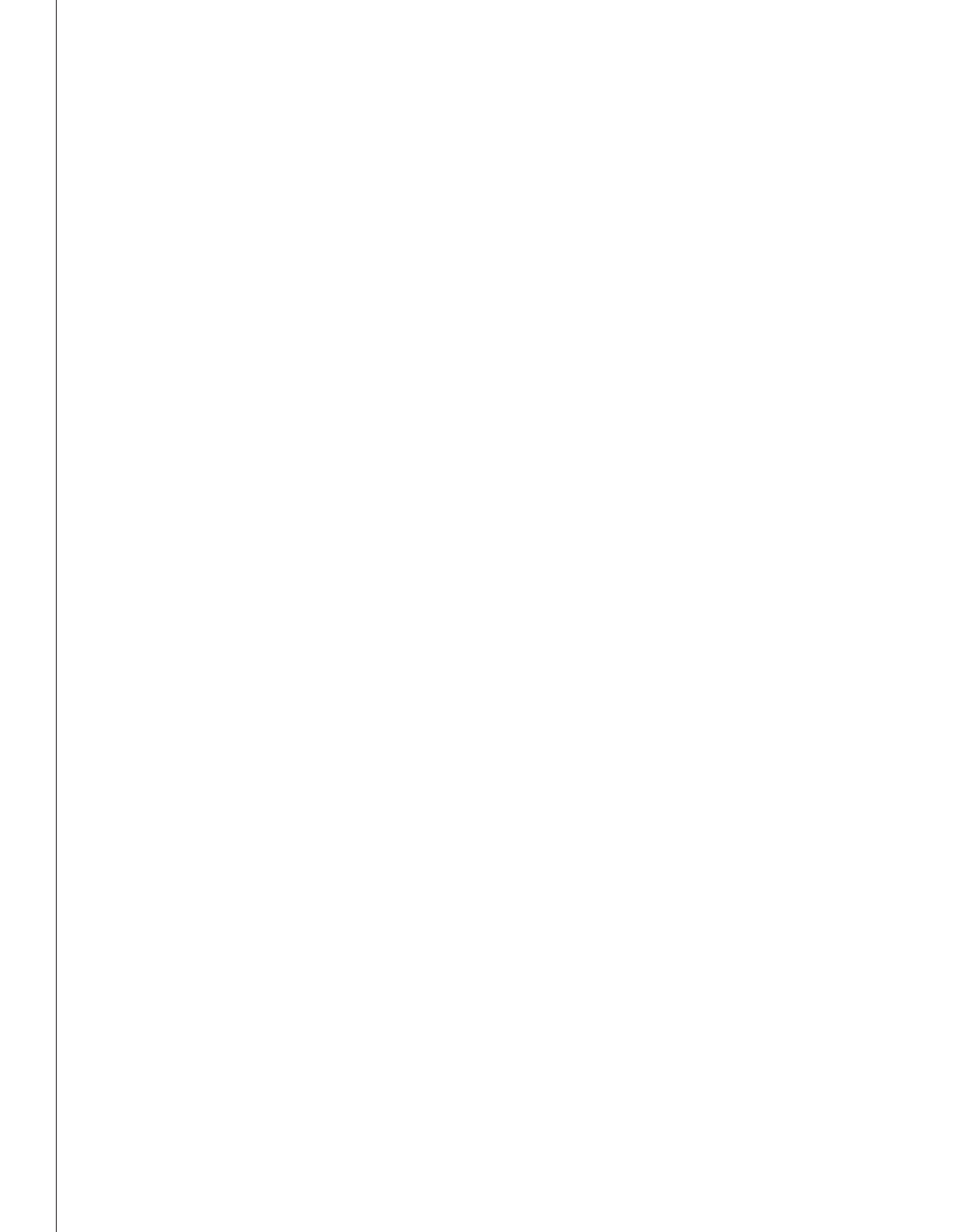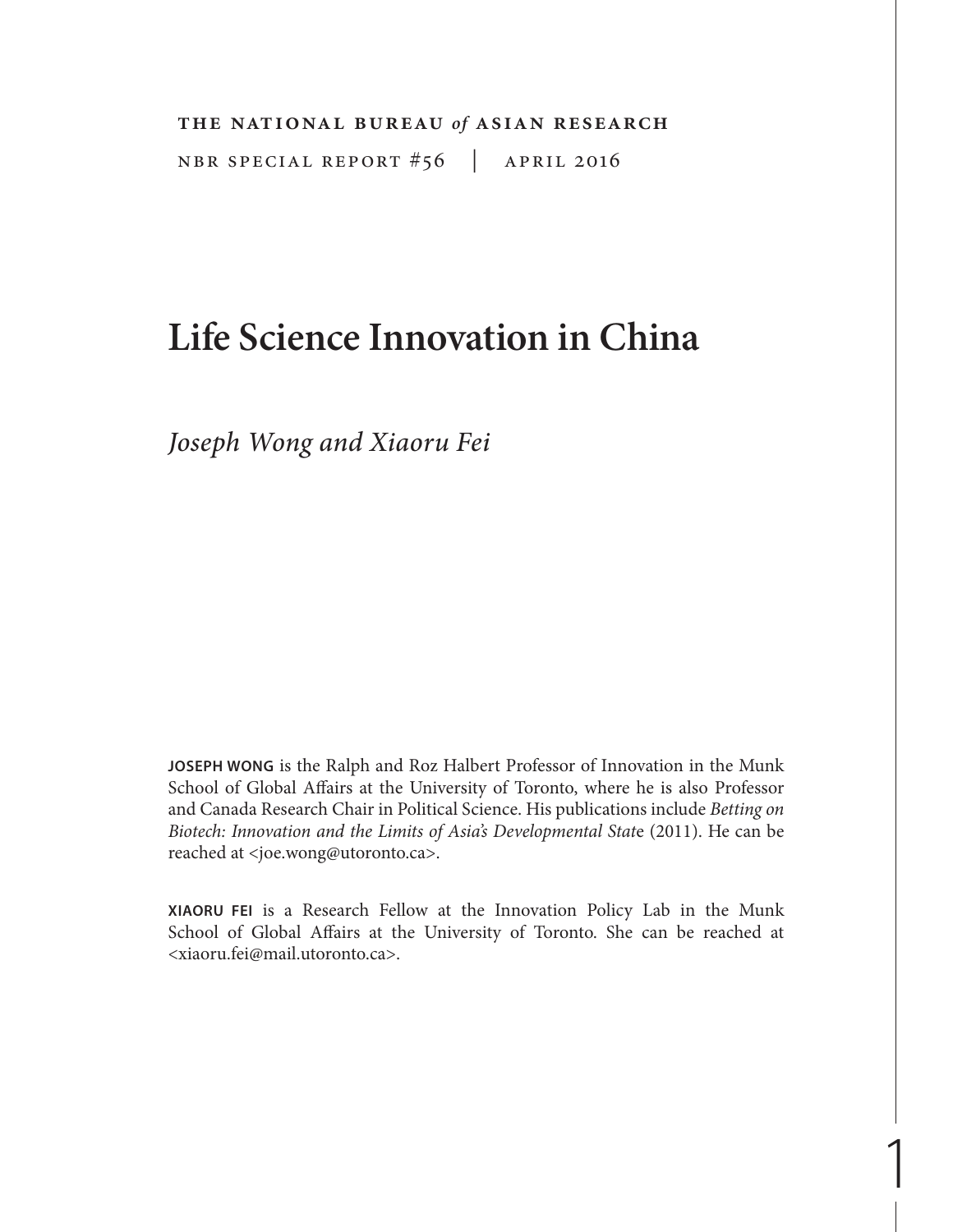### **the national bureau** *of* **asian research** nbr special report #56 | april 2016

## **Life Science Innovation in China**

*Joseph Wong and Xiaoru Fei*

**JOSEPH WONG** is the Ralph and Roz Halbert Professor of Innovation in the Munk School of Global Affairs at the University of Toronto, where he is also Professor and Canada Research Chair in Political Science. His publications include *Betting on Biotech: Innovation and the Limits of Asia's Developmental Stat*e (2011). He can be reached at <joe.wong@utoronto.ca>.

**XIAORU FEI** is a Research Fellow at the Innovation Policy Lab in the Munk School of Global Affairs at the University of Toronto. She can be reached at <xiaoru.fei@mail.utoronto.ca>.

1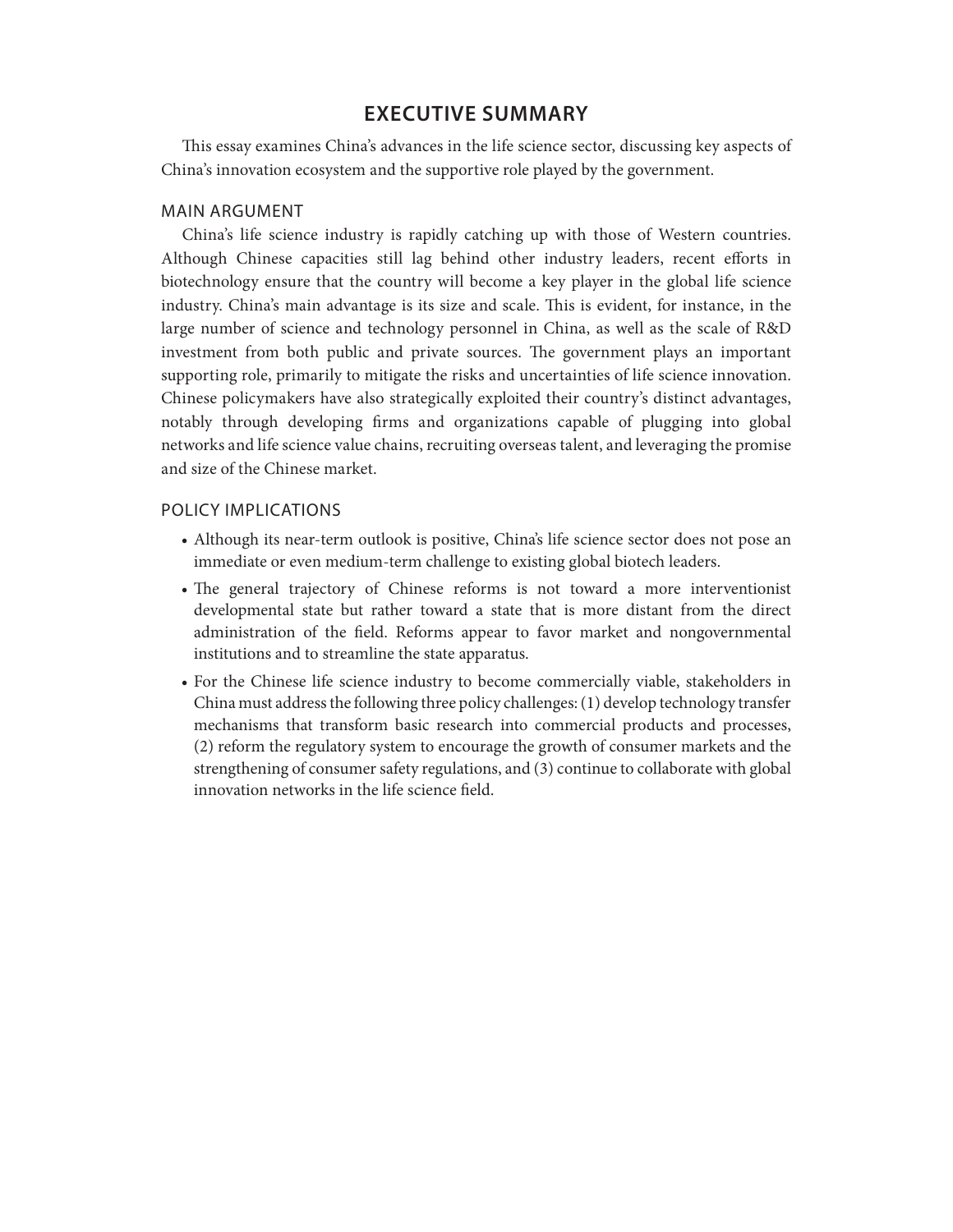#### **EXECUTIVE SUMMARY**

This essay examines China's advances in the life science sector, discussing key aspects of China's innovation ecosystem and the supportive role played by the government.

#### MAIN ARGUMENT

China's life science industry is rapidly catching up with those of Western countries. Although Chinese capacities still lag behind other industry leaders, recent efforts in biotechnology ensure that the country will become a key player in the global life science industry. China's main advantage is its size and scale. This is evident, for instance, in the large number of science and technology personnel in China, as well as the scale of R&D investment from both public and private sources. The government plays an important supporting role, primarily to mitigate the risks and uncertainties of life science innovation. Chinese policymakers have also strategically exploited their country's distinct advantages, notably through developing firms and organizations capable of plugging into global networks and life science value chains, recruiting overseas talent, and leveraging the promise and size of the Chinese market.

#### POLICY IMPLICATIONS

- Although its near-term outlook is positive, China's life science sector does not pose an immediate or even medium-term challenge to existing global biotech leaders.
- The general trajectory of Chinese reforms is not toward a more interventionist developmental state but rather toward a state that is more distant from the direct administration of the field. Reforms appear to favor market and nongovernmental institutions and to streamline the state apparatus.
- For the Chinese life science industry to become commercially viable, stakeholders in China must address the following three policy challenges: (1) develop technology transfer mechanisms that transform basic research into commercial products and processes, (2) reform the regulatory system to encourage the growth of consumer markets and the strengthening of consumer safety regulations, and (3) continue to collaborate with global innovation networks in the life science field.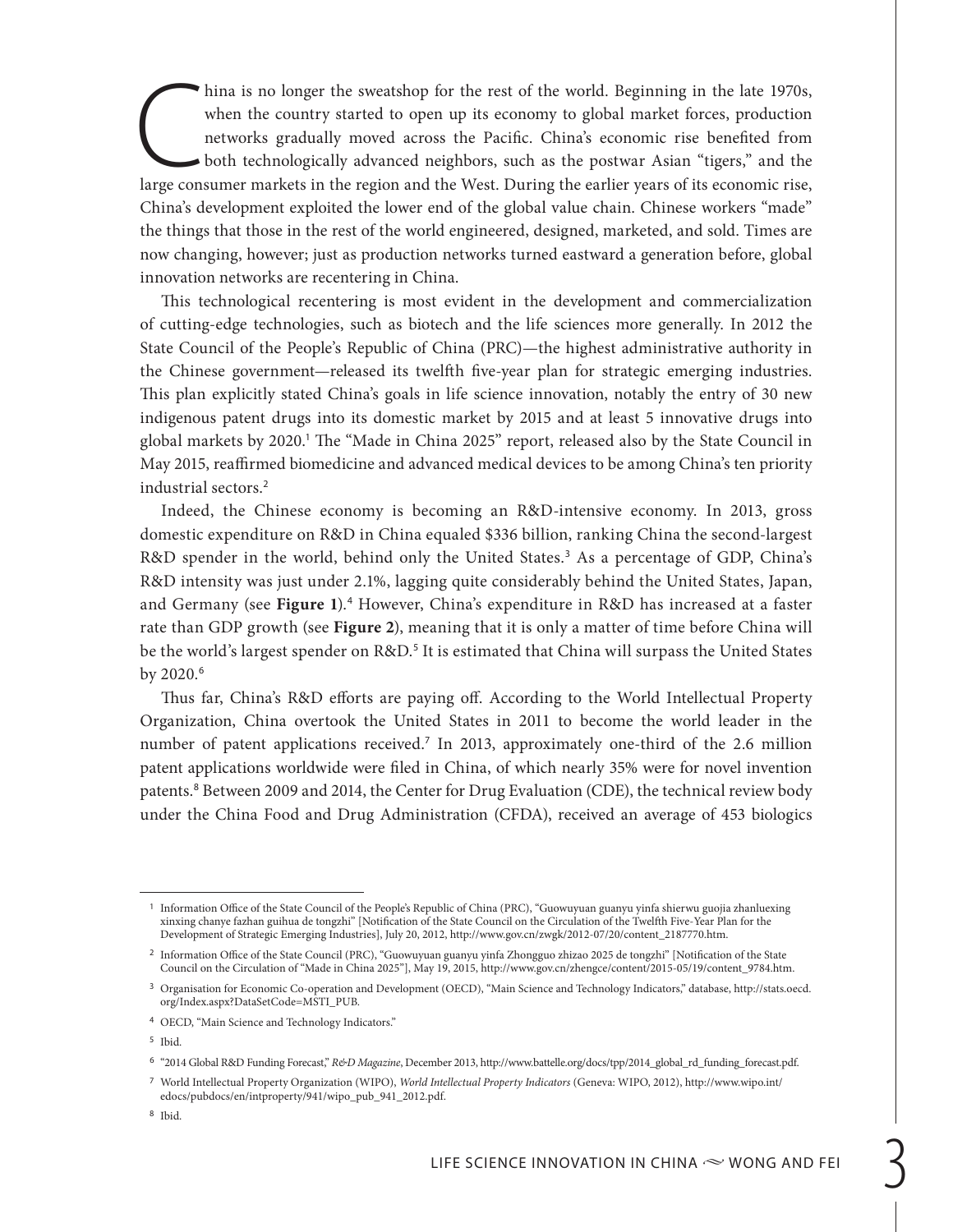hina is no longer the sweatshop for the rest of the world. Beginning in the late 1970s, when the country started to open up its economy to global market forces, production networks gradually moved across the Pacific. China hina is no longer the sweatshop for the rest of the world. Beginning in the late 1970s, when the country started to open up its economy to global market forces, production networks gradually moved across the Pacific. China's economic rise benefited from both technologically advanced neighbors, such as the postwar Asian "tigers," and the China's development exploited the lower end of the global value chain. Chinese workers "made" the things that those in the rest of the world engineered, designed, marketed, and sold. Times are now changing, however; just as production networks turned eastward a generation before, global innovation networks are recentering in China.

This technological recentering is most evident in the development and commercialization of cutting-edge technologies, such as biotech and the life sciences more generally. In 2012 the State Council of the People's Republic of China (PRC)—the highest administrative authority in the Chinese government—released its twelfth five-year plan for strategic emerging industries. This plan explicitly stated China's goals in life science innovation, notably the entry of 30 new indigenous patent drugs into its domestic market by 2015 and at least 5 innovative drugs into global markets by 2020.<sup>1</sup> The "Made in China 2025" report, released also by the State Council in May 2015, reaffirmed biomedicine and advanced medical devices to be among China's ten priority industrial sectors.<sup>2</sup>

Indeed, the Chinese economy is becoming an R&D-intensive economy. In 2013, gross domestic expenditure on R&D in China equaled \$336 billion, ranking China the second-largest R&D spender in the world, behind only the United States.<sup>3</sup> As a percentage of GDP, China's R&D intensity was just under 2.1%, lagging quite considerably behind the United States, Japan, and Germany (see **Figure 1**).<sup>4</sup> However, China's expenditure in R&D has increased at a faster rate than GDP growth (see **Figure 2**), meaning that it is only a matter of time before China will be the world's largest spender on R&D.<sup>5</sup> It is estimated that China will surpass the United States by 2020.<sup>6</sup>

Thus far, China's R&D efforts are paying off. According to the World Intellectual Property Organization, China overtook the United States in 2011 to become the world leader in the number of patent applications received.<sup>7</sup> In 2013, approximately one-third of the 2.6 million patent applications worldwide were filed in China, of which nearly 35% were for novel invention patents.<sup>8</sup> Between 2009 and 2014, the Center for Drug Evaluation (CDE), the technical review body under the China Food and Drug Administration (CFDA), received an average of 453 biologics

<sup>1</sup> Information Office of the State Council of the People's Republic of China (PRC), "Guowuyuan guanyu yinfa shierwu guojia zhanluexing xinxing chanye fazhan guihua de tongzhi" [Notification of the State Council on the Circulation of the Twelfth Five-Year Plan for the Development of Strategic Emerging Industries], July 20, 2012, http://www.gov.cn/zwgk/2012-07/20/content\_2187770.htm.

<sup>2</sup> Information Office of the State Council (PRC), "Guowuyuan guanyu yinfa Zhongguo zhizao 2025 de tongzhi" [Notification of the State Council on the Circulation of "Made in China 2025"], May 19, 2015, http://www.gov.cn/zhengce/content/2015-05/19/content\_9784.htm.

<sup>3</sup> Organisation for Economic Co-operation and Development (OECD), "Main Science and Technology Indicators," database, http://stats.oecd. org/Index.aspx?DataSetCode=MSTI\_PUB.

<sup>4</sup> OECD, "Main Science and Technology Indicators."

<sup>5</sup> Ibid.

<sup>6</sup> "2014 Global R&D Funding Forecast," *R&D Magazine*, December 2013, http://www.battelle.org/docs/tpp/2014\_global\_rd\_funding\_forecast.pdf.

<sup>7</sup> World Intellectual Property Organization (WIPO), *World Intellectual Property Indicators* (Geneva: WIPO, 2012), http://www.wipo.int/ edocs/pubdocs/en/intproperty/941/wipo\_pub\_941\_2012.pdf.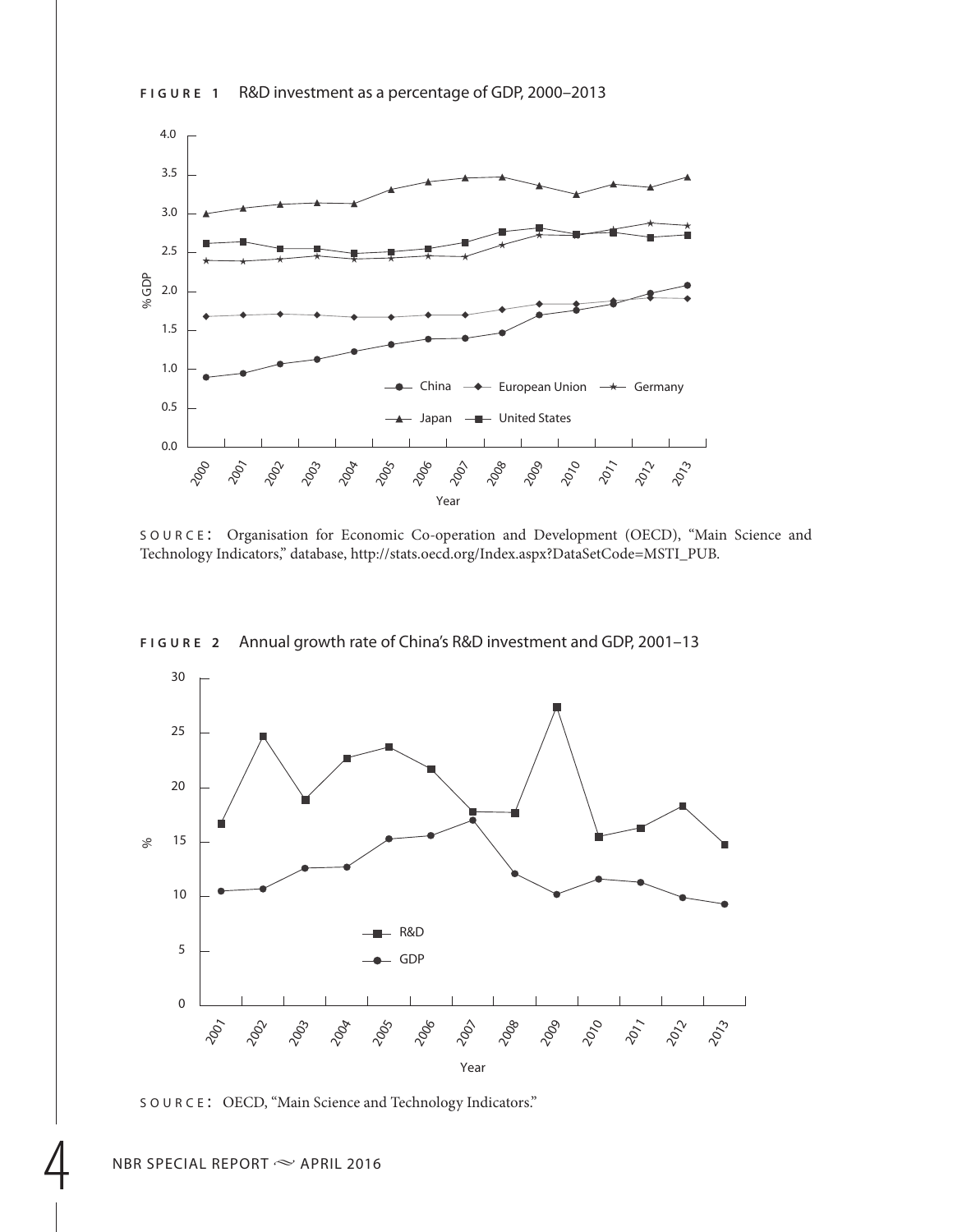

**f i g u r e 1** R&D investment as a percentage of GDP, 2000–2013

SOURCE: Organisation for Economic Co-operation and Development (OECD), "Main Science and Technology Indicators," database, http://stats.oecd.org/Index.aspx?DataSetCode=MSTI\_PUB.



**f i g u r e 2** Annual growth rate of China's R&D investment and GDP, 2001–13

SOURCE: OECD, "Main Science and Technology Indicators."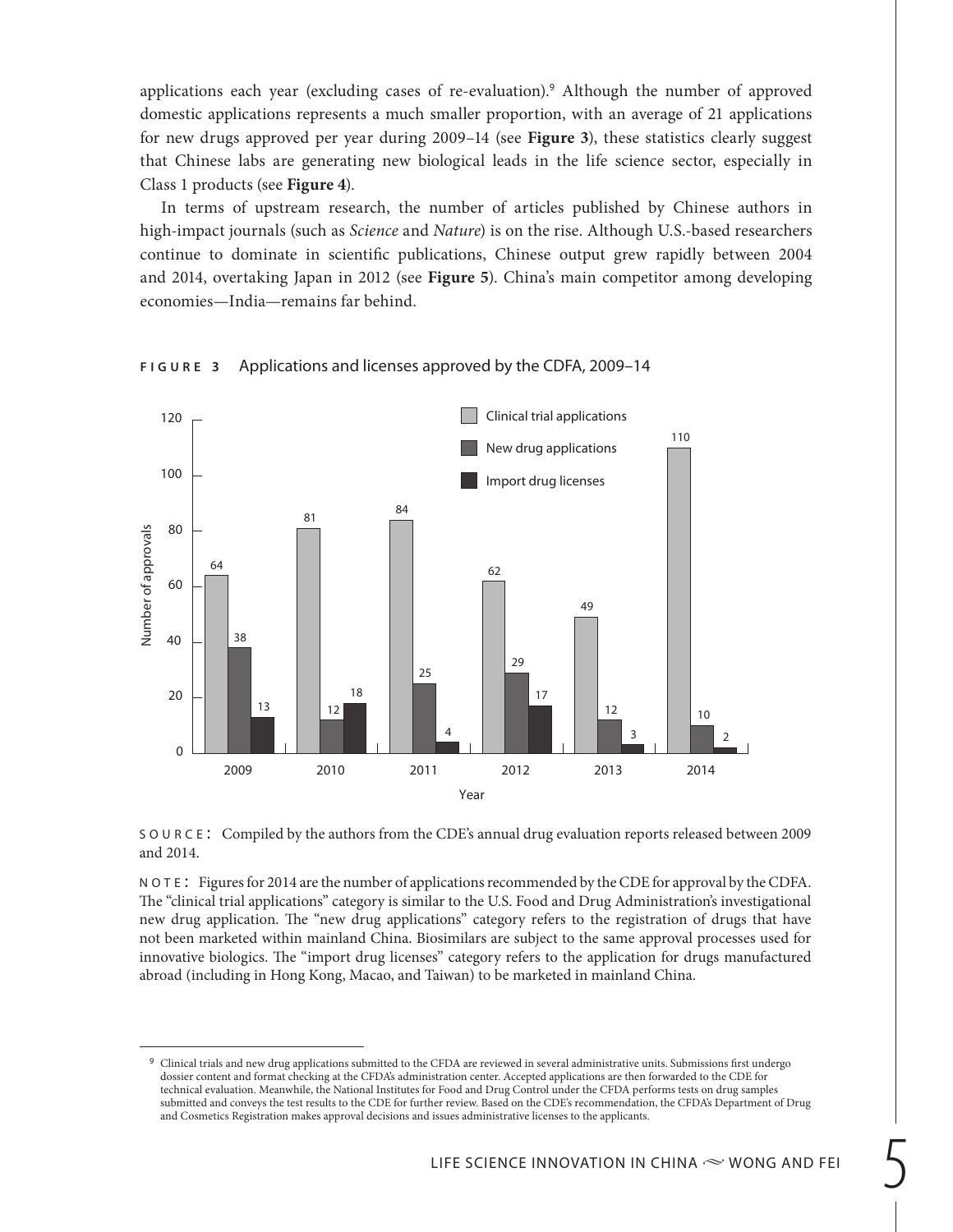applications each year (excluding cases of re-evaluation).<sup>9</sup> Although the number of approved domestic applications represents a much smaller proportion, with an average of 21 applications for new drugs approved per year during 2009–14 (see **Figure 3**), these statistics clearly suggest that Chinese labs are generating new biological leads in the life science sector, especially in Class 1 products (see **Figure 4**).

In terms of upstream research, the number of articles published by Chinese authors in high-impact journals (such as *Science* and *Nature*) is on the rise. Although U.S.-based researchers continue to dominate in scientific publications, Chinese output grew rapidly between 2004 and 2014, overtaking Japan in 2012 (see **Figure 5**). China's main competitor among developing economies—India—remains far behind.



**f i g u r e 3** Applications and licenses approved by the CDFA, 2009–14

s O U R C E: Compiled by the authors from the CDE's annual drug evaluation reports released between 2009 and 2014.

n o t e : Figures for 2014 are the number of applications recommended by the CDE for approval by the CDFA. The "clinical trial applications" category is similar to the U.S. Food and Drug Administration's investigational new drug application. The "new drug applications" category refers to the registration of drugs that have not been marketed within mainland China. Biosimilars are subject to the same approval processes used for innovative biologics. The "import drug licenses" category refers to the application for drugs manufactured abroad (including in Hong Kong, Macao, and Taiwan) to be marketed in mainland China.

<sup>9</sup> Clinical trials and new drug applications submitted to the CFDA are reviewed in several administrative units. Submissions first undergo dossier content and format checking at the CFDA's administration center. Accepted applications are then forwarded to the CDE for technical evaluation. Meanwhile, the National Institutes for Food and Drug Control under the CFDA performs tests on drug samples submitted and conveys the test results to the CDE for further review. Based on the CDE's recommendation, the CFDA's Department of Drug and Cosmetics Registration makes approval decisions and issues administrative licenses to the applicants.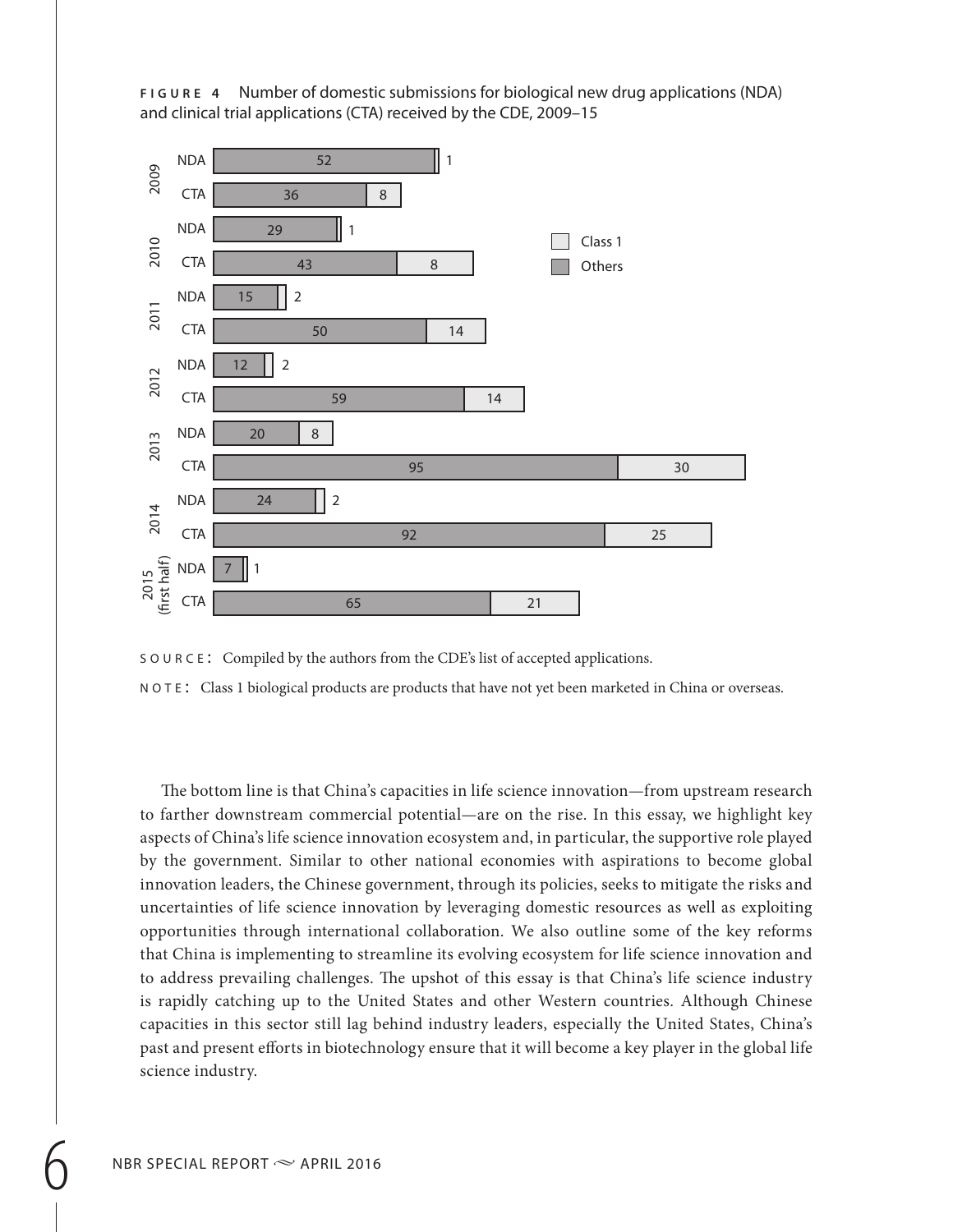**f i g u r e 4** Number of domestic submissions for biological new drug applications (NDA) and clinical trial applications (CTA) received by the CDE, 2009–15



SOURCE: Compiled by the authors from the CDE's list of accepted applications.

NOTE: Class 1 biological products are products that have not yet been marketed in China or overseas.

The bottom line is that China's capacities in life science innovation—from upstream research to farther downstream commercial potential—are on the rise. In this essay, we highlight key aspects of China's life science innovation ecosystem and, in particular, the supportive role played by the government. Similar to other national economies with aspirations to become global innovation leaders, the Chinese government, through its policies, seeks to mitigate the risks and uncertainties of life science innovation by leveraging domestic resources as well as exploiting opportunities through international collaboration. We also outline some of the key reforms that China is implementing to streamline its evolving ecosystem for life science innovation and to address prevailing challenges. The upshot of this essay is that China's life science industry is rapidly catching up to the United States and other Western countries. Although Chinese capacities in this sector still lag behind industry leaders, especially the United States, China's past and present efforts in biotechnology ensure that it will become a key player in the global life science industry.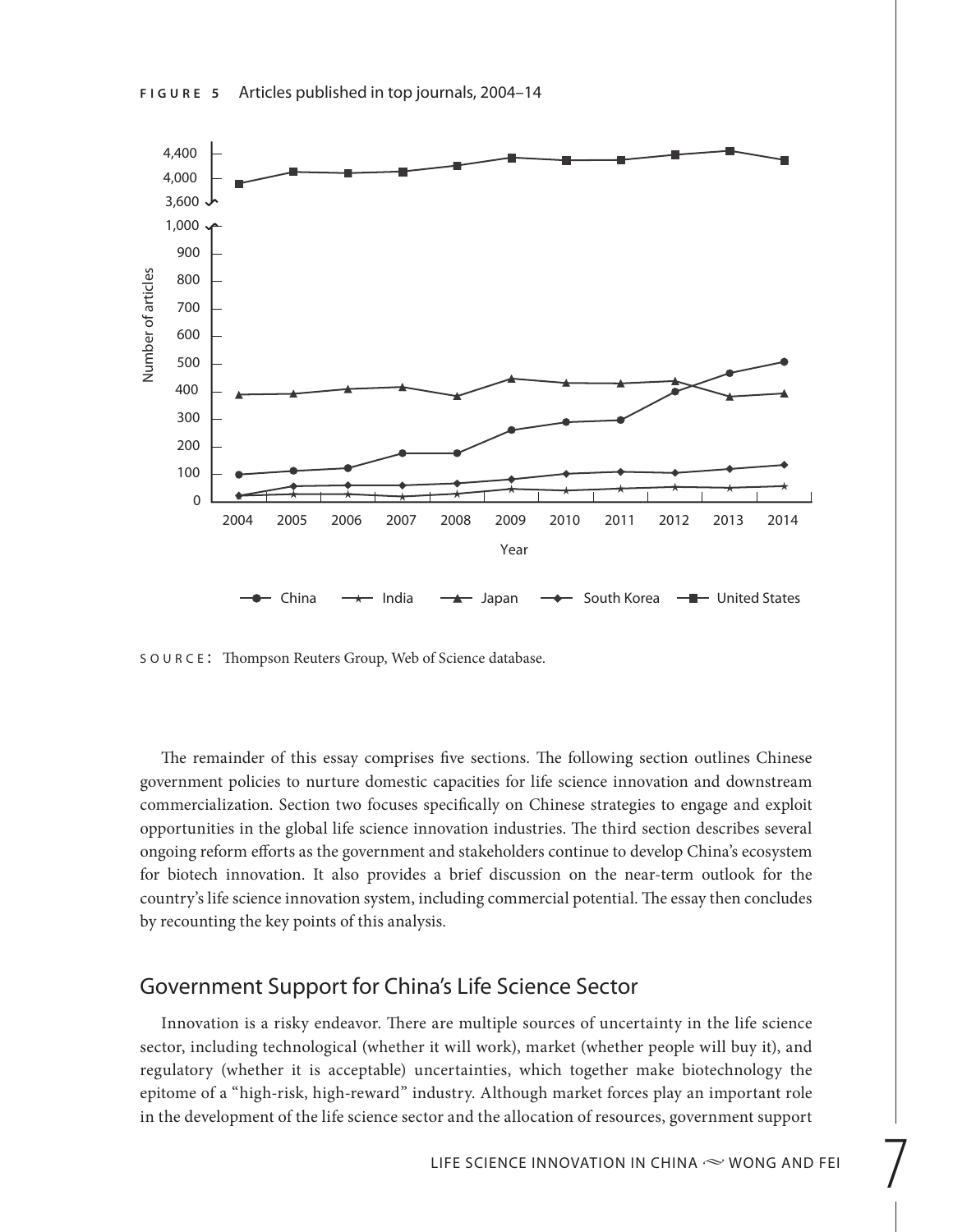

SOURCE: Thompson Reuters Group, Web of Science database.

The remainder of this essay comprises five sections. The following section outlines Chinese government policies to nurture domestic capacities for life science innovation and downstream commercialization. Section two focuses specifically on Chinese strategies to engage and exploit opportunities in the global life science innovation industries. The third section describes several ongoing reform efforts as the government and stakeholders continue to develop China's ecosystem for biotech innovation. It also provides a brief discussion on the near-term outlook for the country's life science innovation system, including commercial potential. The essay then concludes by recounting the key points of this analysis.

#### Government Support for China's Life Science Sector

Innovation is a risky endeavor. There are multiple sources of uncertainty in the life science sector, including technological (whether it will work), market (whether people will buy it), and regulatory (whether it is acceptable) uncertainties, which together make biotechnology the epitome of a "high-risk, high-reward" industry. Although market forces play an important role in the development of the life science sector and the allocation of resources, government support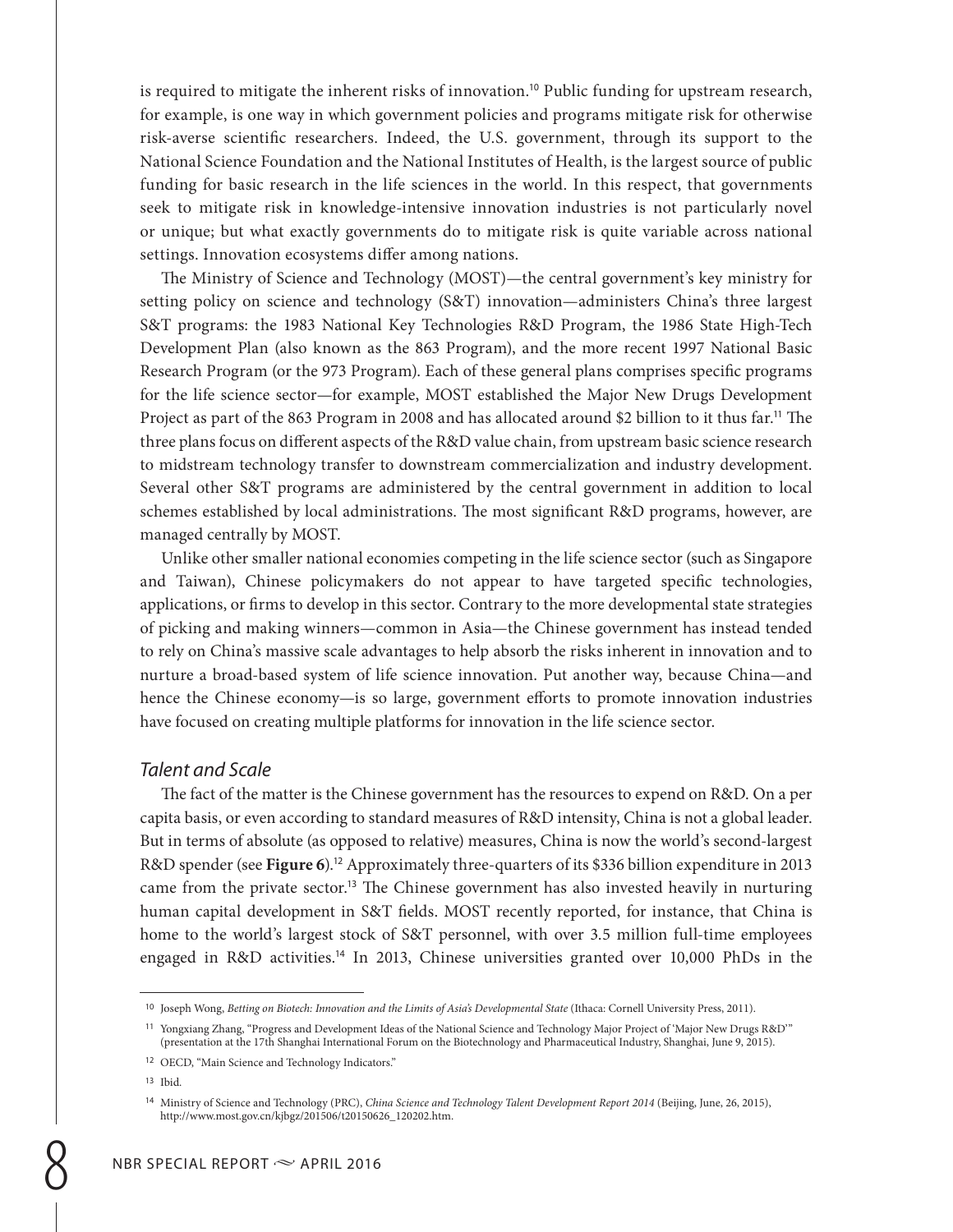is required to mitigate the inherent risks of innovation.<sup>10</sup> Public funding for upstream research, for example, is one way in which government policies and programs mitigate risk for otherwise risk-averse scientific researchers. Indeed, the U.S. government, through its support to the National Science Foundation and the National Institutes of Health, is the largest source of public funding for basic research in the life sciences in the world. In this respect, that governments seek to mitigate risk in knowledge-intensive innovation industries is not particularly novel or unique; but what exactly governments do to mitigate risk is quite variable across national settings. Innovation ecosystems differ among nations.

The Ministry of Science and Technology (MOST)—the central government's key ministry for setting policy on science and technology (S&T) innovation—administers China's three largest S&T programs: the 1983 National Key Technologies R&D Program, the 1986 State High-Tech Development Plan (also known as the 863 Program), and the more recent 1997 National Basic Research Program (or the 973 Program). Each of these general plans comprises specific programs for the life science sector—for example, MOST established the Major New Drugs Development Project as part of the 863 Program in 2008 and has allocated around \$2 billion to it thus far.<sup>11</sup> The three plans focus on different aspects of the R&D value chain, from upstream basic science research to midstream technology transfer to downstream commercialization and industry development. Several other S&T programs are administered by the central government in addition to local schemes established by local administrations. The most significant R&D programs, however, are managed centrally by MOST.

Unlike other smaller national economies competing in the life science sector (such as Singapore and Taiwan), Chinese policymakers do not appear to have targeted specific technologies, applications, or firms to develop in this sector. Contrary to the more developmental state strategies of picking and making winners—common in Asia—the Chinese government has instead tended to rely on China's massive scale advantages to help absorb the risks inherent in innovation and to nurture a broad-based system of life science innovation. Put another way, because China—and hence the Chinese economy—is so large, government efforts to promote innovation industries have focused on creating multiple platforms for innovation in the life science sector.

#### *Talent and Scale*

The fact of the matter is the Chinese government has the resources to expend on R&D. On a per capita basis, or even according to standard measures of R&D intensity, China is not a global leader. But in terms of absolute (as opposed to relative) measures, China is now the world's second-largest R&D spender (see **Figure 6**).<sup>12</sup> Approximately three-quarters of its \$336 billion expenditure in 2013 came from the private sector.<sup>13</sup> The Chinese government has also invested heavily in nurturing human capital development in S&T fields. MOST recently reported, for instance, that China is home to the world's largest stock of S&T personnel, with over 3.5 million full-time employees engaged in R&D activities.<sup>14</sup> In 2013, Chinese universities granted over 10,000 PhDs in the

<sup>13</sup> Ibid.

<sup>&</sup>lt;sup>10</sup> Joseph Wong, *Betting on Biotech: Innovation and the Limits of Asia's Developmental State* (Ithaca: Cornell University Press, 2011).

<sup>11</sup> Yongxiang Zhang, "Progress and Development Ideas of the National Science and Technology Major Project of 'Major New Drugs R&D'" (presentation at the 17th Shanghai International Forum on the Biotechnology and Pharmaceutical Industry, Shanghai, June 9, 2015).

<sup>12</sup> OECD, "Main Science and Technology Indicators."

<sup>14</sup> Ministry of Science and Technology (PRC), *China Science and Technology Talent Development Report 2014* (Beijing, June, 26, 2015), http://www.most.gov.cn/kjbgz/201506/t20150626\_120202.htm.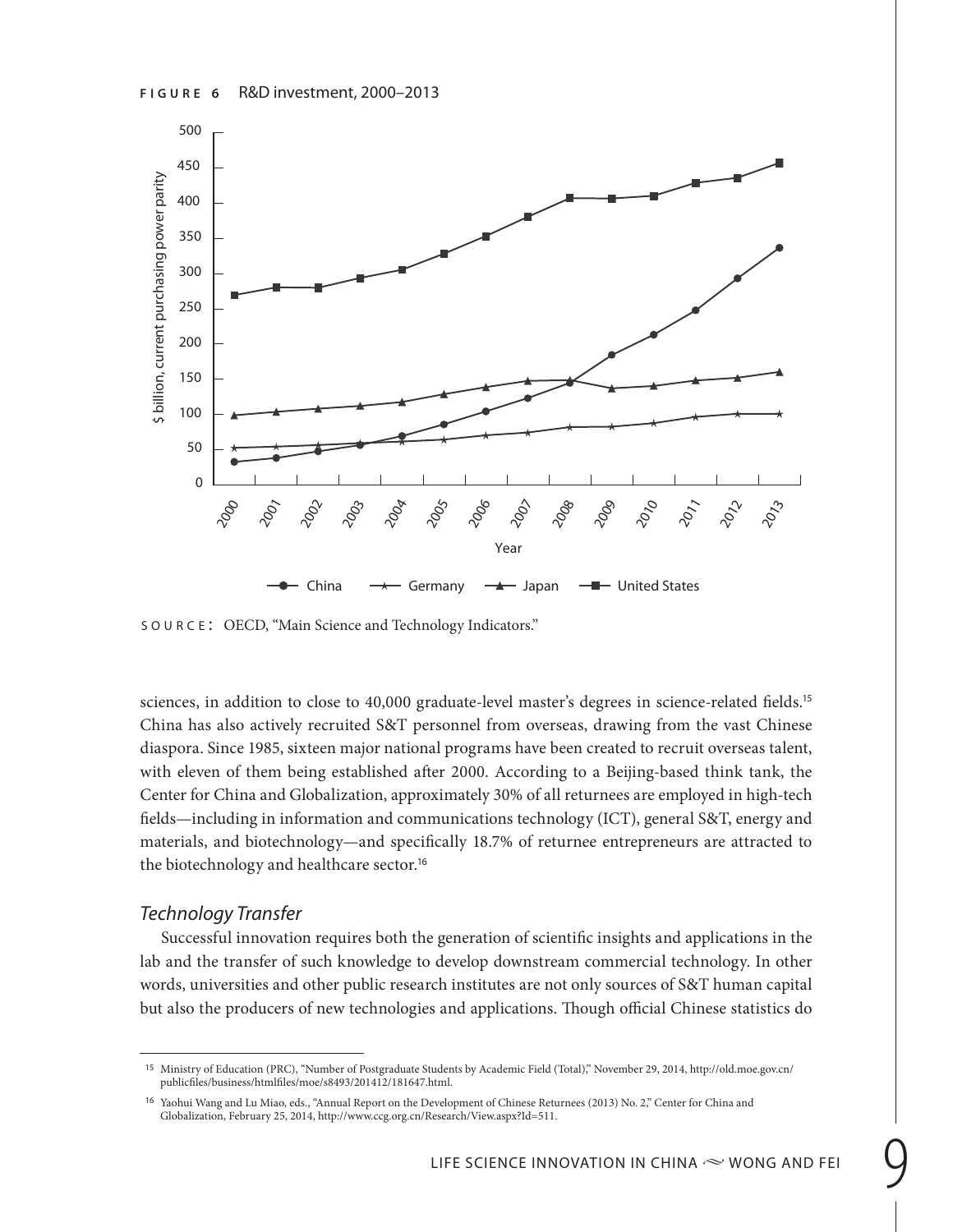

SOURCE: OECD, "Main Science and Technology Indicators."

sciences, in addition to close to 40,000 graduate-level master's degrees in science-related fields.<sup>15</sup> China has also actively recruited S&T personnel from overseas, drawing from the vast Chinese diaspora. Since 1985, sixteen major national programs have been created to recruit overseas talent, with eleven of them being established after 2000. According to a Beijing-based think tank, the Center for China and Globalization, approximately 30% of all returnees are employed in high-tech fields—including in information and communications technology (ICT), general S&T, energy and materials, and biotechnology—and specifically 18.7% of returnee entrepreneurs are attracted to the biotechnology and healthcare sector.<sup>16</sup>

#### *Technology Transfer*

Successful innovation requires both the generation of scientific insights and applications in the lab and the transfer of such knowledge to develop downstream commercial technology. In other words, universities and other public research institutes are not only sources of S&T human capital but also the producers of new technologies and applications. Though official Chinese statistics do

<sup>15</sup> Ministry of Education (PRC), "Number of Postgraduate Students by Academic Field (Total)," November 29, 2014, http://old.moe.gov.cn/ publicfiles/business/htmlfiles/moe/s8493/201412/181647.html.

<sup>16</sup> Yaohui Wang and Lu Miao, eds., "Annual Report on the Development of Chinese Returnees (2013) No. 2," Center for China and Globalization, February 25, 2014, http://www.ccg.org.cn/Research/View.aspx?Id=511.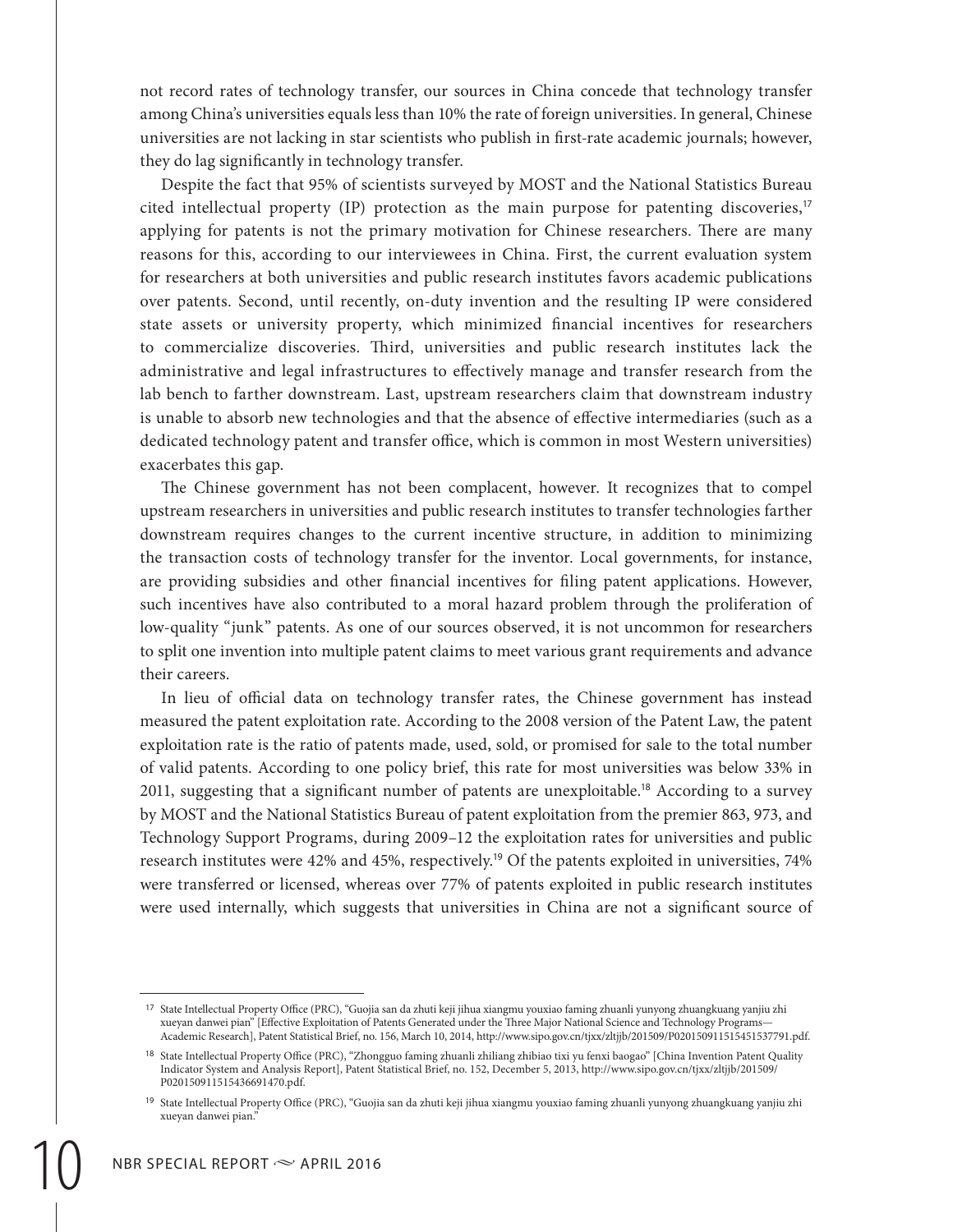not record rates of technology transfer, our sources in China concede that technology transfer among China's universities equals less than 10% the rate of foreign universities. In general, Chinese universities are not lacking in star scientists who publish in first-rate academic journals; however, they do lag significantly in technology transfer.

Despite the fact that 95% of scientists surveyed by MOST and the National Statistics Bureau cited intellectual property (IP) protection as the main purpose for patenting discoveries,<sup>17</sup> applying for patents is not the primary motivation for Chinese researchers. There are many reasons for this, according to our interviewees in China. First, the current evaluation system for researchers at both universities and public research institutes favors academic publications over patents. Second, until recently, on-duty invention and the resulting IP were considered state assets or university property, which minimized financial incentives for researchers to commercialize discoveries. Third, universities and public research institutes lack the administrative and legal infrastructures to effectively manage and transfer research from the lab bench to farther downstream. Last, upstream researchers claim that downstream industry is unable to absorb new technologies and that the absence of effective intermediaries (such as a dedicated technology patent and transfer office, which is common in most Western universities) exacerbates this gap.

The Chinese government has not been complacent, however. It recognizes that to compel upstream researchers in universities and public research institutes to transfer technologies farther downstream requires changes to the current incentive structure, in addition to minimizing the transaction costs of technology transfer for the inventor. Local governments, for instance, are providing subsidies and other financial incentives for filing patent applications. However, such incentives have also contributed to a moral hazard problem through the proliferation of low-quality "junk" patents. As one of our sources observed, it is not uncommon for researchers to split one invention into multiple patent claims to meet various grant requirements and advance their careers.

In lieu of official data on technology transfer rates, the Chinese government has instead measured the patent exploitation rate. According to the 2008 version of the Patent Law, the patent exploitation rate is the ratio of patents made, used, sold, or promised for sale to the total number of valid patents. According to one policy brief, this rate for most universities was below 33% in 2011, suggesting that a significant number of patents are unexploitable.<sup>18</sup> According to a survey by MOST and the National Statistics Bureau of patent exploitation from the premier 863, 973, and Technology Support Programs, during 2009–12 the exploitation rates for universities and public research institutes were 42% and 45%, respectively.<sup>19</sup> Of the patents exploited in universities, 74% were transferred or licensed, whereas over 77% of patents exploited in public research institutes were used internally, which suggests that universities in China are not a significant source of

<sup>17</sup> State Intellectual Property Office (PRC), "Guojia san da zhuti keji jihua xiangmu youxiao faming zhuanli yunyong zhuangkuang yanjiu zhi xueyan danwei pian" [Effective Exploitation of Patents Generated under the Three Major National Science and Technology Programs— Academic Research], Patent Statistical Brief, no. 156, March 10, 2014, http://www.sipo.gov.cn/tjxx/zltjjb/201509/P020150911515451537791.pdf.

<sup>18</sup> State Intellectual Property Office (PRC), "Zhongguo faming zhuanli zhiliang zhibiao tixi yu fenxi baogao" [China Invention Patent Quality Indicator System and Analysis Report], Patent Statistical Brief, no. 152, December 5, 2013, http://www.sipo.gov.cn/tjxx/zltjjb/201509/ P020150911515436691470.pdf.

<sup>19</sup> State Intellectual Property Office (PRC), "Guojia san da zhuti keji jihua xiangmu youxiao faming zhuanli yunyong zhuangkuang yanjiu zhi xueyan danwei pian."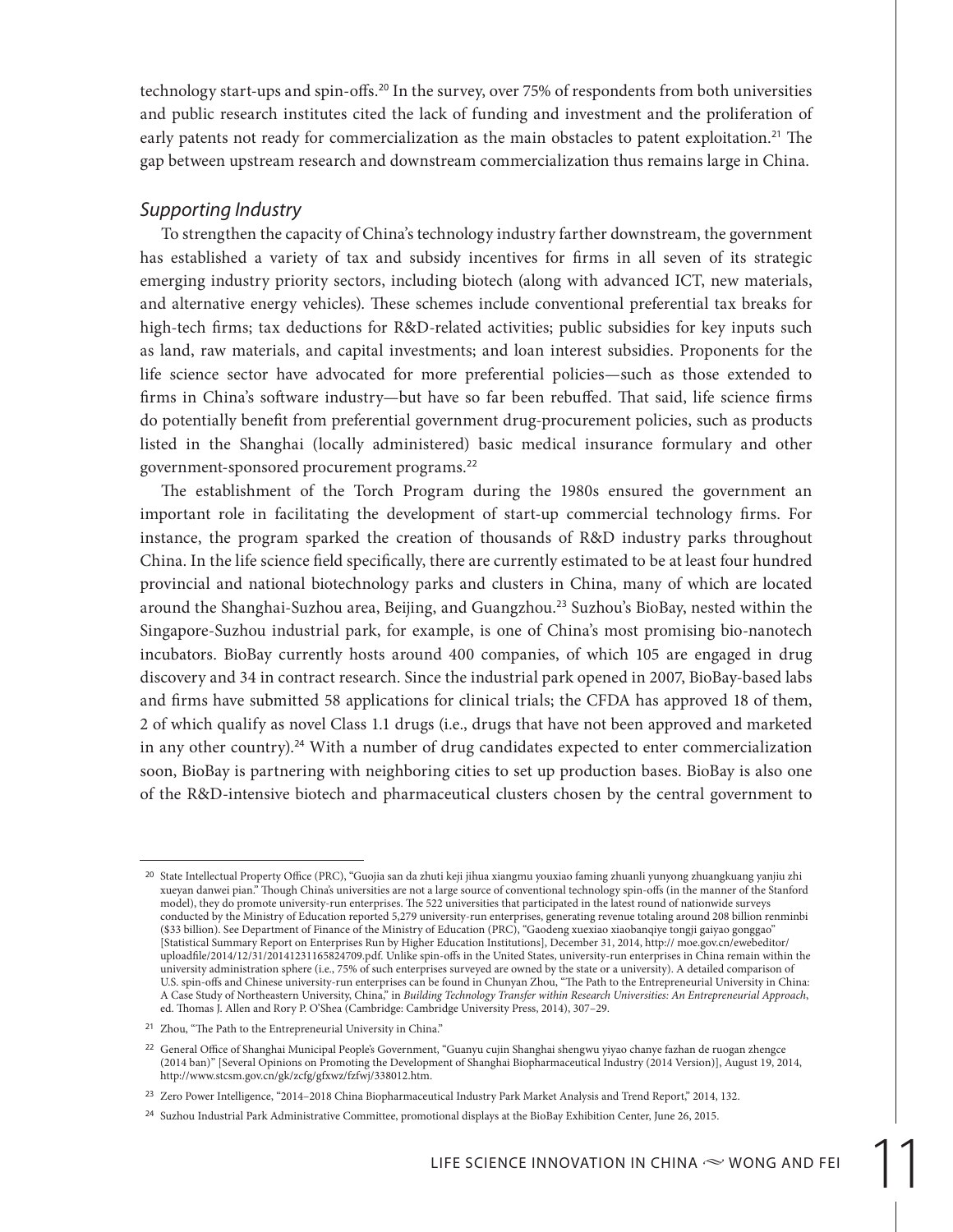technology start-ups and spin-offs.<sup>20</sup> In the survey, over 75% of respondents from both universities and public research institutes cited the lack of funding and investment and the proliferation of early patents not ready for commercialization as the main obstacles to patent exploitation.<sup>21</sup> The gap between upstream research and downstream commercialization thus remains large in China.

#### *Supporting Industry*

To strengthen the capacity of China's technology industry farther downstream, the government has established a variety of tax and subsidy incentives for firms in all seven of its strategic emerging industry priority sectors, including biotech (along with advanced ICT, new materials, and alternative energy vehicles). These schemes include conventional preferential tax breaks for high-tech firms; tax deductions for R&D-related activities; public subsidies for key inputs such as land, raw materials, and capital investments; and loan interest subsidies. Proponents for the life science sector have advocated for more preferential policies—such as those extended to firms in China's software industry—but have so far been rebuffed. That said, life science firms do potentially benefit from preferential government drug-procurement policies, such as products listed in the Shanghai (locally administered) basic medical insurance formulary and other government-sponsored procurement programs.<sup>22</sup>

The establishment of the Torch Program during the 1980s ensured the government an important role in facilitating the development of start-up commercial technology firms. For instance, the program sparked the creation of thousands of R&D industry parks throughout China. In the life science field specifically, there are currently estimated to be at least four hundred provincial and national biotechnology parks and clusters in China, many of which are located around the Shanghai-Suzhou area, Beijing, and Guangzhou.<sup>23</sup> Suzhou's BioBay, nested within the Singapore-Suzhou industrial park, for example, is one of China's most promising bio-nanotech incubators. BioBay currently hosts around 400 companies, of which 105 are engaged in drug discovery and 34 in contract research. Since the industrial park opened in 2007, BioBay-based labs and firms have submitted 58 applications for clinical trials; the CFDA has approved 18 of them, 2 of which qualify as novel Class 1.1 drugs (i.e., drugs that have not been approved and marketed in any other country).<sup>24</sup> With a number of drug candidates expected to enter commercialization soon, BioBay is partnering with neighboring cities to set up production bases. BioBay is also one of the R&D-intensive biotech and pharmaceutical clusters chosen by the central government to

<sup>20</sup> State Intellectual Property Office (PRC), "Guojia san da zhuti keji jihua xiangmu youxiao faming zhuanli yunyong zhuangkuang yanjiu zhi xueyan danwei pian." Though China's universities are not a large source of conventional technology spin-offs (in the manner of the Stanford model), they do promote university-run enterprises. The 522 universities that participated in the latest round of nationwide surveys conducted by the Ministry of Education reported 5,279 university-run enterprises, generating revenue totaling around 208 billion renminbi (\$33 billion). See Department of Finance of the Ministry of Education (PRC), "Gaodeng xuexiao xiaobanqiye tongji gaiyao gonggao" [Statistical Summary Report on Enterprises Run by Higher Education Institutions], December 31, 2014, http:// moe.gov.cn/ewebeditor/ uploadfile/2014/12/31/20141231165824709.pdf. Unlike spin-offs in the United States, university-run enterprises in China remain within the university administration sphere (i.e., 75% of such enterprises surveyed are owned by the state or a university). A detailed comparison of U.S. spin-offs and Chinese university-run enterprises can be found in Chunyan Zhou, "The Path to the Entrepreneurial University in China: A Case Study of Northeastern University, China," in *Building Technology Transfer within Research Universities: An Entrepreneurial Approach*, ed. Thomas J. Allen and Rory P. O'Shea (Cambridge: Cambridge University Press, 2014), 307–29.

<sup>21</sup> Zhou, "The Path to the Entrepreneurial University in China."

<sup>22</sup> General Office of Shanghai Municipal People's Government, "Guanyu cujin Shanghai shengwu yiyao chanye fazhan de ruogan zhengce (2014 ban)" [Several Opinions on Promoting the Development of Shanghai Biopharmaceutical Industry (2014 Version)], August 19, 2014, http://www.stcsm.gov.cn/gk/zcfg/gfxwz/fzfwj/338012.htm.

<sup>23</sup> Zero Power Intelligence, "2014–2018 China Biopharmaceutical Industry Park Market Analysis and Trend Report," 2014, 132.

<sup>24</sup> Suzhou Industrial Park Administrative Committee, promotional displays at the BioBay Exhibition Center, June 26, 2015.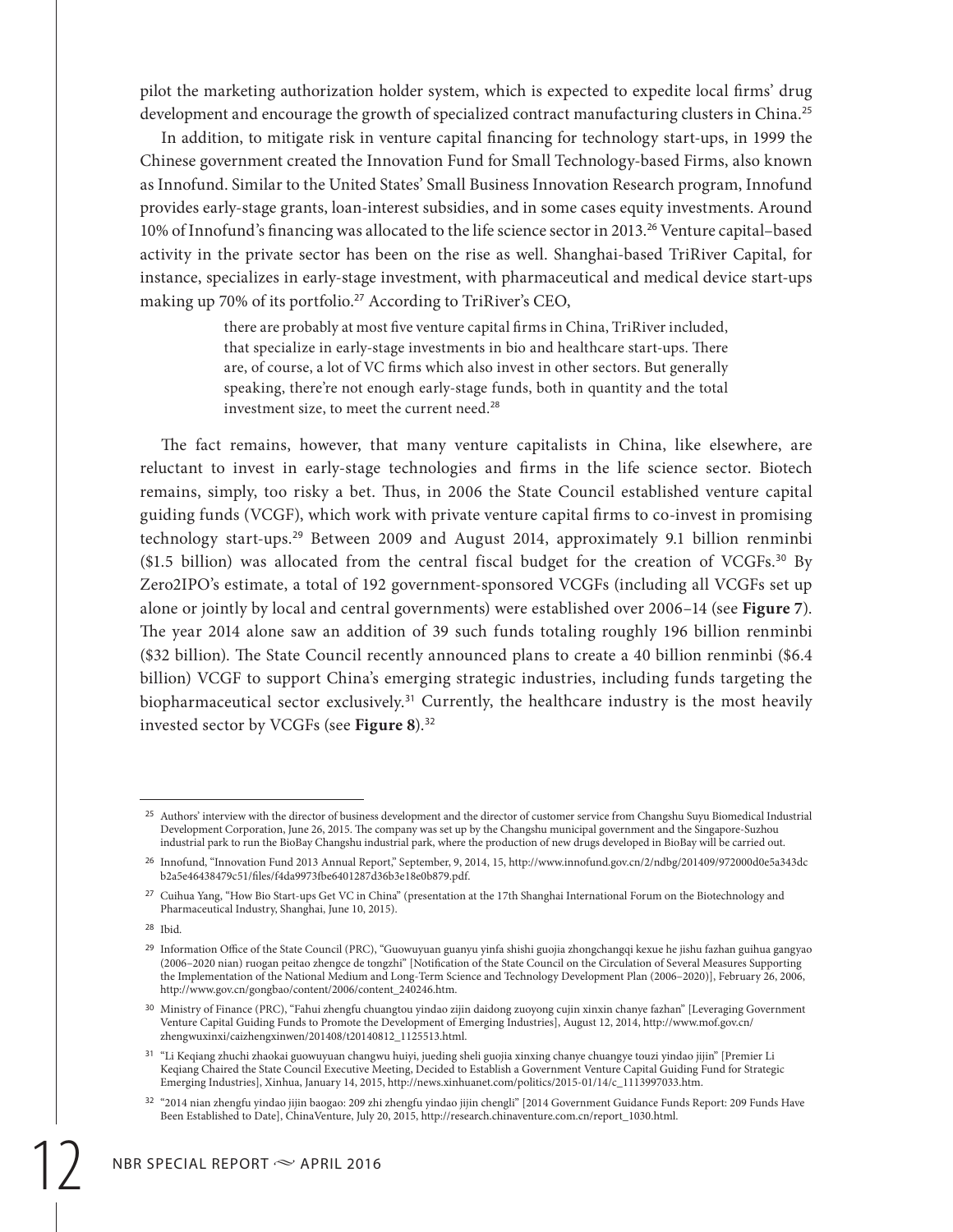pilot the marketing authorization holder system, which is expected to expedite local firms' drug development and encourage the growth of specialized contract manufacturing clusters in China.<sup>25</sup>

In addition, to mitigate risk in venture capital financing for technology start-ups, in 1999 the Chinese government created the Innovation Fund for Small Technology-based Firms, also known as Innofund. Similar to the United States' Small Business Innovation Research program, Innofund provides early-stage grants, loan-interest subsidies, and in some cases equity investments. Around 10% of Innofund's financing was allocated to the life science sector in 2013.<sup>26</sup> Venture capital–based activity in the private sector has been on the rise as well. Shanghai-based TriRiver Capital, for instance, specializes in early-stage investment, with pharmaceutical and medical device start-ups making up 70% of its portfolio.<sup>27</sup> According to TriRiver's CEO,

> there are probably at most five venture capital firms in China, TriRiver included, that specialize in early-stage investments in bio and healthcare start-ups. There are, of course, a lot of VC firms which also invest in other sectors. But generally speaking, there're not enough early-stage funds, both in quantity and the total investment size, to meet the current need.<sup>28</sup>

The fact remains, however, that many venture capitalists in China, like elsewhere, are reluctant to invest in early-stage technologies and firms in the life science sector. Biotech remains, simply, too risky a bet. Thus, in 2006 the State Council established venture capital guiding funds (VCGF), which work with private venture capital firms to co-invest in promising technology start-ups.<sup>29</sup> Between 2009 and August 2014, approximately 9.1 billion renminbi  $($1.5$ billion) was allocated from the central fiscal budget for the creation of VCGFs<sup>30</sup> By$ Zero2IPO's estimate, a total of 192 government-sponsored VCGFs (including all VCGFs set up alone or jointly by local and central governments) were established over 2006–14 (see **Figure 7**). The year 2014 alone saw an addition of 39 such funds totaling roughly 196 billion renminbi (\$32 billion). The State Council recently announced plans to create a 40 billion renminbi (\$6.4 billion) VCGF to support China's emerging strategic industries, including funds targeting the biopharmaceutical sector exclusively.<sup>31</sup> Currently, the healthcare industry is the most heavily invested sector by VCGFs (see **Figure 8**).<sup>32</sup>

- <sup>31</sup> "Li Keqiang zhuchi zhaokai guowuyuan changwu huiyi, jueding sheli guojia xinxing chanye chuangye touzi yindao jijin" [Premier Li Keqiang Chaired the State Council Executive Meeting, Decided to Establish a Government Venture Capital Guiding Fund for Strategic Emerging Industries], Xinhua, January 14, 2015, http://news.xinhuanet.com/politics/2015-01/14/c\_1113997033.htm.
- <sup>32</sup> "2014 nian zhengfu yindao jijin baogao: 209 zhi zhengfu yindao jijin chengli" [2014 Government Guidance Funds Report: 209 Funds Have Been Established to Date], ChinaVenture, July 20, 2015, http://research.chinaventure.com.cn/report\_1030.html.

<sup>25</sup> Authors' interview with the director of business development and the director of customer service from Changshu Suyu Biomedical Industrial Development Corporation, June 26, 2015. The company was set up by the Changshu municipal government and the Singapore-Suzhou industrial park to run the BioBay Changshu industrial park, where the production of new drugs developed in BioBay will be carried out.

<sup>26</sup> Innofund, "Innovation Fund 2013 Annual Report," September, 9, 2014, 15, http://www.innofund.gov.cn/2/ndbg/201409/972000d0e5a343dc b2a5e46438479c51/files/f4da9973fbe6401287d36b3e18e0b879.pdf.

<sup>&</sup>lt;sup>27</sup> Cuihua Yang, "How Bio Start-ups Get VC in China" (presentation at the 17th Shanghai International Forum on the Biotechnology and Pharmaceutical Industry, Shanghai, June 10, 2015).

<sup>28</sup> Ibid.

<sup>&</sup>lt;sup>29</sup> Information Office of the State Council (PRC), "Guowuyuan guanyu yinfa shishi guojia zhongchangqi kexue he jishu fazhan guihua gangyao (2006–2020 nian) ruogan peitao zhengce de tongzhi" [Notification of the State Council on the Circulation of Several Measures Supporting the Implementation of the National Medium and Long-Term Science and Technology Development Plan (2006–2020)], February 26, 2006, http://www.gov.cn/gongbao/content/2006/content\_240246.htm.

<sup>&</sup>lt;sup>30</sup> Ministry of Finance (PRC), "Fahui zhengfu chuangtou yindao zijin daidong zuoyong cujin xinxin chanye fazhan" [Leveraging Government Venture Capital Guiding Funds to Promote the Development of Emerging Industries], August 12, 2014, http://www.mof.gov.cn/ zhengwuxinxi/caizhengxinwen/201408/t20140812\_1125513.html.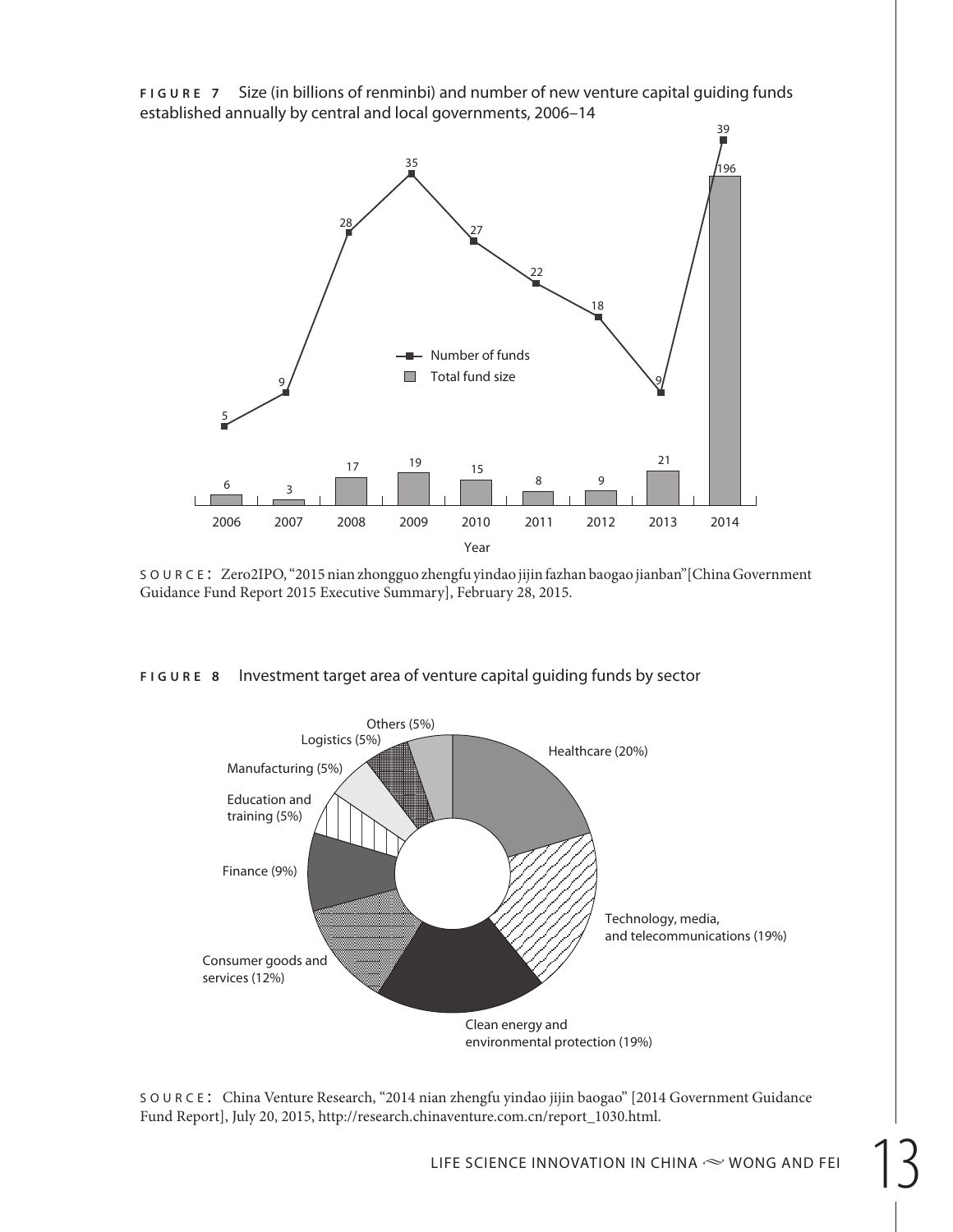**f i g u r e 7** Size (in billions of renminbi) and number of new venture capital guiding funds established annually by central and local governments, 2006–14



s O U R C E: Zero2IPO, "2015 nian zhongguo zhengfu yindao jijin fazhan baogao jianban" [China Government Guidance Fund Report 2015 Executive Summary], February 28, 2015.

**f i g u r e 8** Investment target area of venture capital guiding funds by sector



s o u r c e : China Venture Research, "2014 nian zhengfu yindao jijin baogao" [2014 Government Guidance Fund Report], July 20, 2015, http://research.chinaventure.com.cn/report\_1030.html.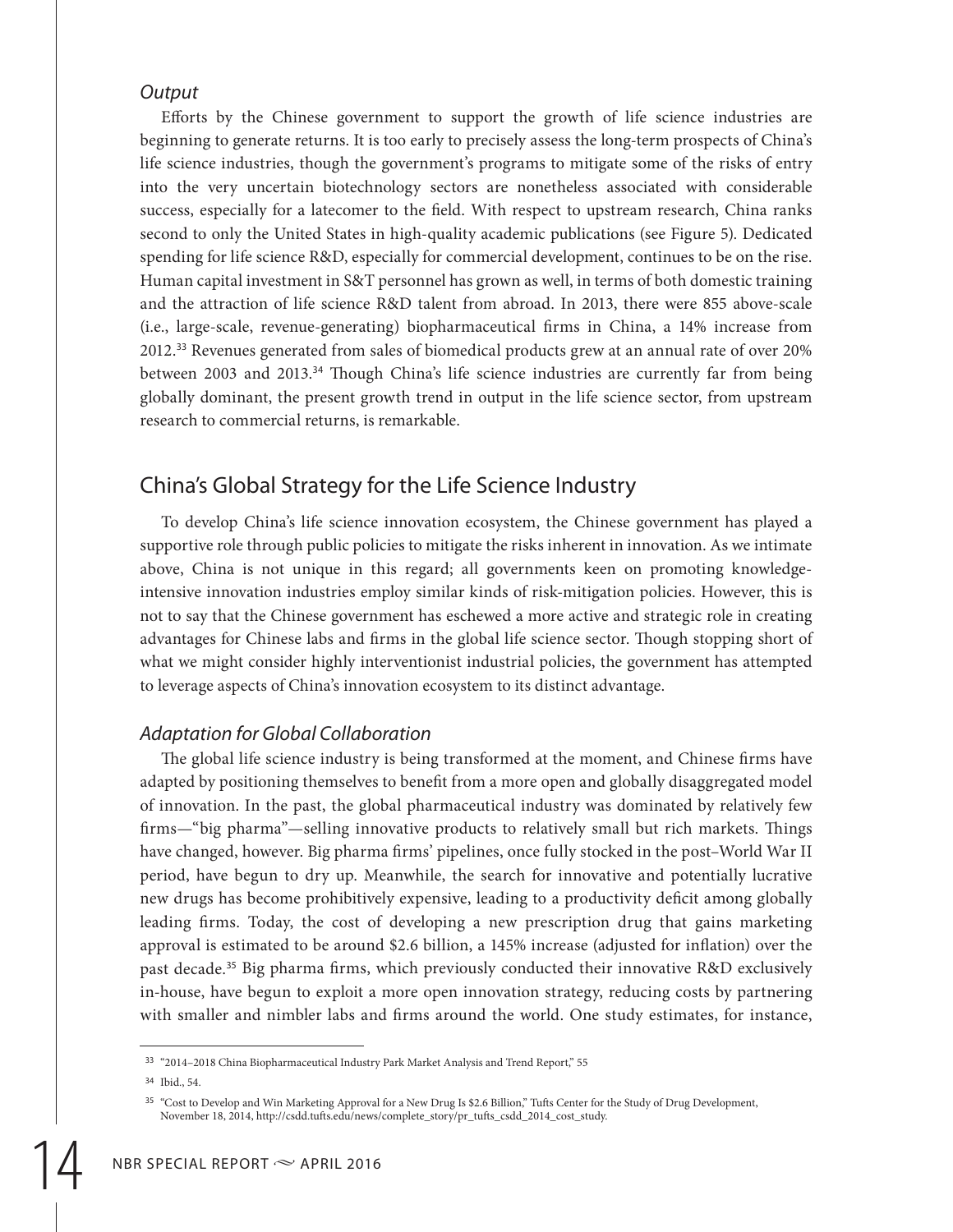#### *Output*

Efforts by the Chinese government to support the growth of life science industries are beginning to generate returns. It is too early to precisely assess the long-term prospects of China's life science industries, though the government's programs to mitigate some of the risks of entry into the very uncertain biotechnology sectors are nonetheless associated with considerable success, especially for a latecomer to the field. With respect to upstream research, China ranks second to only the United States in high-quality academic publications (see Figure 5). Dedicated spending for life science R&D, especially for commercial development, continues to be on the rise. Human capital investment in S&T personnel has grown as well, in terms of both domestic training and the attraction of life science R&D talent from abroad. In 2013, there were 855 above-scale (i.e., large-scale, revenue-generating) biopharmaceutical firms in China, a 14% increase from 2012.<sup>33</sup> Revenues generated from sales of biomedical products grew at an annual rate of over 20% between 2003 and 2013.<sup>34</sup> Though China's life science industries are currently far from being globally dominant, the present growth trend in output in the life science sector, from upstream research to commercial returns, is remarkable.

### China's Global Strategy for the Life Science Industry

To develop China's life science innovation ecosystem, the Chinese government has played a supportive role through public policies to mitigate the risks inherent in innovation. As we intimate above, China is not unique in this regard; all governments keen on promoting knowledgeintensive innovation industries employ similar kinds of risk-mitigation policies. However, this is not to say that the Chinese government has eschewed a more active and strategic role in creating advantages for Chinese labs and firms in the global life science sector. Though stopping short of what we might consider highly interventionist industrial policies, the government has attempted to leverage aspects of China's innovation ecosystem to its distinct advantage.

#### *Adaptation for Global Collaboration*

The global life science industry is being transformed at the moment, and Chinese firms have adapted by positioning themselves to benefit from a more open and globally disaggregated model of innovation. In the past, the global pharmaceutical industry was dominated by relatively few firms—"big pharma"—selling innovative products to relatively small but rich markets. Things have changed, however. Big pharma firms' pipelines, once fully stocked in the post–World War II period, have begun to dry up. Meanwhile, the search for innovative and potentially lucrative new drugs has become prohibitively expensive, leading to a productivity deficit among globally leading firms. Today, the cost of developing a new prescription drug that gains marketing approval is estimated to be around \$2.6 billion, a 145% increase (adjusted for inflation) over the past decade.<sup>35</sup> Big pharma firms, which previously conducted their innovative R&D exclusively in-house, have begun to exploit a more open innovation strategy, reducing costs by partnering with smaller and nimbler labs and firms around the world. One study estimates, for instance,

<sup>33</sup> "2014–2018 China Biopharmaceutical Industry Park Market Analysis and Trend Report," 55

<sup>34</sup> Ibid., 54.

<sup>35</sup> "Cost to Develop and Win Marketing Approval for a New Drug Is \$2.6 Billion," Tufts Center for the Study of Drug Development, November 18, 2014, http://csdd.tufts.edu/news/complete\_story/pr\_tufts\_csdd\_2014\_cost\_study.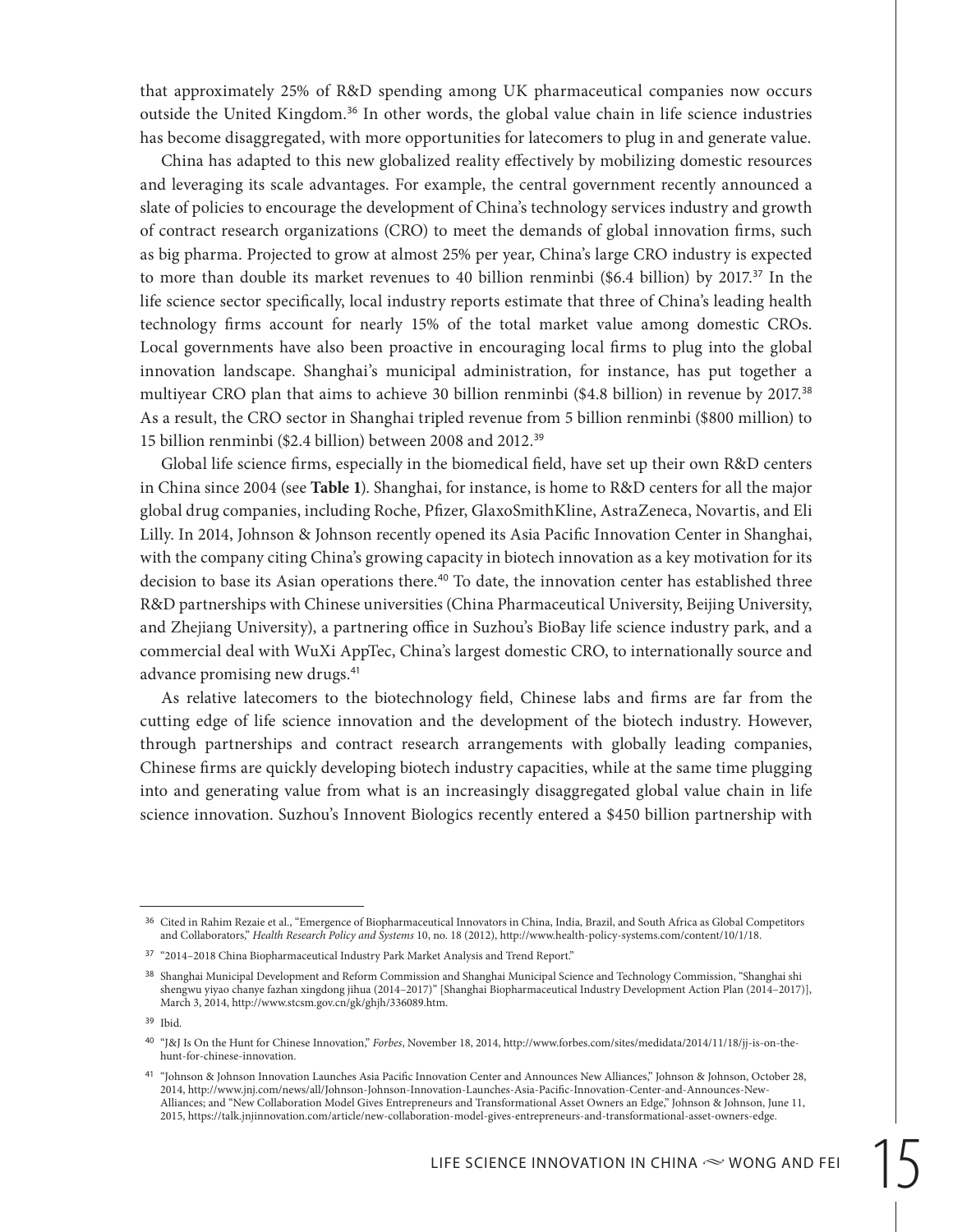that approximately 25% of R&D spending among UK pharmaceutical companies now occurs outside the United Kingdom.<sup>36</sup> In other words, the global value chain in life science industries has become disaggregated, with more opportunities for latecomers to plug in and generate value.

China has adapted to this new globalized reality effectively by mobilizing domestic resources and leveraging its scale advantages. For example, the central government recently announced a slate of policies to encourage the development of China's technology services industry and growth of contract research organizations (CRO) to meet the demands of global innovation firms, such as big pharma. Projected to grow at almost 25% per year, China's large CRO industry is expected to more than double its market revenues to 40 billion renminbi (\$6.4 billion) by 2017.<sup>37</sup> In the life science sector specifically, local industry reports estimate that three of China's leading health technology firms account for nearly 15% of the total market value among domestic CROs. Local governments have also been proactive in encouraging local firms to plug into the global innovation landscape. Shanghai's municipal administration, for instance, has put together a multiyear CRO plan that aims to achieve 30 billion renminbi (\$4.8 billion) in revenue by 2017.<sup>38</sup> As a result, the CRO sector in Shanghai tripled revenue from 5 billion renminbi (\$800 million) to 15 billion renminbi (\$2.4 billion) between 2008 and 2012.<sup>39</sup>

Global life science firms, especially in the biomedical field, have set up their own R&D centers in China since 2004 (see **Table 1**). Shanghai, for instance, is home to R&D centers for all the major global drug companies, including Roche, Pfizer, GlaxoSmithKline, AstraZeneca, Novartis, and Eli Lilly. In 2014, Johnson & Johnson recently opened its Asia Pacific Innovation Center in Shanghai, with the company citing China's growing capacity in biotech innovation as a key motivation for its decision to base its Asian operations there.<sup>40</sup> To date, the innovation center has established three R&D partnerships with Chinese universities (China Pharmaceutical University, Beijing University, and Zhejiang University), a partnering office in Suzhou's BioBay life science industry park, and a commercial deal with WuXi AppTec, China's largest domestic CRO, to internationally source and advance promising new drugs.<sup>41</sup>

As relative latecomers to the biotechnology field, Chinese labs and firms are far from the cutting edge of life science innovation and the development of the biotech industry. However, through partnerships and contract research arrangements with globally leading companies, Chinese firms are quickly developing biotech industry capacities, while at the same time plugging into and generating value from what is an increasingly disaggregated global value chain in life science innovation. Suzhou's Innovent Biologics recently entered a \$450 billion partnership with

<sup>36</sup> Cited in Rahim Rezaie et al., "Emergence of Biopharmaceutical Innovators in China, India, Brazil, and South Africa as Global Competitors and Collaborators," *Health Research Policy and Systems* 10, no. 18 (2012), http://www.health-policy-systems.com/content/10/1/18.

<sup>37</sup> "2014–2018 China Biopharmaceutical Industry Park Market Analysis and Trend Report."

<sup>38</sup> Shanghai Municipal Development and Reform Commission and Shanghai Municipal Science and Technology Commission, "Shanghai shi shengwu yiyao chanye fazhan xingdong jihua (2014–2017)" [Shanghai Biopharmaceutical Industry Development Action Plan (2014–2017)], March 3, 2014, http://www.stcsm.gov.cn/gk/ghjh/336089.htm.

<sup>39</sup> Ibid.

<sup>40</sup> "J&J Is On the Hunt for Chinese Innovation," *Forbes*, November 18, 2014, http://www.forbes.com/sites/medidata/2014/11/18/jj-is-on-thehunt-for-chinese-innovation.

<sup>41</sup> "Johnson & Johnson Innovation Launches Asia Pacific Innovation Center and Announces New Alliances," Johnson & Johnson, October 28, 2014, http://www.jnj.com/news/all/Johnson-Johnson-Innovation-Launches-Asia-Pacific-Innovation-Center-and-Announces-New-Alliances; and "New Collaboration Model Gives Entrepreneurs and Transformational Asset Owners an Edge," Johnson & Johnson, June 11, 2015, https://talk.jnjinnovation.com/article/new-collaboration-model-gives-entrepreneurs-and-transformational-asset-owners-edge.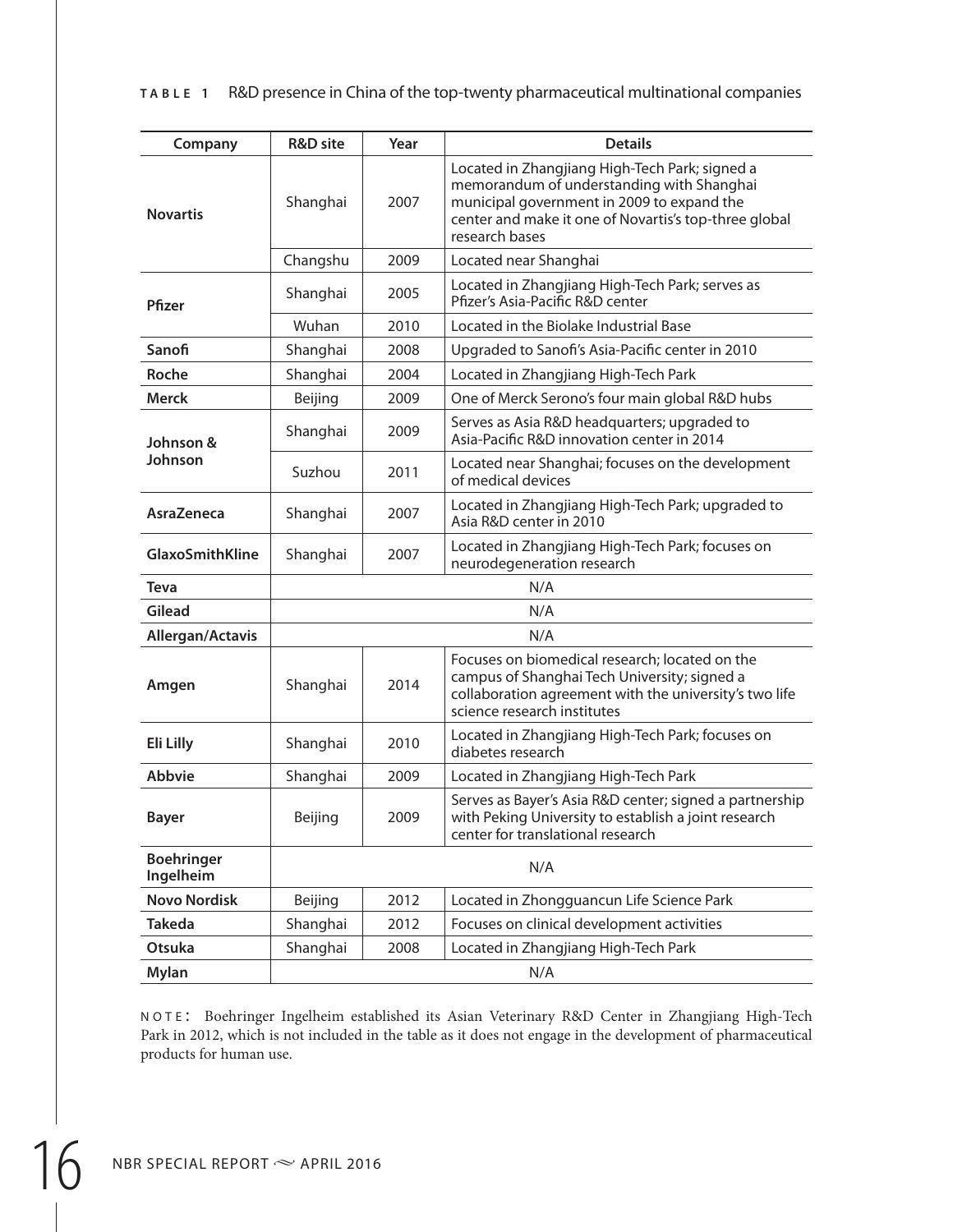#### **t a b l e 1** R&D presence in China of the top-twenty pharmaceutical multinational companies

| Company                        | <b>R&amp;D</b> site | Year | <b>Details</b>                                                                                                                                                                                                       |
|--------------------------------|---------------------|------|----------------------------------------------------------------------------------------------------------------------------------------------------------------------------------------------------------------------|
| <b>Novartis</b>                | Shanghai            | 2007 | Located in Zhangjiang High-Tech Park; signed a<br>memorandum of understanding with Shanghai<br>municipal government in 2009 to expand the<br>center and make it one of Novartis's top-three global<br>research bases |
|                                | Changshu            | 2009 | Located near Shanghai                                                                                                                                                                                                |
| Pfizer                         | Shanghai            | 2005 | Located in Zhangjiang High-Tech Park; serves as<br>Pfizer's Asia-Pacific R&D center                                                                                                                                  |
|                                | Wuhan               | 2010 | Located in the Biolake Industrial Base                                                                                                                                                                               |
| Sanofi                         | Shanghai            | 2008 | Upgraded to Sanofi's Asia-Pacific center in 2010                                                                                                                                                                     |
| Roche                          | Shanghai            | 2004 | Located in Zhangjiang High-Tech Park                                                                                                                                                                                 |
| Merck                          | Beijing             | 2009 | One of Merck Serono's four main global R&D hubs                                                                                                                                                                      |
| Johnson &<br>Johnson           | Shanghai            | 2009 | Serves as Asia R&D headquarters; upgraded to<br>Asia-Pacific R&D innovation center in 2014                                                                                                                           |
|                                | Suzhou              | 2011 | Located near Shanghai; focuses on the development<br>of medical devices                                                                                                                                              |
| AsraZeneca                     | Shanghai            | 2007 | Located in Zhangjiang High-Tech Park; upgraded to<br>Asia R&D center in 2010                                                                                                                                         |
| GlaxoSmithKline                | Shanghai            | 2007 | Located in Zhangjiang High-Tech Park; focuses on<br>neurodegeneration research                                                                                                                                       |
| Teva                           | N/A                 |      |                                                                                                                                                                                                                      |
| Gilead                         | N/A                 |      |                                                                                                                                                                                                                      |
| Allergan/Actavis               | N/A                 |      |                                                                                                                                                                                                                      |
| Amgen                          | Shanghai            | 2014 | Focuses on biomedical research; located on the<br>campus of Shanghai Tech University; signed a<br>collaboration agreement with the university's two life<br>science research institutes                              |
| <b>Eli Lilly</b>               | Shanghai            | 2010 | Located in Zhangjiang High-Tech Park; focuses on<br>diabetes research                                                                                                                                                |
| Abbvie                         | Shanghai            | 2009 | Located in Zhangjiang High-Tech Park                                                                                                                                                                                 |
| <b>Bayer</b>                   | Beijing             | 2009 | Serves as Bayer's Asia R&D center; signed a partnership<br>with Peking University to establish a joint research<br>center for translational research                                                                 |
| <b>Boehringer</b><br>Ingelheim | N/A                 |      |                                                                                                                                                                                                                      |
| <b>Novo Nordisk</b>            | Beijing             | 2012 | Located in Zhongguancun Life Science Park                                                                                                                                                                            |
| <b>Takeda</b>                  | Shanghai            | 2012 | Focuses on clinical development activities                                                                                                                                                                           |
| Otsuka                         | Shanghai            | 2008 | Located in Zhangjiang High-Tech Park                                                                                                                                                                                 |
| <b>Mylan</b>                   | N/A                 |      |                                                                                                                                                                                                                      |

NOTE: Boehringer Ingelheim established its Asian Veterinary R&D Center in Zhangjiang High-Tech Park in 2012, which is not included in the table as it does not engage in the development of pharmaceutical products for human use.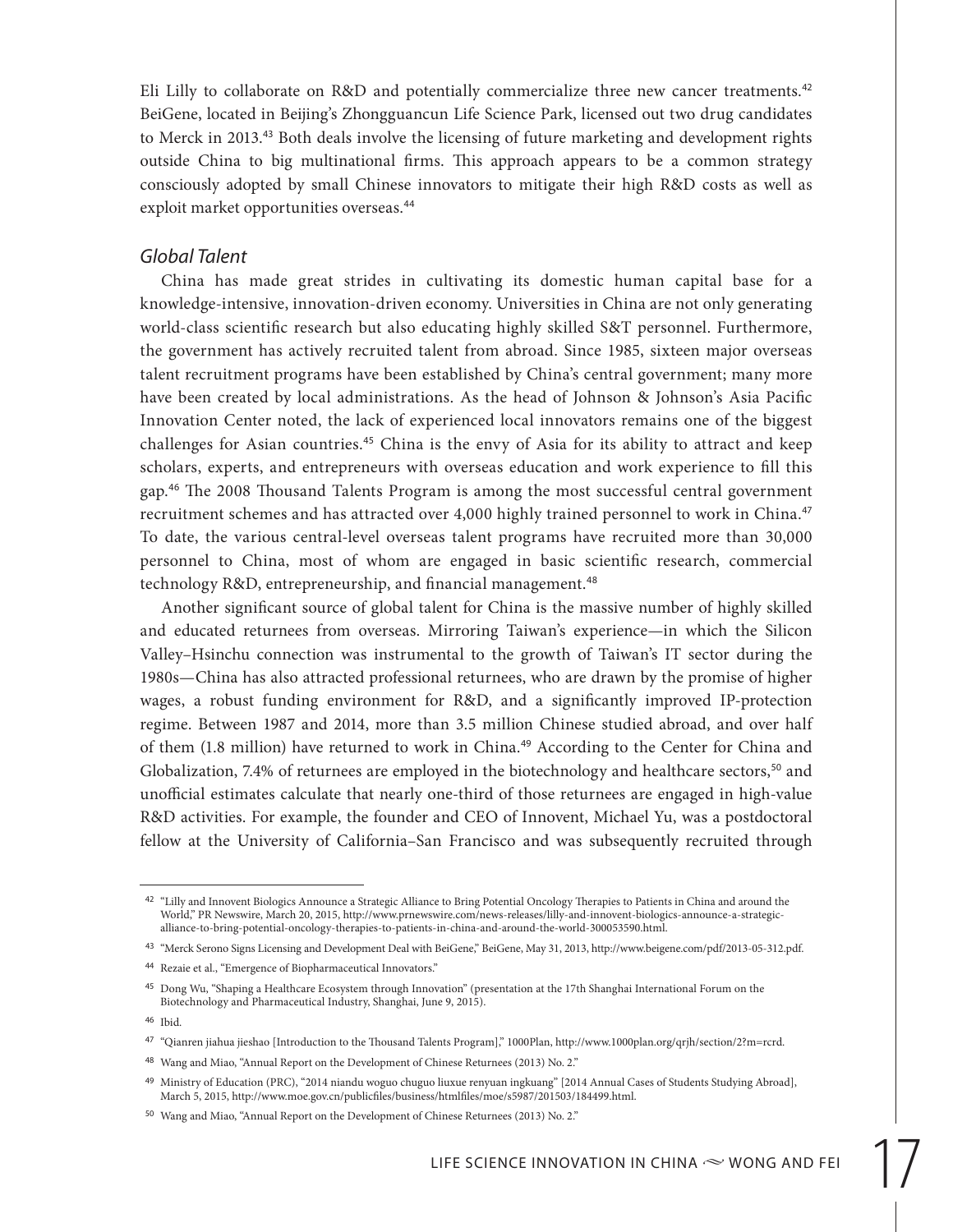Eli Lilly to collaborate on R&D and potentially commercialize three new cancer treatments.<sup>42</sup> BeiGene, located in Beijing's Zhongguancun Life Science Park, licensed out two drug candidates to Merck in 2013.<sup>43</sup> Both deals involve the licensing of future marketing and development rights outside China to big multinational firms. This approach appears to be a common strategy consciously adopted by small Chinese innovators to mitigate their high R&D costs as well as exploit market opportunities overseas.<sup>44</sup>

#### *Global Talent*

China has made great strides in cultivating its domestic human capital base for a knowledge-intensive, innovation-driven economy. Universities in China are not only generating world-class scientific research but also educating highly skilled S&T personnel. Furthermore, the government has actively recruited talent from abroad. Since 1985, sixteen major overseas talent recruitment programs have been established by China's central government; many more have been created by local administrations. As the head of Johnson & Johnson's Asia Pacific Innovation Center noted, the lack of experienced local innovators remains one of the biggest challenges for Asian countries.<sup>45</sup> China is the envy of Asia for its ability to attract and keep scholars, experts, and entrepreneurs with overseas education and work experience to fill this gap.<sup>46</sup> The 2008 Thousand Talents Program is among the most successful central government recruitment schemes and has attracted over 4,000 highly trained personnel to work in China.<sup>47</sup> To date, the various central-level overseas talent programs have recruited more than 30,000 personnel to China, most of whom are engaged in basic scientific research, commercial technology R&D, entrepreneurship, and financial management.<sup>48</sup>

Another significant source of global talent for China is the massive number of highly skilled and educated returnees from overseas. Mirroring Taiwan's experience—in which the Silicon Valley–Hsinchu connection was instrumental to the growth of Taiwan's IT sector during the 1980s—China has also attracted professional returnees, who are drawn by the promise of higher wages, a robust funding environment for R&D, and a significantly improved IP-protection regime. Between 1987 and 2014, more than 3.5 million Chinese studied abroad, and over half of them (1.8 million) have returned to work in China.<sup>49</sup> According to the Center for China and Globalization, 7.4% of returnees are employed in the biotechnology and healthcare sectors,<sup>50</sup> and unofficial estimates calculate that nearly one-third of those returnees are engaged in high-value R&D activities. For example, the founder and CEO of Innovent, Michael Yu, was a postdoctoral fellow at the University of California–San Francisco and was subsequently recruited through

<sup>42</sup> "Lilly and Innovent Biologics Announce a Strategic Alliance to Bring Potential Oncology Therapies to Patients in China and around the World," PR Newswire, March 20, 2015, http://www.prnewswire.com/news-releases/lilly-and-innovent-biologics-announce-a-strategicalliance-to-bring-potential-oncology-therapies-to-patients-in-china-and-around-the-world-300053590.html.

<sup>43</sup> "Merck Serono Signs Licensing and Development Deal with BeiGene," BeiGene, May 31, 2013, http://www.beigene.com/pdf/2013-05-312.pdf.

<sup>44</sup> Rezaie et al., "Emergence of Biopharmaceutical Innovators."

<sup>45</sup> Dong Wu, "Shaping a Healthcare Ecosystem through Innovation" (presentation at the 17th Shanghai International Forum on the Biotechnology and Pharmaceutical Industry, Shanghai, June 9, 2015).

<sup>46</sup> Ibid.

<sup>47</sup> "Qianren jiahua jieshao [Introduction to the Thousand Talents Program]," 1000Plan, http://www.1000plan.org/qrjh/section/2?m=rcrd.

<sup>48</sup> Wang and Miao, "Annual Report on the Development of Chinese Returnees (2013) No. 2."

<sup>49</sup> Ministry of Education (PRC), "2014 niandu woguo chuguo liuxue renyuan ingkuang" [2014 Annual Cases of Students Studying Abroad], March 5, 2015, http://www.moe.gov.cn/publicfiles/business/htmlfiles/moe/s5987/201503/184499.html.

<sup>50</sup> Wang and Miao, "Annual Report on the Development of Chinese Returnees (2013) No. 2."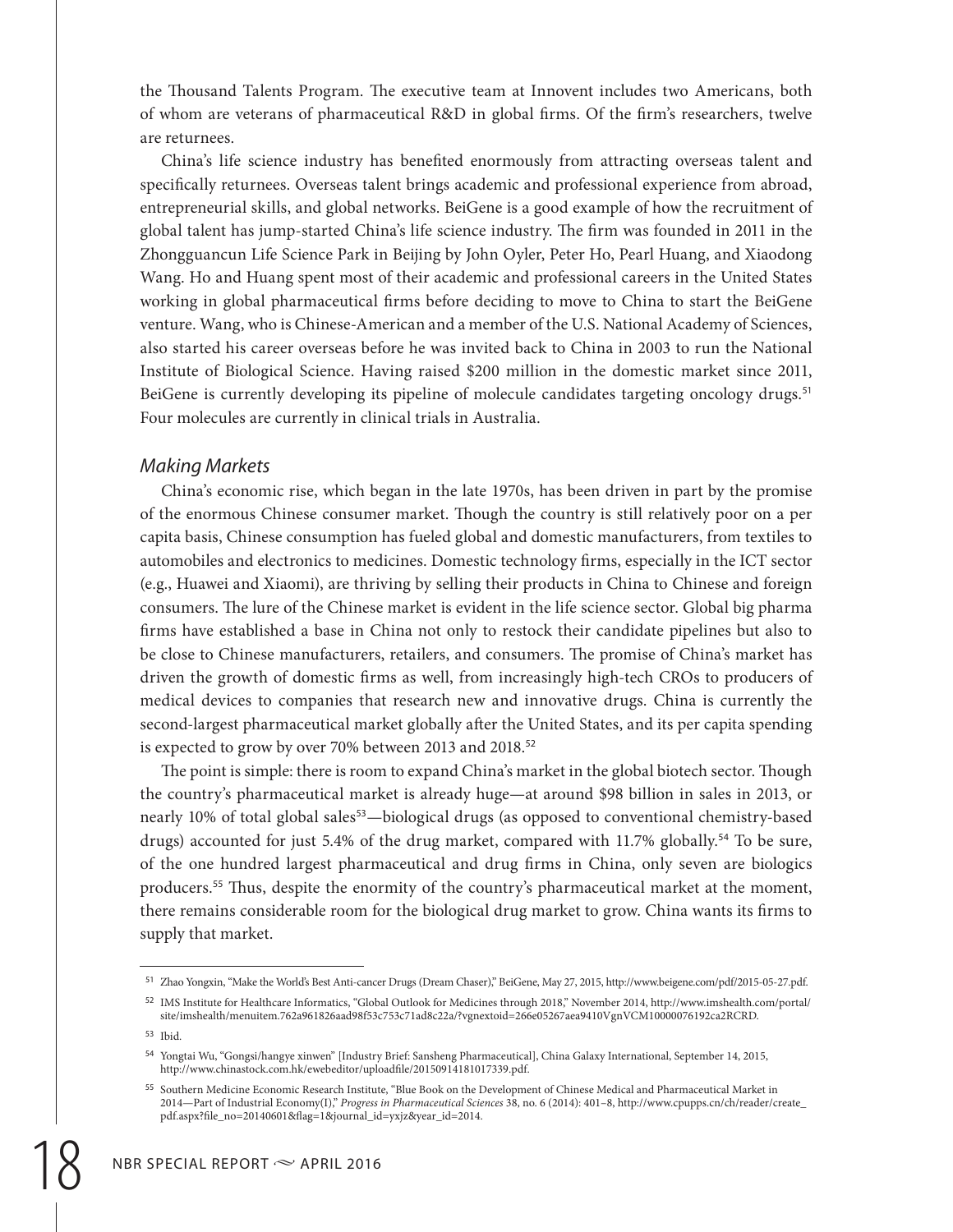the Thousand Talents Program. The executive team at Innovent includes two Americans, both of whom are veterans of pharmaceutical R&D in global firms. Of the firm's researchers, twelve are returnees.

China's life science industry has benefited enormously from attracting overseas talent and specifically returnees. Overseas talent brings academic and professional experience from abroad, entrepreneurial skills, and global networks. BeiGene is a good example of how the recruitment of global talent has jump-started China's life science industry. The firm was founded in 2011 in the Zhongguancun Life Science Park in Beijing by John Oyler, Peter Ho, Pearl Huang, and Xiaodong Wang. Ho and Huang spent most of their academic and professional careers in the United States working in global pharmaceutical firms before deciding to move to China to start the BeiGene venture. Wang, who is Chinese-American and a member of the U.S. National Academy of Sciences, also started his career overseas before he was invited back to China in 2003 to run the National Institute of Biological Science. Having raised \$200 million in the domestic market since 2011, BeiGene is currently developing its pipeline of molecule candidates targeting oncology drugs.<sup>51</sup> Four molecules are currently in clinical trials in Australia.

#### *Making Markets*

China's economic rise, which began in the late 1970s, has been driven in part by the promise of the enormous Chinese consumer market. Though the country is still relatively poor on a per capita basis, Chinese consumption has fueled global and domestic manufacturers, from textiles to automobiles and electronics to medicines. Domestic technology firms, especially in the ICT sector (e.g., Huawei and Xiaomi), are thriving by selling their products in China to Chinese and foreign consumers. The lure of the Chinese market is evident in the life science sector. Global big pharma firms have established a base in China not only to restock their candidate pipelines but also to be close to Chinese manufacturers, retailers, and consumers. The promise of China's market has driven the growth of domestic firms as well, from increasingly high-tech CROs to producers of medical devices to companies that research new and innovative drugs. China is currently the second-largest pharmaceutical market globally after the United States, and its per capita spending is expected to grow by over 70% between 2013 and 2018.<sup>52</sup>

The point is simple: there is room to expand China's market in the global biotech sector. Though the country's pharmaceutical market is already huge—at around \$98 billion in sales in 2013, or nearly 10% of total global sales<sup>53</sup>—biological drugs (as opposed to conventional chemistry-based drugs) accounted for just 5.4% of the drug market, compared with 11.7% globally.<sup>54</sup> To be sure, of the one hundred largest pharmaceutical and drug firms in China, only seven are biologics producers.<sup>55</sup> Thus, despite the enormity of the country's pharmaceutical market at the moment, there remains considerable room for the biological drug market to grow. China wants its firms to supply that market.

<sup>51</sup> Zhao Yongxin, "Make the World's Best Anti-cancer Drugs (Dream Chaser)," BeiGene, May 27, 2015, http://www.beigene.com/pdf/2015-05-27.pdf.

<sup>52</sup> IMS Institute for Healthcare Informatics, "Global Outlook for Medicines through 2018," November 2014, http://www.imshealth.com/portal/ site/imshealth/menuitem.762a961826aad98f53c753c71ad8c22a/?vgnextoid=266e05267aea9410VgnVCM10000076192ca2RCRD.

<sup>53</sup> Ibid.

<sup>54</sup> Yongtai Wu, "Gongsi/hangye xinwen" [Industry Brief: Sansheng Pharmaceutical], China Galaxy International, September 14, 2015, http://www.chinastock.com.hk/ewebeditor/uploadfile/20150914181017339.pdf.

<sup>55</sup> Southern Medicine Economic Research Institute, "Blue Book on the Development of Chinese Medical and Pharmaceutical Market in 2014—Part of Industrial Economy(I)," *Progress in Pharmaceutical Sciences* 38, no. 6 (2014): 401–8, http://www.cpupps.cn/ch/reader/create\_ pdf.aspx?file\_no=20140601&flag=1&journal\_id=yxjz&year\_id=2014.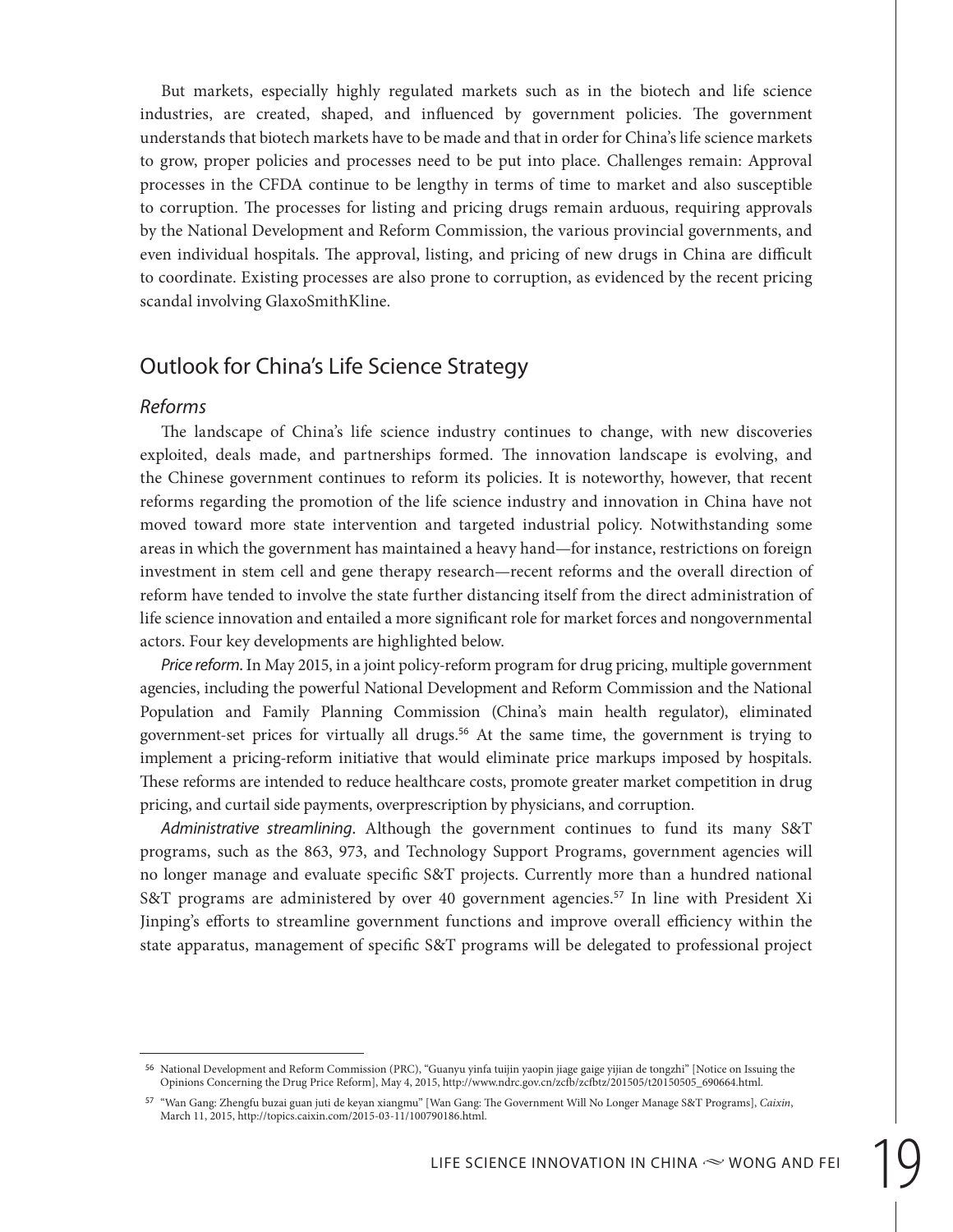But markets, especially highly regulated markets such as in the biotech and life science industries, are created, shaped, and influenced by government policies. The government understands that biotech markets have to be made and that in order for China's life science markets to grow, proper policies and processes need to be put into place. Challenges remain: Approval processes in the CFDA continue to be lengthy in terms of time to market and also susceptible to corruption. The processes for listing and pricing drugs remain arduous, requiring approvals by the National Development and Reform Commission, the various provincial governments, and even individual hospitals. The approval, listing, and pricing of new drugs in China are difficult to coordinate. Existing processes are also prone to corruption, as evidenced by the recent pricing scandal involving GlaxoSmithKline.

#### Outlook for China's Life Science Strategy

#### *Reforms*

The landscape of China's life science industry continues to change, with new discoveries exploited, deals made, and partnerships formed. The innovation landscape is evolving, and the Chinese government continues to reform its policies. It is noteworthy, however, that recent reforms regarding the promotion of the life science industry and innovation in China have not moved toward more state intervention and targeted industrial policy. Notwithstanding some areas in which the government has maintained a heavy hand—for instance, restrictions on foreign investment in stem cell and gene therapy research—recent reforms and the overall direction of reform have tended to involve the state further distancing itself from the direct administration of life science innovation and entailed a more significant role for market forces and nongovernmental actors. Four key developments are highlighted below.

*Price reform*. In May 2015, in a joint policy-reform program for drug pricing, multiple government agencies, including the powerful National Development and Reform Commission and the National Population and Family Planning Commission (China's main health regulator), eliminated government-set prices for virtually all drugs.<sup>56</sup> At the same time, the government is trying to implement a pricing-reform initiative that would eliminate price markups imposed by hospitals. These reforms are intended to reduce healthcare costs, promote greater market competition in drug pricing, and curtail side payments, overprescription by physicians, and corruption.

*Administrative streamlining*. Although the government continues to fund its many S&T programs, such as the 863, 973, and Technology Support Programs, government agencies will no longer manage and evaluate specific S&T projects. Currently more than a hundred national S&T programs are administered by over 40 government agencies.<sup>57</sup> In line with President Xi Jinping's efforts to streamline government functions and improve overall efficiency within the state apparatus, management of specific S&T programs will be delegated to professional project

<sup>56</sup> National Development and Reform Commission (PRC), "Guanyu yinfa tuijin yaopin jiage gaige yijian de tongzhi" [Notice on Issuing the Opinions Concerning the Drug Price Reform], May 4, 2015, http://www.ndrc.gov.cn/zcfb/zcfbtz/201505/t20150505\_690664.html.

<sup>57</sup> "Wan Gang: Zhengfu buzai guan juti de keyan xiangmu" [Wan Gang: The Government Will No Longer Manage S&T Programs], *Caixin*, March 11, 2015, http://topics.caixin.com/2015-03-11/100790186.html.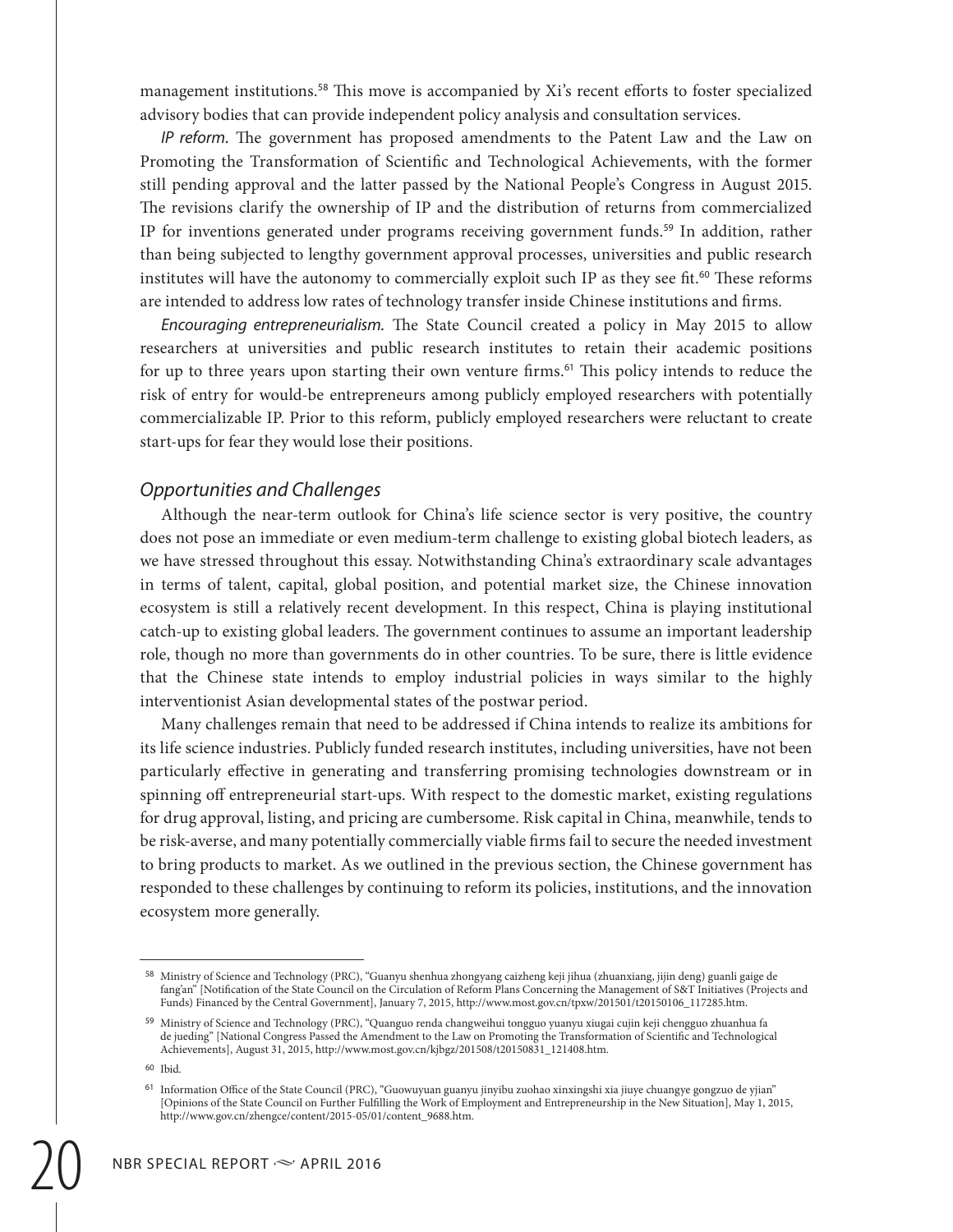management institutions.<sup>58</sup> This move is accompanied by Xi's recent efforts to foster specialized advisory bodies that can provide independent policy analysis and consultation services.

*IP reform*. The government has proposed amendments to the Patent Law and the Law on Promoting the Transformation of Scientific and Technological Achievements, with the former still pending approval and the latter passed by the National People's Congress in August 2015. The revisions clarify the ownership of IP and the distribution of returns from commercialized IP for inventions generated under programs receiving government funds.<sup>59</sup> In addition, rather than being subjected to lengthy government approval processes, universities and public research institutes will have the autonomy to commercially exploit such IP as they see fit.<sup>60</sup> These reforms are intended to address low rates of technology transfer inside Chinese institutions and firms.

*Encouraging entrepreneurialism.* The State Council created a policy in May 2015 to allow researchers at universities and public research institutes to retain their academic positions for up to three years upon starting their own venture firms.<sup>61</sup> This policy intends to reduce the risk of entry for would-be entrepreneurs among publicly employed researchers with potentially commercializable IP. Prior to this reform, publicly employed researchers were reluctant to create start-ups for fear they would lose their positions.

#### *Opportunities and Challenges*

Although the near-term outlook for China's life science sector is very positive, the country does not pose an immediate or even medium-term challenge to existing global biotech leaders, as we have stressed throughout this essay. Notwithstanding China's extraordinary scale advantages in terms of talent, capital, global position, and potential market size, the Chinese innovation ecosystem is still a relatively recent development. In this respect, China is playing institutional catch-up to existing global leaders. The government continues to assume an important leadership role, though no more than governments do in other countries. To be sure, there is little evidence that the Chinese state intends to employ industrial policies in ways similar to the highly interventionist Asian developmental states of the postwar period.

Many challenges remain that need to be addressed if China intends to realize its ambitions for its life science industries. Publicly funded research institutes, including universities, have not been particularly effective in generating and transferring promising technologies downstream or in spinning off entrepreneurial start-ups. With respect to the domestic market, existing regulations for drug approval, listing, and pricing are cumbersome. Risk capital in China, meanwhile, tends to be risk-averse, and many potentially commercially viable firms fail to secure the needed investment to bring products to market. As we outlined in the previous section, the Chinese government has responded to these challenges by continuing to reform its policies, institutions, and the innovation ecosystem more generally.

<sup>58</sup> Ministry of Science and Technology (PRC), "Guanyu shenhua zhongyang caizheng keji jihua (zhuanxiang, jijin deng) guanli gaige de fang'an" [Notification of the State Council on the Circulation of Reform Plans Concerning the Management of S&T Initiatives (Projects and Funds) Financed by the Central Government], January 7, 2015, http://www.most.gov.cn/tpxw/201501/t20150106\_117285.htm.

<sup>59</sup> Ministry of Science and Technology (PRC), "Quanguo renda changweihui tongguo yuanyu xiugai cujin keji chengguo zhuanhua fa de jueding" [National Congress Passed the Amendment to the Law on Promoting the Transformation of Scientific and Technological Achievements], August 31, 2015, http://www.most.gov.cn/kjbgz/201508/t20150831\_121408.htm.

<sup>60</sup> Ibid.

<sup>61</sup> Information Office of the State Council (PRC), "Guowuyuan guanyu jinyibu zuohao xinxingshi xia jiuye chuangye gongzuo de yjian" [Opinions of the State Council on Further Fulfilling the Work of Employment and Entrepreneurship in the New Situation], May 1, 2015, http://www.gov.cn/zhengce/content/2015-05/01/content\_9688.htm.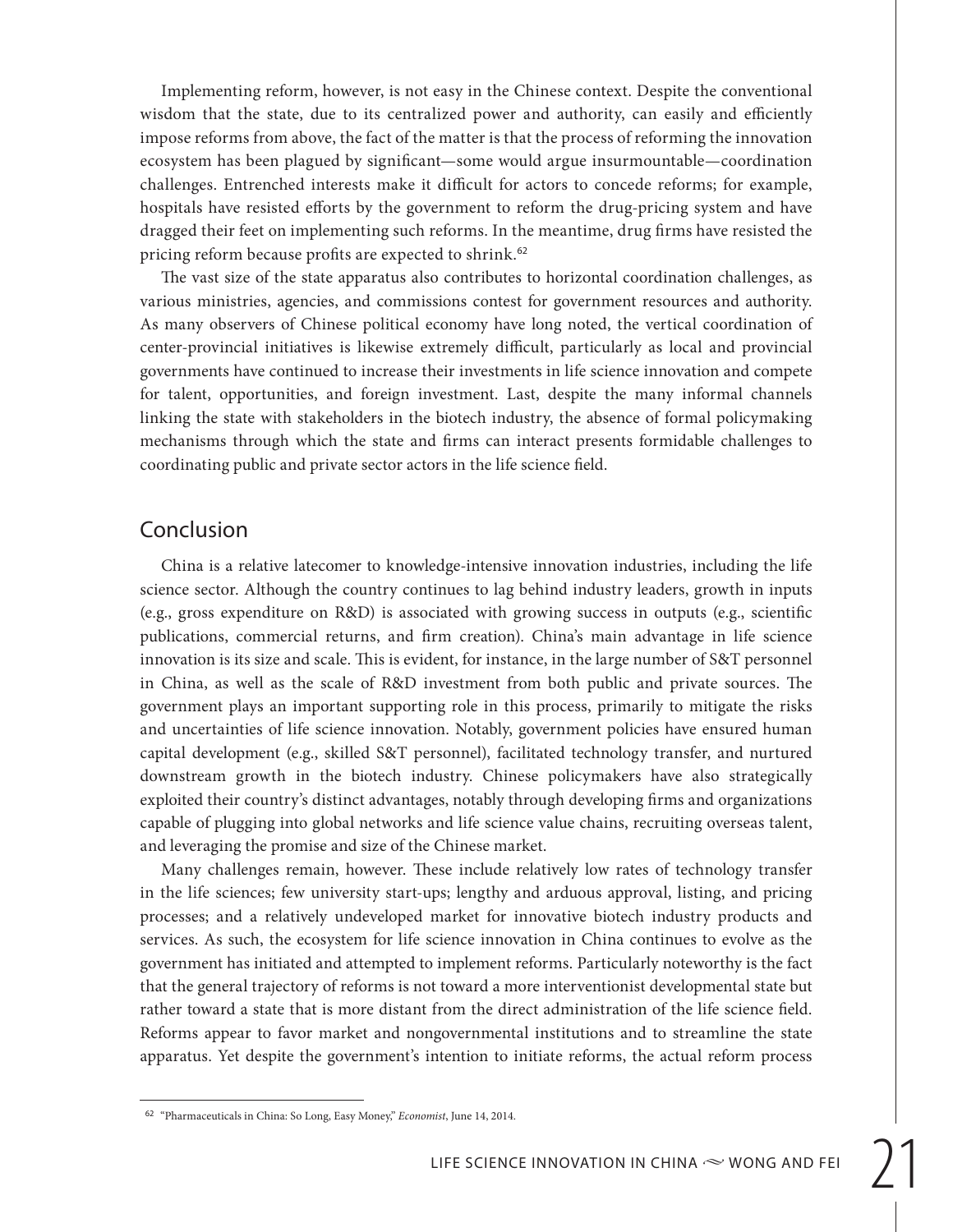Implementing reform, however, is not easy in the Chinese context. Despite the conventional wisdom that the state, due to its centralized power and authority, can easily and efficiently impose reforms from above, the fact of the matter is that the process of reforming the innovation ecosystem has been plagued by significant—some would argue insurmountable—coordination challenges. Entrenched interests make it difficult for actors to concede reforms; for example, hospitals have resisted efforts by the government to reform the drug-pricing system and have dragged their feet on implementing such reforms. In the meantime, drug firms have resisted the pricing reform because profits are expected to shrink.<sup>62</sup>

The vast size of the state apparatus also contributes to horizontal coordination challenges, as various ministries, agencies, and commissions contest for government resources and authority. As many observers of Chinese political economy have long noted, the vertical coordination of center-provincial initiatives is likewise extremely difficult, particularly as local and provincial governments have continued to increase their investments in life science innovation and compete for talent, opportunities, and foreign investment. Last, despite the many informal channels linking the state with stakeholders in the biotech industry, the absence of formal policymaking mechanisms through which the state and firms can interact presents formidable challenges to coordinating public and private sector actors in the life science field.

#### Conclusion

China is a relative latecomer to knowledge-intensive innovation industries, including the life science sector. Although the country continues to lag behind industry leaders, growth in inputs (e.g., gross expenditure on R&D) is associated with growing success in outputs (e.g., scientific publications, commercial returns, and firm creation). China's main advantage in life science innovation is its size and scale. This is evident, for instance, in the large number of S&T personnel in China, as well as the scale of R&D investment from both public and private sources. The government plays an important supporting role in this process, primarily to mitigate the risks and uncertainties of life science innovation. Notably, government policies have ensured human capital development (e.g., skilled S&T personnel), facilitated technology transfer, and nurtured downstream growth in the biotech industry. Chinese policymakers have also strategically exploited their country's distinct advantages, notably through developing firms and organizations capable of plugging into global networks and life science value chains, recruiting overseas talent, and leveraging the promise and size of the Chinese market.

Many challenges remain, however. These include relatively low rates of technology transfer in the life sciences; few university start-ups; lengthy and arduous approval, listing, and pricing processes; and a relatively undeveloped market for innovative biotech industry products and services. As such, the ecosystem for life science innovation in China continues to evolve as the government has initiated and attempted to implement reforms. Particularly noteworthy is the fact that the general trajectory of reforms is not toward a more interventionist developmental state but rather toward a state that is more distant from the direct administration of the life science field. Reforms appear to favor market and nongovernmental institutions and to streamline the state apparatus. Yet despite the government's intention to initiate reforms, the actual reform process

<sup>62</sup> "Pharmaceuticals in China: So Long, Easy Money," *Economist*, June 14, 2014.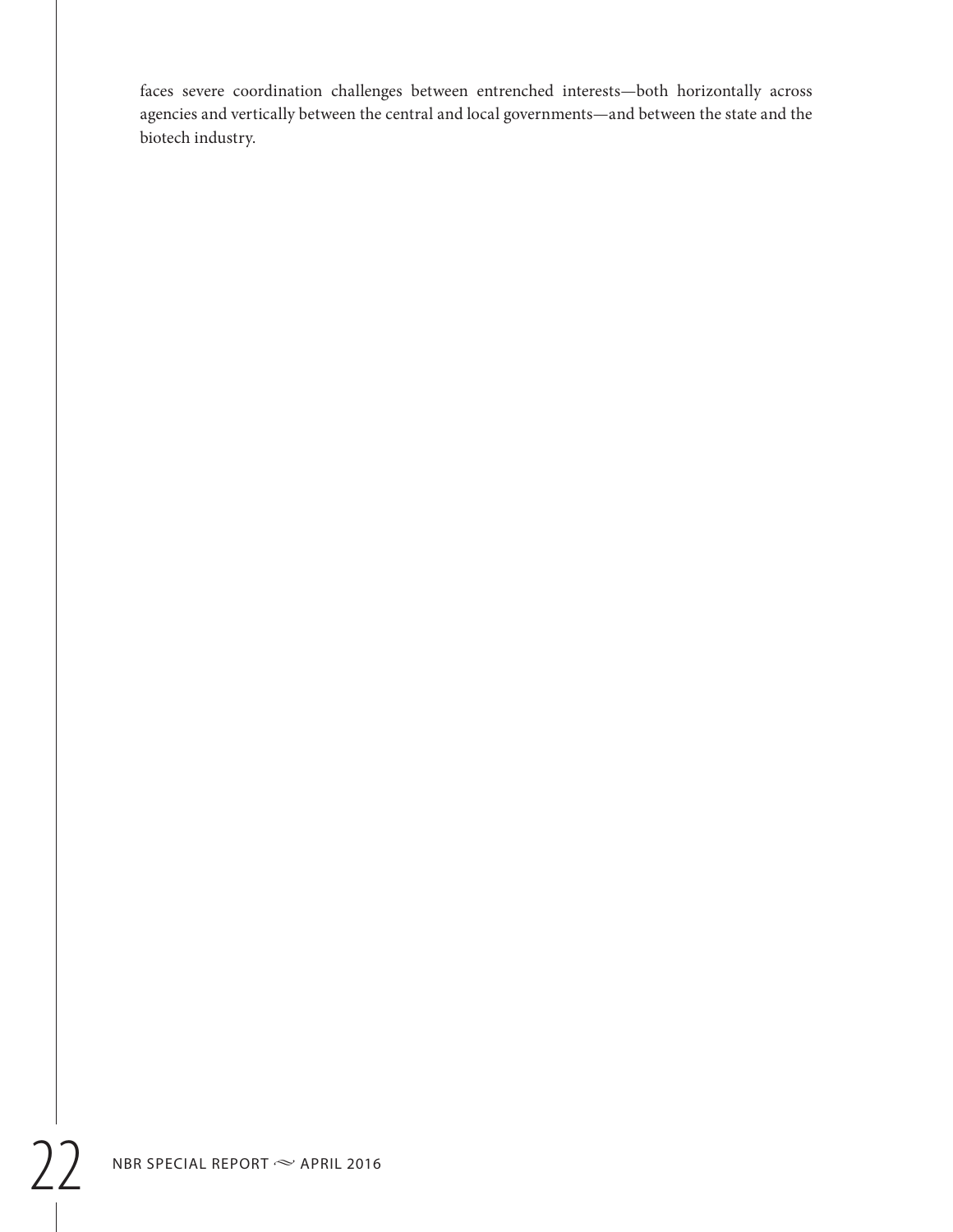faces severe coordination challenges between entrenched interests—both horizontally across agencies and vertically between the central and local governments—and between the state and the biotech industry.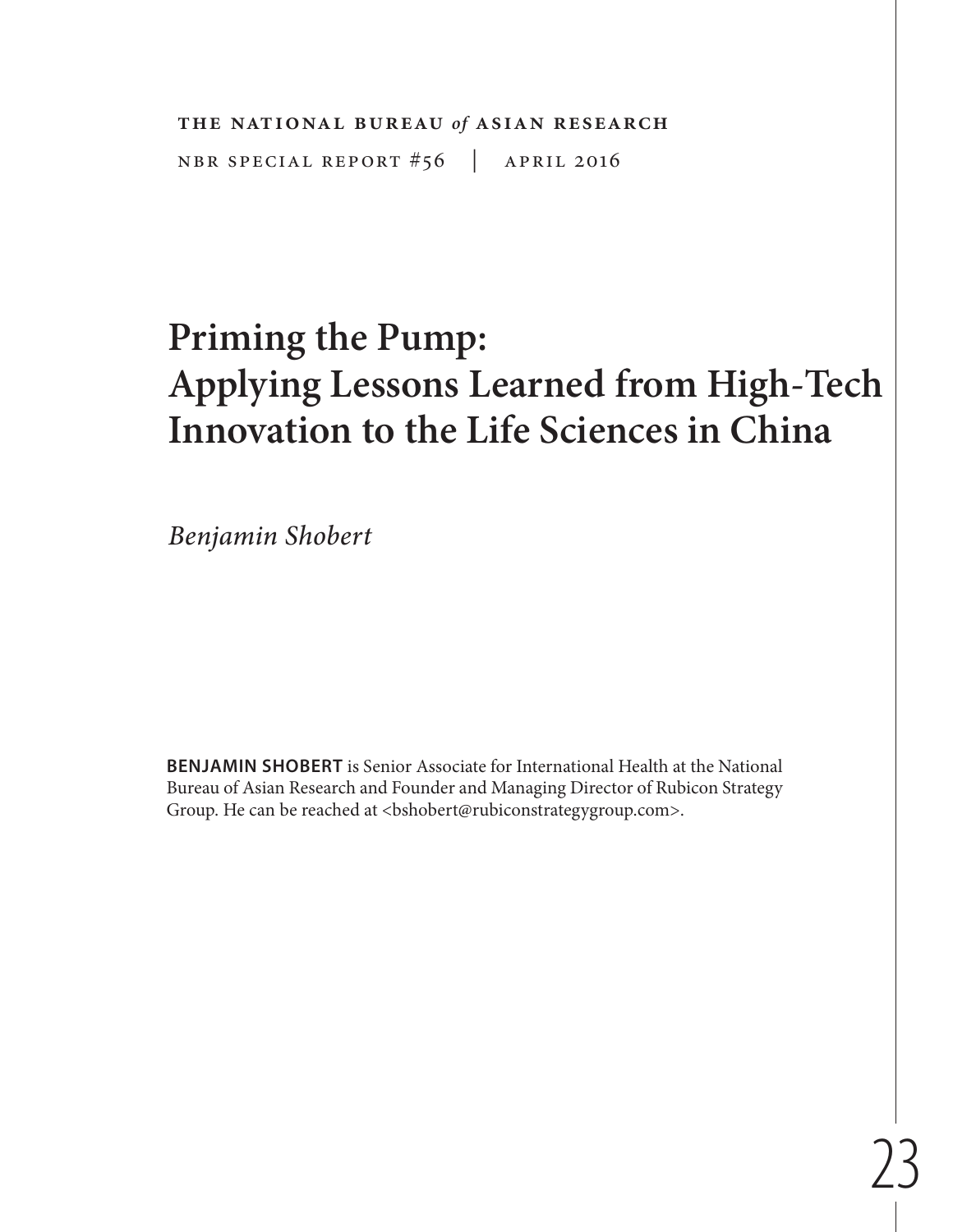#### **the national bureau** *of* **asian research**

nbr special report #56 | april 2016

## **Priming the Pump: Applying Lessons Learned from High-Tech Innovation to the Life Sciences in China**

*Benjamin Shobert*

**BENJAMIN SHOBERT** is Senior Associate for International Health at the National Bureau of Asian Research and Founder and Managing Director of Rubicon Strategy Group. He can be reached at <bshobert@rubiconstrategygroup.com>.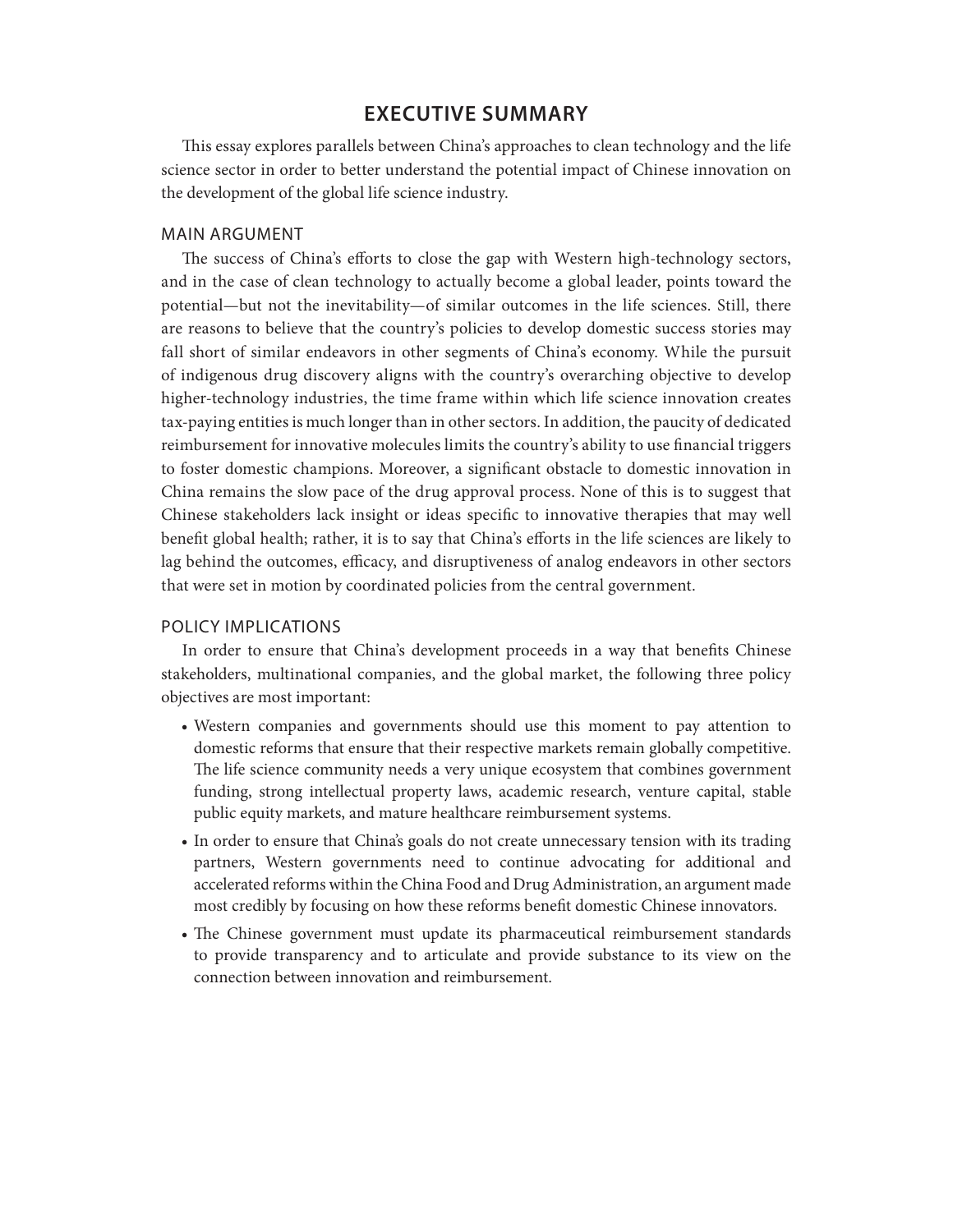#### **EXECUTIVE SUMMARY**

This essay explores parallels between China's approaches to clean technology and the life science sector in order to better understand the potential impact of Chinese innovation on the development of the global life science industry.

#### MAIN ARGUMENT

The success of China's efforts to close the gap with Western high-technology sectors, and in the case of clean technology to actually become a global leader, points toward the potential—but not the inevitability—of similar outcomes in the life sciences. Still, there are reasons to believe that the country's policies to develop domestic success stories may fall short of similar endeavors in other segments of China's economy. While the pursuit of indigenous drug discovery aligns with the country's overarching objective to develop higher-technology industries, the time frame within which life science innovation creates tax-paying entities is much longer than in other sectors. In addition, the paucity of dedicated reimbursement for innovative molecules limits the country's ability to use financial triggers to foster domestic champions. Moreover, a significant obstacle to domestic innovation in China remains the slow pace of the drug approval process. None of this is to suggest that Chinese stakeholders lack insight or ideas specific to innovative therapies that may well benefit global health; rather, it is to say that China's efforts in the life sciences are likely to lag behind the outcomes, efficacy, and disruptiveness of analog endeavors in other sectors that were set in motion by coordinated policies from the central government.

#### POLICY IMPLICATIONS

In order to ensure that China's development proceeds in a way that benefits Chinese stakeholders, multinational companies, and the global market, the following three policy objectives are most important:

- Western companies and governments should use this moment to pay attention to domestic reforms that ensure that their respective markets remain globally competitive. The life science community needs a very unique ecosystem that combines government funding, strong intellectual property laws, academic research, venture capital, stable public equity markets, and mature healthcare reimbursement systems.
- In order to ensure that China's goals do not create unnecessary tension with its trading partners, Western governments need to continue advocating for additional and accelerated reforms within the China Food and Drug Administration, an argument made most credibly by focusing on how these reforms benefit domestic Chinese innovators.
- The Chinese government must update its pharmaceutical reimbursement standards to provide transparency and to articulate and provide substance to its view on the connection between innovation and reimbursement.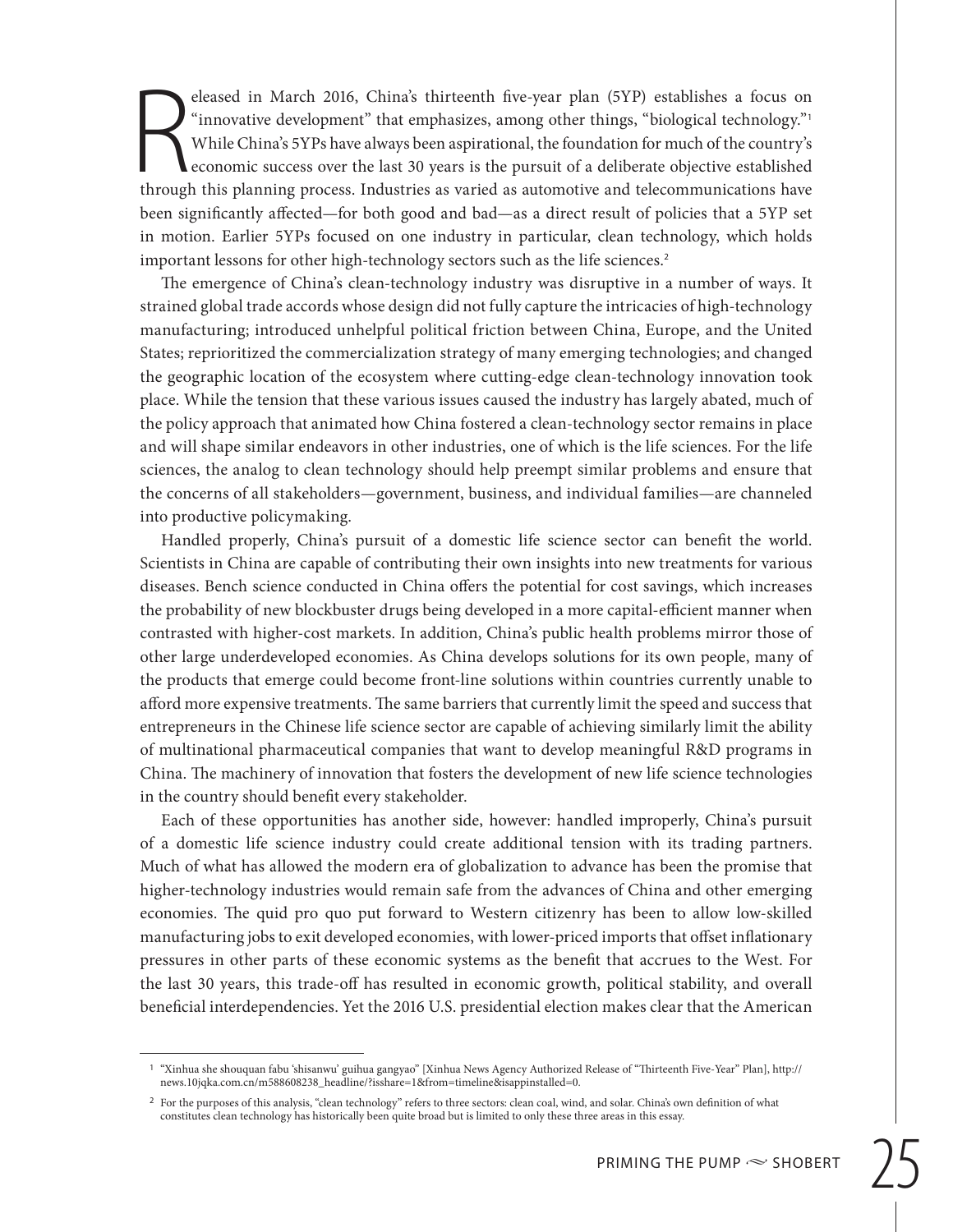eleased in March 2016, China's thirteenth five-year plan (5YP) establishes a focus on "innovative development" that emphasizes, among other things, "biological technology."<sup>1</sup> While China's 5YPs have always been aspiration eleased in March 2016, China's thirteenth five-year plan (5YP) establishes a focus on "innovative development" that emphasizes, among other things, "biological technology."<sup>1</sup> While China's 5YPs have always been aspirational, the foundation for much of the country's economic success over the last 30 years is the pursuit of a deliberate objective established been significantly affected—for both good and bad—as a direct result of policies that a 5YP set in motion. Earlier 5YPs focused on one industry in particular, clean technology, which holds important lessons for other high-technology sectors such as the life sciences.<sup>2</sup>

The emergence of China's clean-technology industry was disruptive in a number of ways. It strained global trade accords whose design did not fully capture the intricacies of high-technology manufacturing; introduced unhelpful political friction between China, Europe, and the United States; reprioritized the commercialization strategy of many emerging technologies; and changed the geographic location of the ecosystem where cutting-edge clean-technology innovation took place. While the tension that these various issues caused the industry has largely abated, much of the policy approach that animated how China fostered a clean-technology sector remains in place and will shape similar endeavors in other industries, one of which is the life sciences. For the life sciences, the analog to clean technology should help preempt similar problems and ensure that the concerns of all stakeholders—government, business, and individual families—are channeled into productive policymaking.

Handled properly, China's pursuit of a domestic life science sector can benefit the world. Scientists in China are capable of contributing their own insights into new treatments for various diseases. Bench science conducted in China offers the potential for cost savings, which increases the probability of new blockbuster drugs being developed in a more capital-efficient manner when contrasted with higher-cost markets. In addition, China's public health problems mirror those of other large underdeveloped economies. As China develops solutions for its own people, many of the products that emerge could become front-line solutions within countries currently unable to afford more expensive treatments. The same barriers that currently limit the speed and success that entrepreneurs in the Chinese life science sector are capable of achieving similarly limit the ability of multinational pharmaceutical companies that want to develop meaningful R&D programs in China. The machinery of innovation that fosters the development of new life science technologies in the country should benefit every stakeholder.

Each of these opportunities has another side, however: handled improperly, China's pursuit of a domestic life science industry could create additional tension with its trading partners. Much of what has allowed the modern era of globalization to advance has been the promise that higher-technology industries would remain safe from the advances of China and other emerging economies. The quid pro quo put forward to Western citizenry has been to allow low-skilled manufacturing jobs to exit developed economies, with lower-priced imports that offset inflationary pressures in other parts of these economic systems as the benefit that accrues to the West. For the last 30 years, this trade-off has resulted in economic growth, political stability, and overall beneficial interdependencies. Yet the 2016 U.S. presidential election makes clear that the American

<sup>1</sup> "Xinhua she shouquan fabu 'shisanwu' guihua gangyao" [Xinhua News Agency Authorized Release of "Thirteenth Five-Year" Plan], http:// news.10jqka.com.cn/m588608238\_headline/?isshare=1&from=timeline&isappinstalled=0.

<sup>2</sup> For the purposes of this analysis, "clean technology" refers to three sectors: clean coal, wind, and solar. China's own definition of what constitutes clean technology has historically been quite broad but is limited to only these three areas in this essay.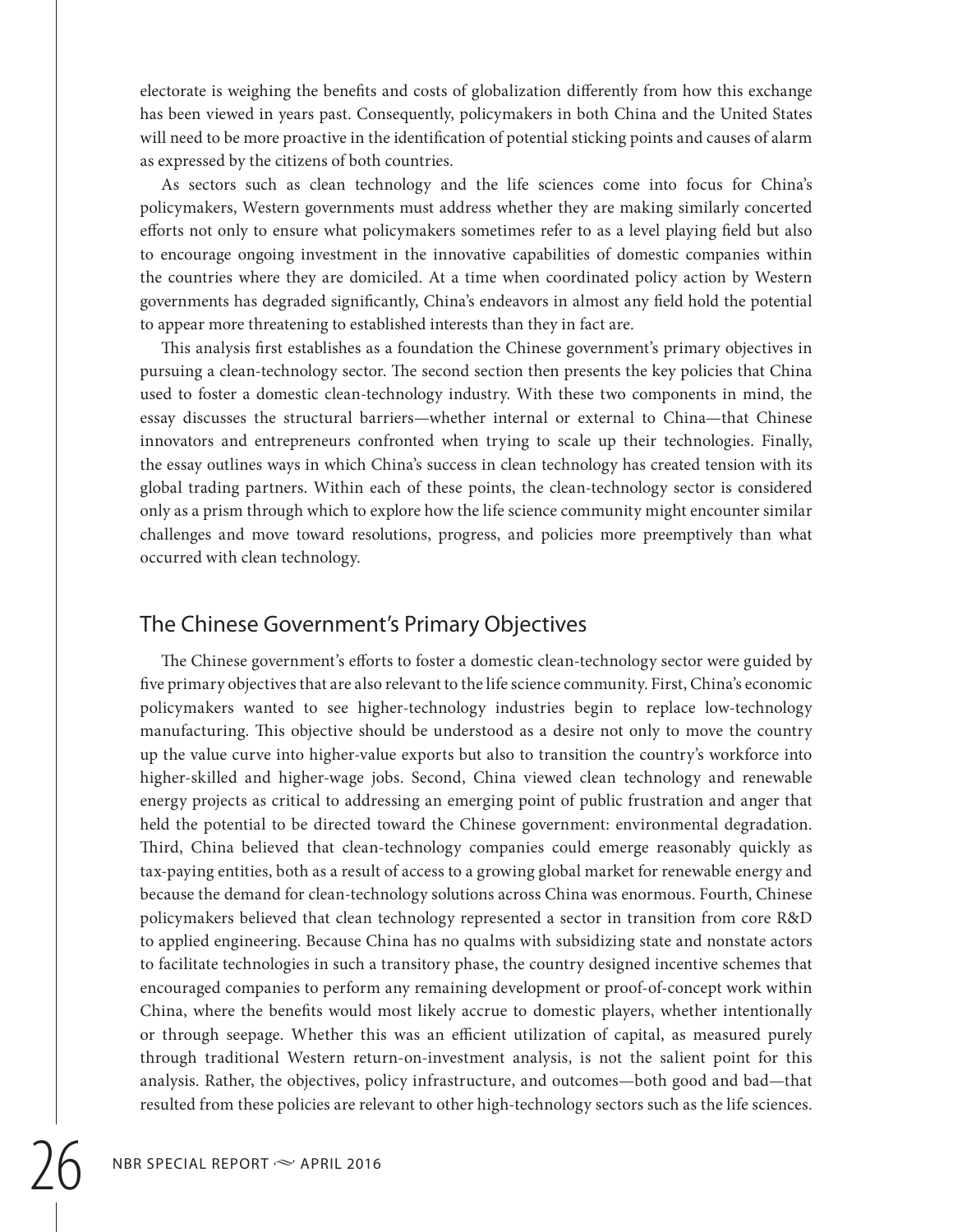electorate is weighing the benefits and costs of globalization differently from how this exchange has been viewed in years past. Consequently, policymakers in both China and the United States will need to be more proactive in the identification of potential sticking points and causes of alarm as expressed by the citizens of both countries.

As sectors such as clean technology and the life sciences come into focus for China's policymakers, Western governments must address whether they are making similarly concerted efforts not only to ensure what policymakers sometimes refer to as a level playing field but also to encourage ongoing investment in the innovative capabilities of domestic companies within the countries where they are domiciled. At a time when coordinated policy action by Western governments has degraded significantly, China's endeavors in almost any field hold the potential to appear more threatening to established interests than they in fact are.

This analysis first establishes as a foundation the Chinese government's primary objectives in pursuing a clean-technology sector. The second section then presents the key policies that China used to foster a domestic clean-technology industry. With these two components in mind, the essay discusses the structural barriers—whether internal or external to China—that Chinese innovators and entrepreneurs confronted when trying to scale up their technologies. Finally, the essay outlines ways in which China's success in clean technology has created tension with its global trading partners. Within each of these points, the clean-technology sector is considered only as a prism through which to explore how the life science community might encounter similar challenges and move toward resolutions, progress, and policies more preemptively than what occurred with clean technology.

#### The Chinese Government's Primary Objectives

The Chinese government's efforts to foster a domestic clean-technology sector were guided by five primary objectives that are also relevant to the life science community. First, China's economic policymakers wanted to see higher-technology industries begin to replace low-technology manufacturing. This objective should be understood as a desire not only to move the country up the value curve into higher-value exports but also to transition the country's workforce into higher-skilled and higher-wage jobs. Second, China viewed clean technology and renewable energy projects as critical to addressing an emerging point of public frustration and anger that held the potential to be directed toward the Chinese government: environmental degradation. Third, China believed that clean-technology companies could emerge reasonably quickly as tax-paying entities, both as a result of access to a growing global market for renewable energy and because the demand for clean-technology solutions across China was enormous. Fourth, Chinese policymakers believed that clean technology represented a sector in transition from core R&D to applied engineering. Because China has no qualms with subsidizing state and nonstate actors to facilitate technologies in such a transitory phase, the country designed incentive schemes that encouraged companies to perform any remaining development or proof-of-concept work within China, where the benefits would most likely accrue to domestic players, whether intentionally or through seepage. Whether this was an efficient utilization of capital, as measured purely through traditional Western return-on-investment analysis, is not the salient point for this analysis. Rather, the objectives, policy infrastructure, and outcomes—both good and bad—that resulted from these policies are relevant to other high-technology sectors such as the life sciences.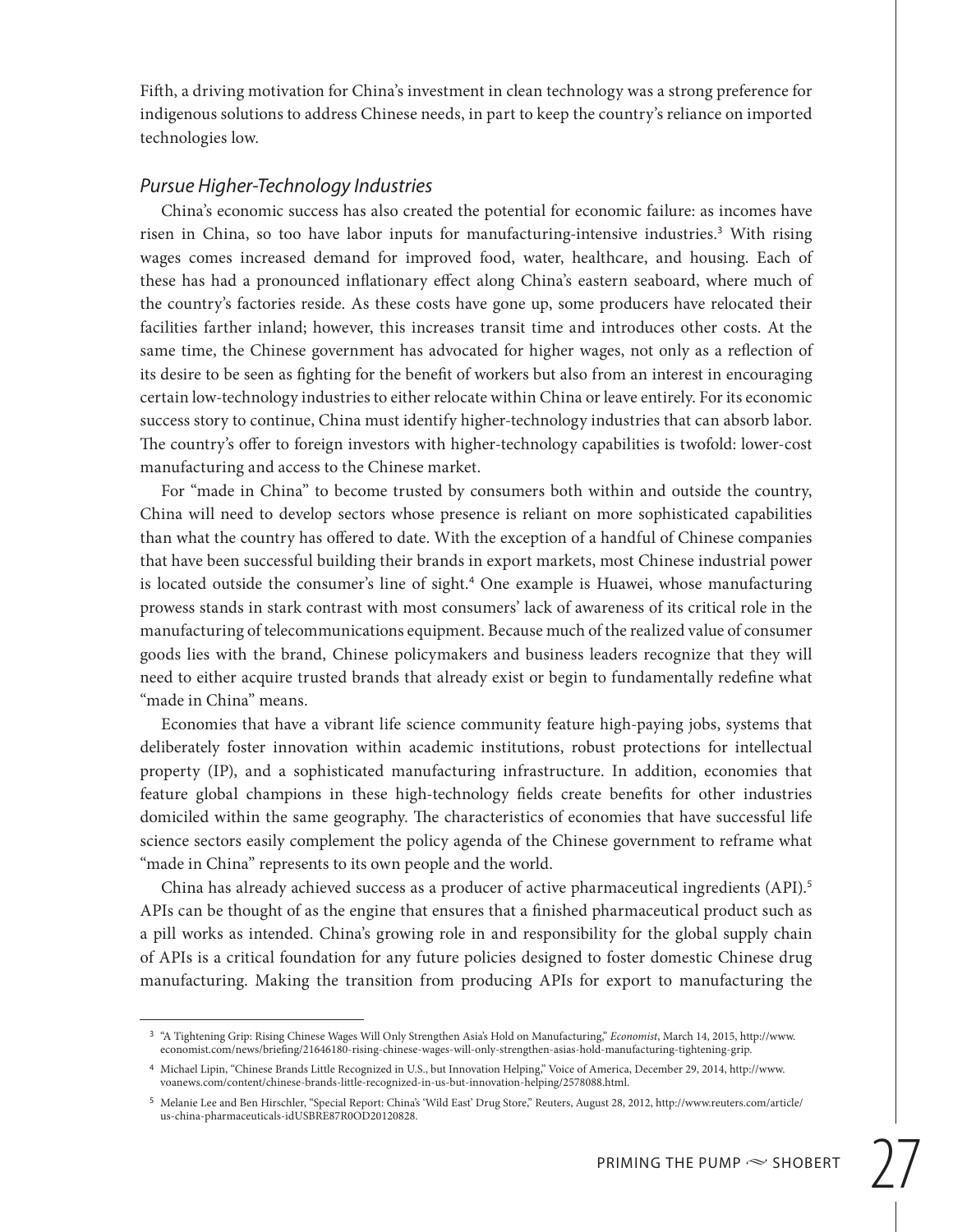Fifth, a driving motivation for China's investment in clean technology was a strong preference for indigenous solutions to address Chinese needs, in part to keep the country's reliance on imported technologies low.

#### *Pursue Higher-Technology Industries*

China's economic success has also created the potential for economic failure: as incomes have risen in China, so too have labor inputs for manufacturing-intensive industries.<sup>3</sup> With rising wages comes increased demand for improved food, water, healthcare, and housing. Each of these has had a pronounced inflationary effect along China's eastern seaboard, where much of the country's factories reside. As these costs have gone up, some producers have relocated their facilities farther inland; however, this increases transit time and introduces other costs. At the same time, the Chinese government has advocated for higher wages, not only as a reflection of its desire to be seen as fighting for the benefit of workers but also from an interest in encouraging certain low-technology industries to either relocate within China or leave entirely. For its economic success story to continue, China must identify higher-technology industries that can absorb labor. The country's offer to foreign investors with higher-technology capabilities is twofold: lower-cost manufacturing and access to the Chinese market.

For "made in China" to become trusted by consumers both within and outside the country, China will need to develop sectors whose presence is reliant on more sophisticated capabilities than what the country has offered to date. With the exception of a handful of Chinese companies that have been successful building their brands in export markets, most Chinese industrial power is located outside the consumer's line of sight.<sup>4</sup> One example is Huawei, whose manufacturing prowess stands in stark contrast with most consumers' lack of awareness of its critical role in the manufacturing of telecommunications equipment. Because much of the realized value of consumer goods lies with the brand, Chinese policymakers and business leaders recognize that they will need to either acquire trusted brands that already exist or begin to fundamentally redefine what "made in China" means.

Economies that have a vibrant life science community feature high-paying jobs, systems that deliberately foster innovation within academic institutions, robust protections for intellectual property (IP), and a sophisticated manufacturing infrastructure. In addition, economies that feature global champions in these high-technology fields create benefits for other industries domiciled within the same geography. The characteristics of economies that have successful life science sectors easily complement the policy agenda of the Chinese government to reframe what "made in China" represents to its own people and the world.

China has already achieved success as a producer of active pharmaceutical ingredients (API).<sup>5</sup> APIs can be thought of as the engine that ensures that a finished pharmaceutical product such as a pill works as intended. China's growing role in and responsibility for the global supply chain of APIs is a critical foundation for any future policies designed to foster domestic Chinese drug manufacturing. Making the transition from producing APIs for export to manufacturing the

<sup>3</sup> "A Tightening Grip: Rising Chinese Wages Will Only Strengthen Asia's Hold on Manufacturing," *Economist*, March 14, 2015, http://www. economist.com/news/briefing/21646180-rising-chinese-wages-will-only-strengthen-asias-hold-manufacturing-tightening-grip.

<sup>4</sup> Michael Lipin, "Chinese Brands Little Recognized in U.S., but Innovation Helping," Voice of America, December 29, 2014, http://www. voanews.com/content/chinese-brands-little-recognized-in-us-but-innovation-helping/2578088.html.

<sup>5</sup> Melanie Lee and Ben Hirschler, "Special Report: China's 'Wild East' Drug Store," Reuters, August 28, 2012, http://www.reuters.com/article/ us-china-pharmaceuticals-idUSBRE87R0OD20120828.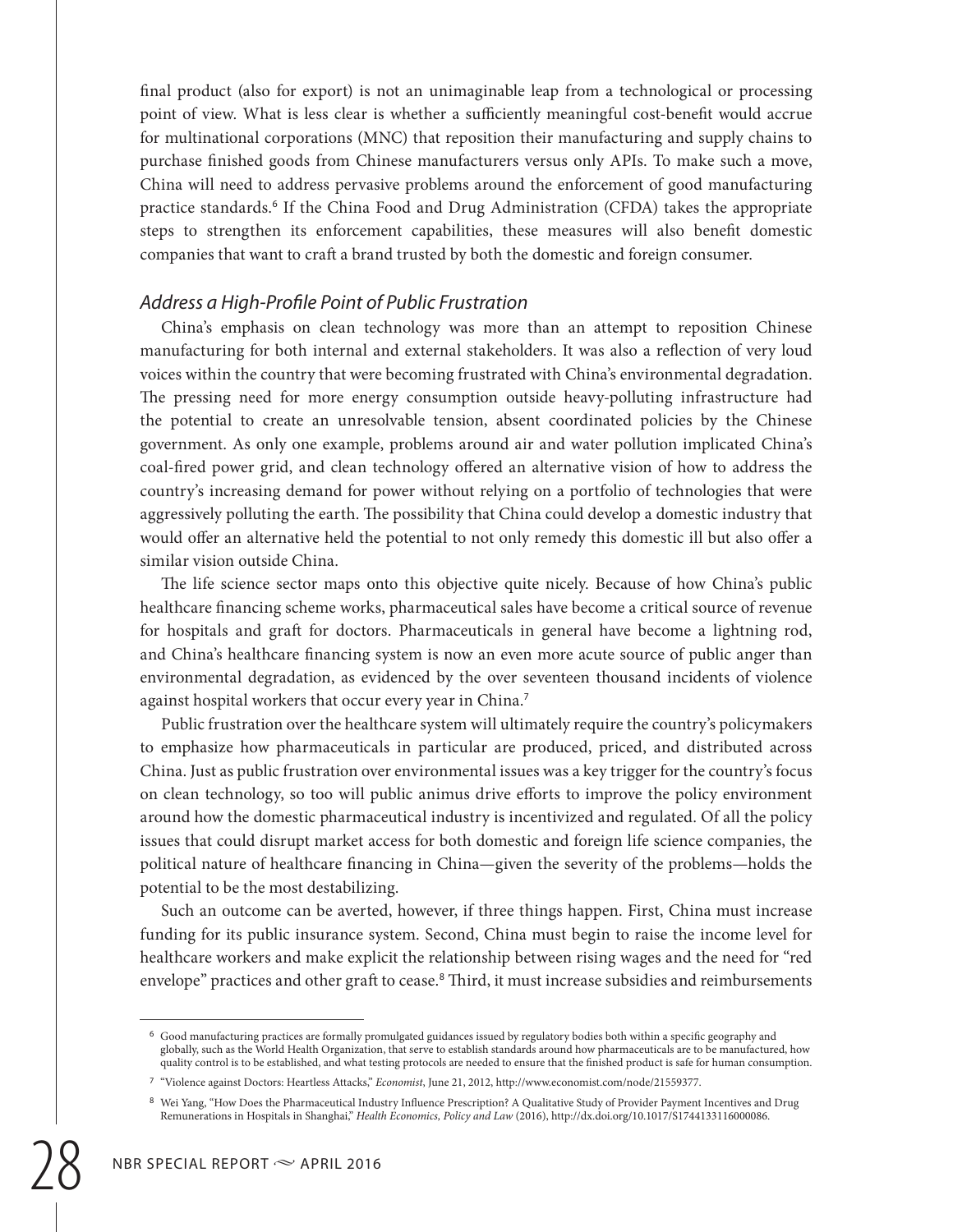final product (also for export) is not an unimaginable leap from a technological or processing point of view. What is less clear is whether a sufficiently meaningful cost-benefit would accrue for multinational corporations (MNC) that reposition their manufacturing and supply chains to purchase finished goods from Chinese manufacturers versus only APIs. To make such a move, China will need to address pervasive problems around the enforcement of good manufacturing practice standards.<sup>6</sup> If the China Food and Drug Administration (CFDA) takes the appropriate steps to strengthen its enforcement capabilities, these measures will also benefit domestic companies that want to craft a brand trusted by both the domestic and foreign consumer.

#### *Address a High-Profile Point of Public Frustration*

China's emphasis on clean technology was more than an attempt to reposition Chinese manufacturing for both internal and external stakeholders. It was also a reflection of very loud voices within the country that were becoming frustrated with China's environmental degradation. The pressing need for more energy consumption outside heavy-polluting infrastructure had the potential to create an unresolvable tension, absent coordinated policies by the Chinese government. As only one example, problems around air and water pollution implicated China's coal-fired power grid, and clean technology offered an alternative vision of how to address the country's increasing demand for power without relying on a portfolio of technologies that were aggressively polluting the earth. The possibility that China could develop a domestic industry that would offer an alternative held the potential to not only remedy this domestic ill but also offer a similar vision outside China.

The life science sector maps onto this objective quite nicely. Because of how China's public healthcare financing scheme works, pharmaceutical sales have become a critical source of revenue for hospitals and graft for doctors. Pharmaceuticals in general have become a lightning rod, and China's healthcare financing system is now an even more acute source of public anger than environmental degradation, as evidenced by the over seventeen thousand incidents of violence against hospital workers that occur every year in China.<sup>7</sup>

Public frustration over the healthcare system will ultimately require the country's policymakers to emphasize how pharmaceuticals in particular are produced, priced, and distributed across China. Just as public frustration over environmental issues was a key trigger for the country's focus on clean technology, so too will public animus drive efforts to improve the policy environment around how the domestic pharmaceutical industry is incentivized and regulated. Of all the policy issues that could disrupt market access for both domestic and foreign life science companies, the political nature of healthcare financing in China—given the severity of the problems—holds the potential to be the most destabilizing.

Such an outcome can be averted, however, if three things happen. First, China must increase funding for its public insurance system. Second, China must begin to raise the income level for healthcare workers and make explicit the relationship between rising wages and the need for "red envelope" practices and other graft to cease.<sup>8</sup> Third, it must increase subsidies and reimbursements

<sup>6</sup> Good manufacturing practices are formally promulgated guidances issued by regulatory bodies both within a specific geography and globally, such as the World Health Organization, that serve to establish standards around how pharmaceuticals are to be manufactured, how quality control is to be established, and what testing protocols are needed to ensure that the finished product is safe for human consumption.

<sup>7</sup> "Violence against Doctors: Heartless Attacks," *Economist*, June 21, 2012, http://www.economist.com/node/21559377.

<sup>8</sup> Wei Yang, "How Does the Pharmaceutical Industry Influence Prescription? A Qualitative Study of Provider Payment Incentives and Drug Remunerations in Hospitals in Shanghai," *Health Economics, Policy and Law* (2016), http://dx.doi.org/10.1017/S1744133116000086.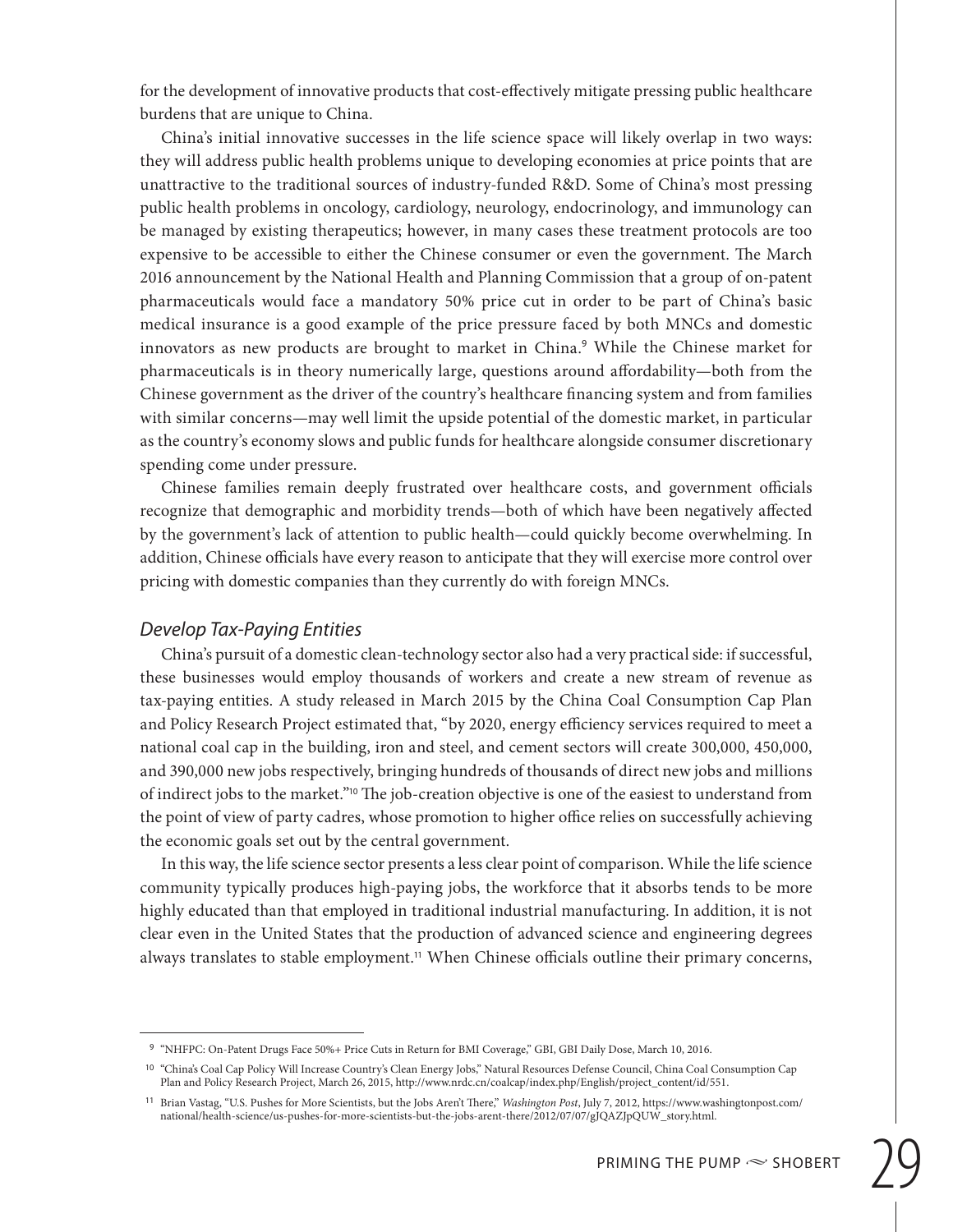for the development of innovative products that cost-effectively mitigate pressing public healthcare burdens that are unique to China.

China's initial innovative successes in the life science space will likely overlap in two ways: they will address public health problems unique to developing economies at price points that are unattractive to the traditional sources of industry-funded R&D. Some of China's most pressing public health problems in oncology, cardiology, neurology, endocrinology, and immunology can be managed by existing therapeutics; however, in many cases these treatment protocols are too expensive to be accessible to either the Chinese consumer or even the government. The March 2016 announcement by the National Health and Planning Commission that a group of on-patent pharmaceuticals would face a mandatory 50% price cut in order to be part of China's basic medical insurance is a good example of the price pressure faced by both MNCs and domestic innovators as new products are brought to market in China.<sup>9</sup> While the Chinese market for pharmaceuticals is in theory numerically large, questions around affordability—both from the Chinese government as the driver of the country's healthcare financing system and from families with similar concerns—may well limit the upside potential of the domestic market, in particular as the country's economy slows and public funds for healthcare alongside consumer discretionary spending come under pressure.

Chinese families remain deeply frustrated over healthcare costs, and government officials recognize that demographic and morbidity trends—both of which have been negatively affected by the government's lack of attention to public health—could quickly become overwhelming. In addition, Chinese officials have every reason to anticipate that they will exercise more control over pricing with domestic companies than they currently do with foreign MNCs.

#### *Develop Tax-Paying Entities*

China's pursuit of a domestic clean-technology sector also had a very practical side: if successful, these businesses would employ thousands of workers and create a new stream of revenue as tax-paying entities. A study released in March 2015 by the China Coal Consumption Cap Plan and Policy Research Project estimated that, "by 2020, energy efficiency services required to meet a national coal cap in the building, iron and steel, and cement sectors will create 300,000, 450,000, and 390,000 new jobs respectively, bringing hundreds of thousands of direct new jobs and millions of indirect jobs to the market."<sup>10</sup> The job-creation objective is one of the easiest to understand from the point of view of party cadres, whose promotion to higher office relies on successfully achieving the economic goals set out by the central government.

In this way, the life science sector presents a less clear point of comparison. While the life science community typically produces high-paying jobs, the workforce that it absorbs tends to be more highly educated than that employed in traditional industrial manufacturing. In addition, it is not clear even in the United States that the production of advanced science and engineering degrees always translates to stable employment.<sup>11</sup> When Chinese officials outline their primary concerns,

<sup>9</sup> "NHFPC: On-Patent Drugs Face 50%+ Price Cuts in Return for BMI Coverage," GBI, GBI Daily Dose, March 10, 2016.

<sup>10</sup> "China's Coal Cap Policy Will Increase Country's Clean Energy Jobs," Natural Resources Defense Council, China Coal Consumption Cap Plan and Policy Research Project, March 26, 2015, http://www.nrdc.cn/coalcap/index.php/English/project\_content/id/551.

<sup>11</sup> Brian Vastag, "U.S. Pushes for More Scientists, but the Jobs Aren't There," *Washington Post*, July 7, 2012, https://www.washingtonpost.com/ national/health-science/us-pushes-for-more-scientists-but-the-jobs-arent-there/2012/07/07/gJQAZJpQUW\_story.html.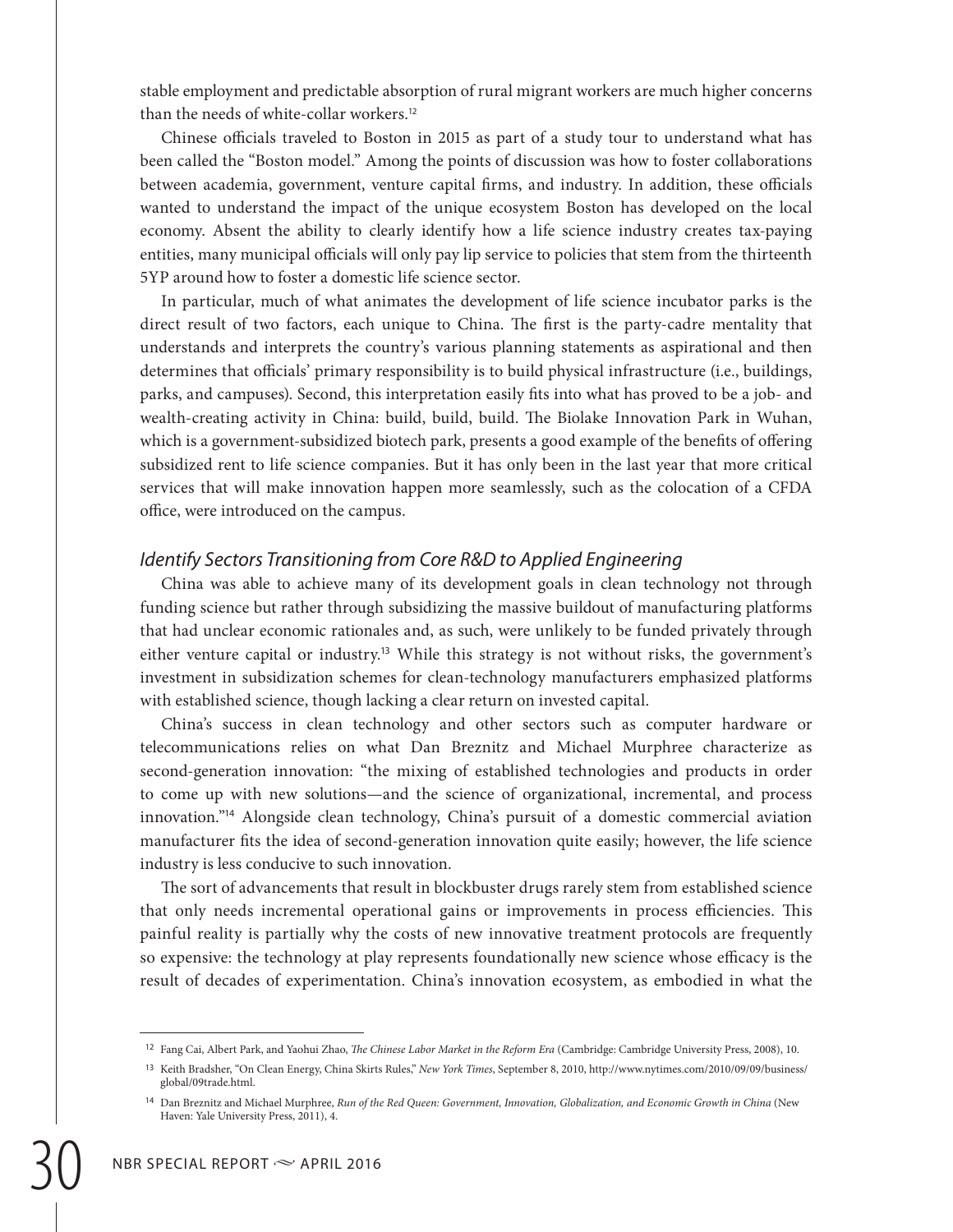stable employment and predictable absorption of rural migrant workers are much higher concerns than the needs of white-collar workers.<sup>12</sup>

Chinese officials traveled to Boston in 2015 as part of a study tour to understand what has been called the "Boston model." Among the points of discussion was how to foster collaborations between academia, government, venture capital firms, and industry. In addition, these officials wanted to understand the impact of the unique ecosystem Boston has developed on the local economy. Absent the ability to clearly identify how a life science industry creates tax-paying entities, many municipal officials will only pay lip service to policies that stem from the thirteenth 5YP around how to foster a domestic life science sector.

In particular, much of what animates the development of life science incubator parks is the direct result of two factors, each unique to China. The first is the party-cadre mentality that understands and interprets the country's various planning statements as aspirational and then determines that officials' primary responsibility is to build physical infrastructure (i.e., buildings, parks, and campuses). Second, this interpretation easily fits into what has proved to be a job- and wealth-creating activity in China: build, build, build. The Biolake Innovation Park in Wuhan, which is a government-subsidized biotech park, presents a good example of the benefits of offering subsidized rent to life science companies. But it has only been in the last year that more critical services that will make innovation happen more seamlessly, such as the colocation of a CFDA office, were introduced on the campus.

#### *Identify Sectors Transitioning from Core R&D to Applied Engineering*

China was able to achieve many of its development goals in clean technology not through funding science but rather through subsidizing the massive buildout of manufacturing platforms that had unclear economic rationales and, as such, were unlikely to be funded privately through either venture capital or industry.<sup>13</sup> While this strategy is not without risks, the government's investment in subsidization schemes for clean-technology manufacturers emphasized platforms with established science, though lacking a clear return on invested capital.

China's success in clean technology and other sectors such as computer hardware or telecommunications relies on what Dan Breznitz and Michael Murphree characterize as second-generation innovation: "the mixing of established technologies and products in order to come up with new solutions—and the science of organizational, incremental, and process innovation."<sup>14</sup> Alongside clean technology, China's pursuit of a domestic commercial aviation manufacturer fits the idea of second-generation innovation quite easily; however, the life science industry is less conducive to such innovation.

The sort of advancements that result in blockbuster drugs rarely stem from established science that only needs incremental operational gains or improvements in process efficiencies. This painful reality is partially why the costs of new innovative treatment protocols are frequently so expensive: the technology at play represents foundationally new science whose efficacy is the result of decades of experimentation. China's innovation ecosystem, as embodied in what the

<sup>12</sup> Fang Cai, Albert Park, and Yaohui Zhao, *The Chinese Labor Market in the Reform Era* (Cambridge: Cambridge University Press, 2008), 10.

<sup>13</sup> Keith Bradsher, "On Clean Energy, China Skirts Rules," *New York Times*, September 8, 2010, http://www.nytimes.com/2010/09/09/business/ global/09trade.html.

<sup>14</sup> Dan Breznitz and Michael Murphree, *Run of the Red Queen: Government, Innovation, Globalization, and Economic Growth in China* (New Haven: Yale University Press, 2011), 4.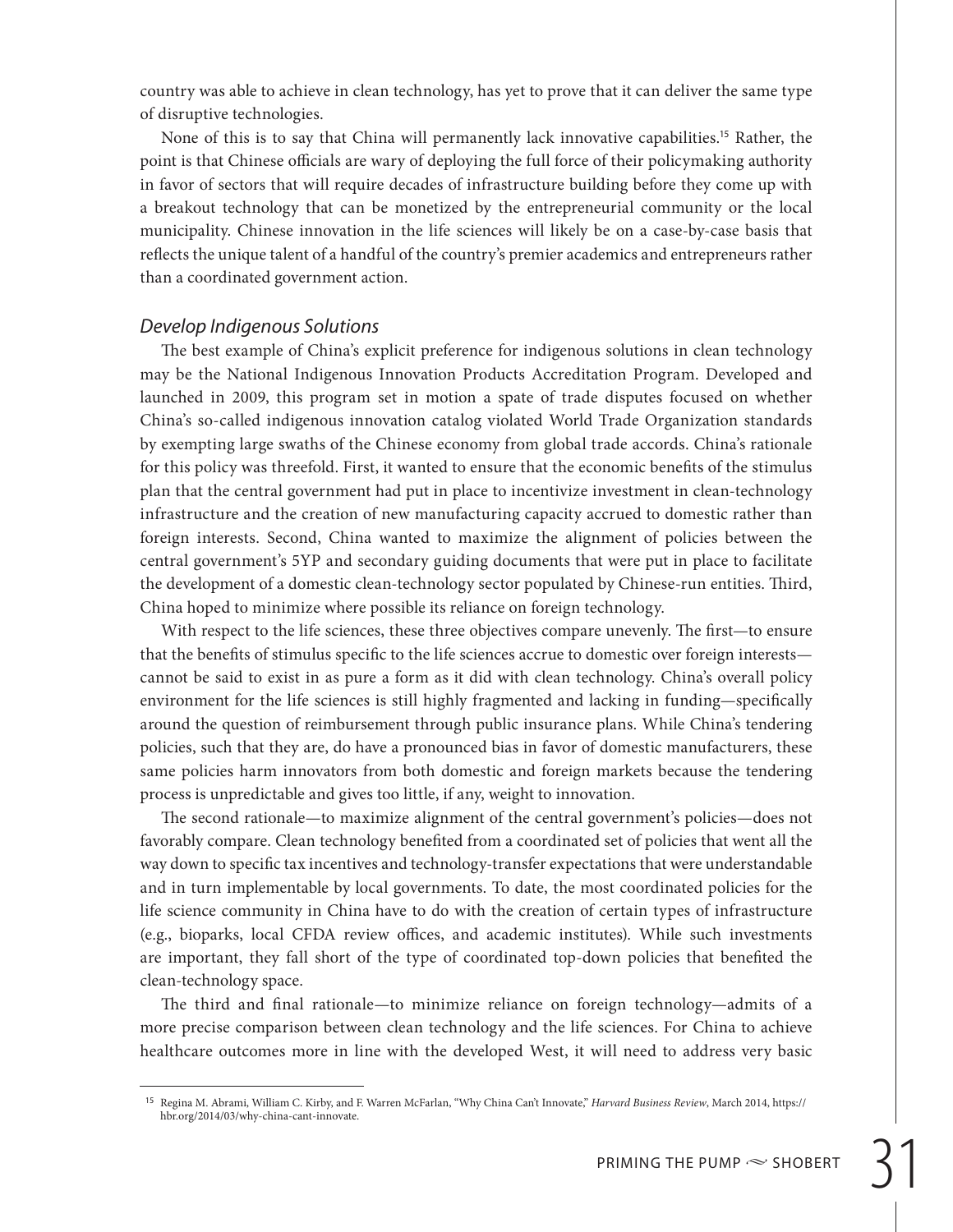country was able to achieve in clean technology, has yet to prove that it can deliver the same type of disruptive technologies.

None of this is to say that China will permanently lack innovative capabilities.<sup>15</sup> Rather, the point is that Chinese officials are wary of deploying the full force of their policymaking authority in favor of sectors that will require decades of infrastructure building before they come up with a breakout technology that can be monetized by the entrepreneurial community or the local municipality. Chinese innovation in the life sciences will likely be on a case-by-case basis that reflects the unique talent of a handful of the country's premier academics and entrepreneurs rather than a coordinated government action.

#### *Develop Indigenous Solutions*

The best example of China's explicit preference for indigenous solutions in clean technology may be the National Indigenous Innovation Products Accreditation Program. Developed and launched in 2009, this program set in motion a spate of trade disputes focused on whether China's so-called indigenous innovation catalog violated World Trade Organization standards by exempting large swaths of the Chinese economy from global trade accords. China's rationale for this policy was threefold. First, it wanted to ensure that the economic benefits of the stimulus plan that the central government had put in place to incentivize investment in clean-technology infrastructure and the creation of new manufacturing capacity accrued to domestic rather than foreign interests. Second, China wanted to maximize the alignment of policies between the central government's 5YP and secondary guiding documents that were put in place to facilitate the development of a domestic clean-technology sector populated by Chinese-run entities. Third, China hoped to minimize where possible its reliance on foreign technology.

With respect to the life sciences, these three objectives compare unevenly. The first—to ensure that the benefits of stimulus specific to the life sciences accrue to domestic over foreign interests cannot be said to exist in as pure a form as it did with clean technology. China's overall policy environment for the life sciences is still highly fragmented and lacking in funding—specifically around the question of reimbursement through public insurance plans. While China's tendering policies, such that they are, do have a pronounced bias in favor of domestic manufacturers, these same policies harm innovators from both domestic and foreign markets because the tendering process is unpredictable and gives too little, if any, weight to innovation.

The second rationale—to maximize alignment of the central government's policies—does not favorably compare. Clean technology benefited from a coordinated set of policies that went all the way down to specific tax incentives and technology-transfer expectations that were understandable and in turn implementable by local governments. To date, the most coordinated policies for the life science community in China have to do with the creation of certain types of infrastructure (e.g., bioparks, local CFDA review offices, and academic institutes). While such investments are important, they fall short of the type of coordinated top-down policies that benefited the clean-technology space.

The third and final rationale—to minimize reliance on foreign technology—admits of a more precise comparison between clean technology and the life sciences. For China to achieve healthcare outcomes more in line with the developed West, it will need to address very basic

<sup>15</sup> Regina M. Abrami, William C. Kirby, and F. Warren McFarlan, "Why China Can't Innovate," *Harvard Business Review*, March 2014, https:// hbr.org/2014/03/why-china-cant-innovate.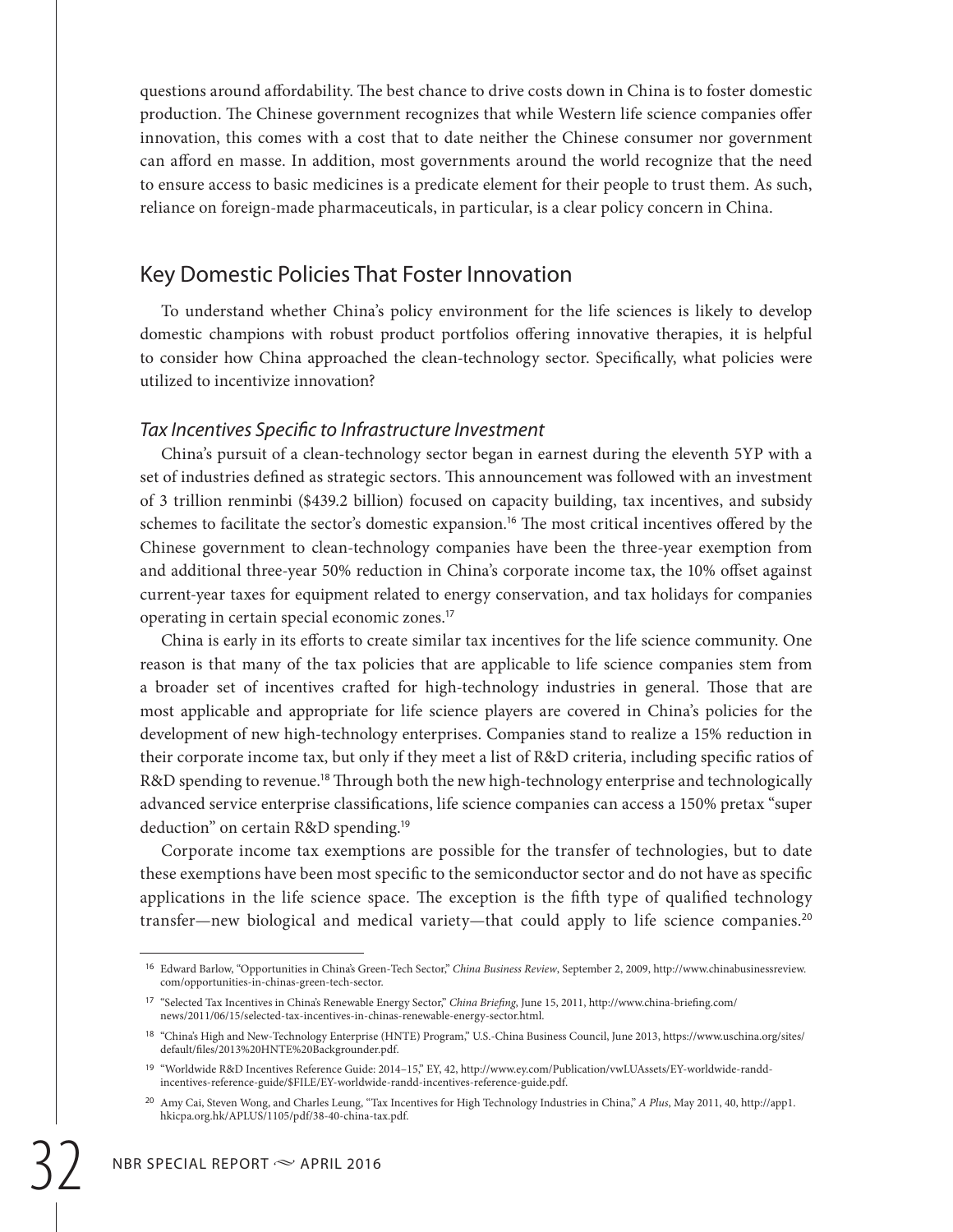questions around affordability. The best chance to drive costs down in China is to foster domestic production. The Chinese government recognizes that while Western life science companies offer innovation, this comes with a cost that to date neither the Chinese consumer nor government can afford en masse. In addition, most governments around the world recognize that the need to ensure access to basic medicines is a predicate element for their people to trust them. As such, reliance on foreign-made pharmaceuticals, in particular, is a clear policy concern in China.

#### Key Domestic Policies That Foster Innovation

To understand whether China's policy environment for the life sciences is likely to develop domestic champions with robust product portfolios offering innovative therapies, it is helpful to consider how China approached the clean-technology sector. Specifically, what policies were utilized to incentivize innovation?

#### *Tax Incentives Specific to Infrastructure Investment*

China's pursuit of a clean-technology sector began in earnest during the eleventh 5YP with a set of industries defined as strategic sectors. This announcement was followed with an investment of 3 trillion renminbi (\$439.2 billion) focused on capacity building, tax incentives, and subsidy schemes to facilitate the sector's domestic expansion.<sup>16</sup> The most critical incentives offered by the Chinese government to clean-technology companies have been the three-year exemption from and additional three-year 50% reduction in China's corporate income tax, the 10% offset against current-year taxes for equipment related to energy conservation, and tax holidays for companies operating in certain special economic zones.<sup>17</sup>

China is early in its efforts to create similar tax incentives for the life science community. One reason is that many of the tax policies that are applicable to life science companies stem from a broader set of incentives crafted for high-technology industries in general. Those that are most applicable and appropriate for life science players are covered in China's policies for the development of new high-technology enterprises. Companies stand to realize a 15% reduction in their corporate income tax, but only if they meet a list of R&D criteria, including specific ratios of R&D spending to revenue.<sup>18</sup> Through both the new high-technology enterprise and technologically advanced service enterprise classifications, life science companies can access a 150% pretax "super deduction" on certain R&D spending.<sup>19</sup>

Corporate income tax exemptions are possible for the transfer of technologies, but to date these exemptions have been most specific to the semiconductor sector and do not have as specific applications in the life science space. The exception is the fifth type of qualified technology transfer—new biological and medical variety—that could apply to life science companies.<sup>20</sup>

<sup>16</sup> Edward Barlow, "Opportunities in China's Green-Tech Sector," *China Business Review*, September 2, 2009, http://www.chinabusinessreview. com/opportunities-in-chinas-green-tech-sector.

<sup>17</sup> "Selected Tax Incentives in China's Renewable Energy Sector," *China Briefing*, June 15, 2011, http://www.china-briefing.com/ news/2011/06/15/selected-tax-incentives-in-chinas-renewable-energy-sector.html.

<sup>18</sup> "China's High and New-Technology Enterprise (HNTE) Program," U.S.-China Business Council, June 2013, https://www.uschina.org/sites/ default/files/2013%20HNTE%20Backgrounder.pdf.

<sup>19</sup> "Worldwide R&D Incentives Reference Guide: 2014–15," EY, 42, http://www.ey.com/Publication/vwLUAssets/EY-worldwide-randdincentives-reference-guide/\$FILE/EY-worldwide-randd-incentives-reference-guide.pdf.

<sup>20</sup> Amy Cai, Steven Wong, and Charles Leung, "Tax Incentives for High Technology Industries in China," *A Plus*, May 2011, 40, http://app1. hkicpa.org.hk/APLUS/1105/pdf/38-40-china-tax.pdf.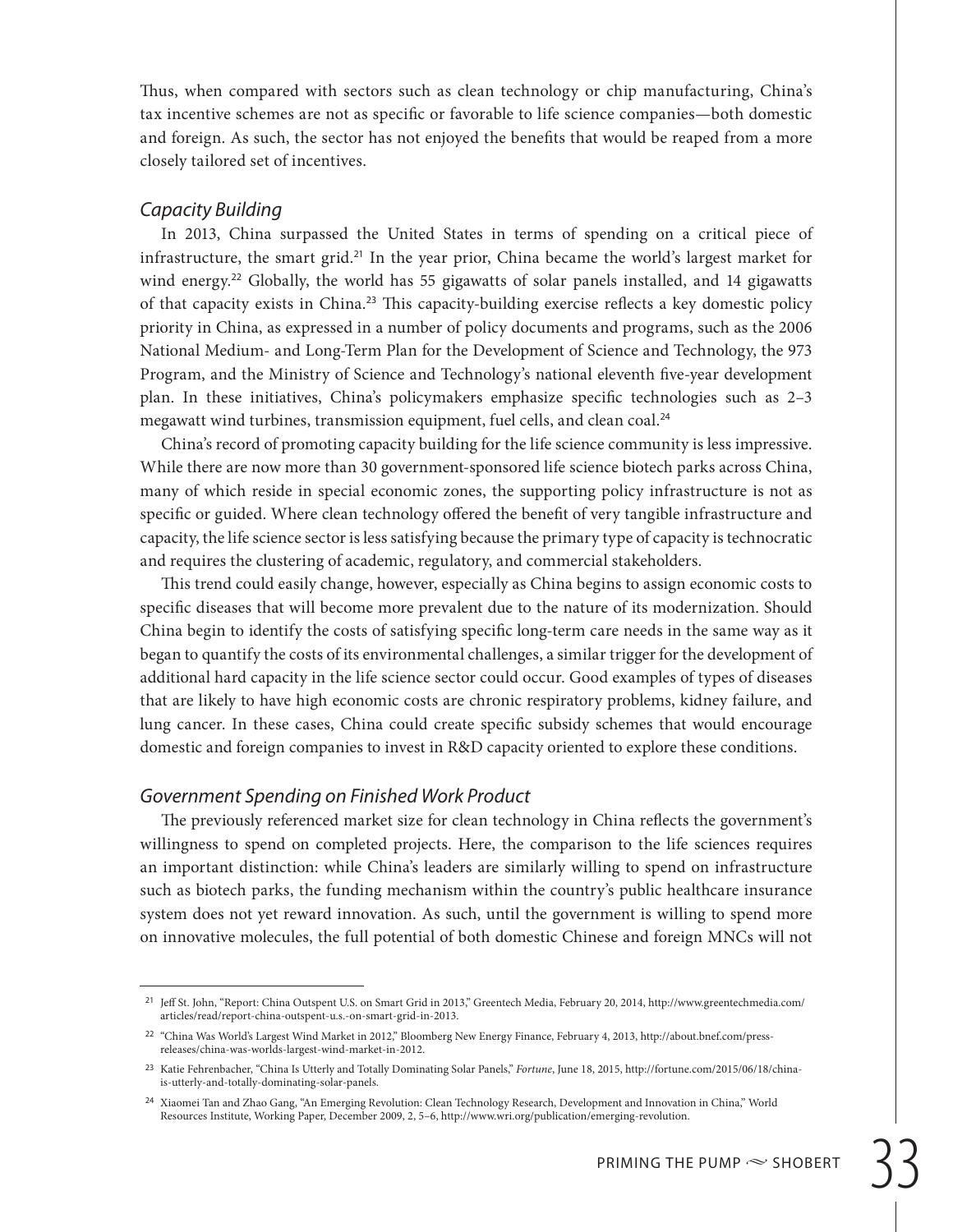Thus, when compared with sectors such as clean technology or chip manufacturing, China's tax incentive schemes are not as specific or favorable to life science companies—both domestic and foreign. As such, the sector has not enjoyed the benefits that would be reaped from a more closely tailored set of incentives.

#### *Capacity Building*

In 2013, China surpassed the United States in terms of spending on a critical piece of infrastructure, the smart grid.<sup>21</sup> In the year prior, China became the world's largest market for wind energy.<sup>22</sup> Globally, the world has 55 gigawatts of solar panels installed, and 14 gigawatts of that capacity exists in China.<sup>23</sup> This capacity-building exercise reflects a key domestic policy priority in China, as expressed in a number of policy documents and programs, such as the 2006 National Medium- and Long-Term Plan for the Development of Science and Technology, the 973 Program, and the Ministry of Science and Technology's national eleventh five-year development plan. In these initiatives, China's policymakers emphasize specific technologies such as 2–3 megawatt wind turbines, transmission equipment, fuel cells, and clean coal.<sup>24</sup>

China's record of promoting capacity building for the life science community is less impressive. While there are now more than 30 government-sponsored life science biotech parks across China, many of which reside in special economic zones, the supporting policy infrastructure is not as specific or guided. Where clean technology offered the benefit of very tangible infrastructure and capacity, the life science sector is less satisfying because the primary type of capacity is technocratic and requires the clustering of academic, regulatory, and commercial stakeholders.

This trend could easily change, however, especially as China begins to assign economic costs to specific diseases that will become more prevalent due to the nature of its modernization. Should China begin to identify the costs of satisfying specific long-term care needs in the same way as it began to quantify the costs of its environmental challenges, a similar trigger for the development of additional hard capacity in the life science sector could occur. Good examples of types of diseases that are likely to have high economic costs are chronic respiratory problems, kidney failure, and lung cancer. In these cases, China could create specific subsidy schemes that would encourage domestic and foreign companies to invest in R&D capacity oriented to explore these conditions.

#### *Government Spending on Finished Work Product*

The previously referenced market size for clean technology in China reflects the government's willingness to spend on completed projects. Here, the comparison to the life sciences requires an important distinction: while China's leaders are similarly willing to spend on infrastructure such as biotech parks, the funding mechanism within the country's public healthcare insurance system does not yet reward innovation. As such, until the government is willing to spend more on innovative molecules, the full potential of both domestic Chinese and foreign MNCs will not

<sup>21</sup> Jeff St. John, "Report: China Outspent U.S. on Smart Grid in 2013," Greentech Media, February 20, 2014, http://www.greentechmedia.com/ articles/read/report-china-outspent-u.s.-on-smart-grid-in-2013.

<sup>22</sup> "China Was World's Largest Wind Market in 2012," Bloomberg New Energy Finance, February 4, 2013, http://about.bnef.com/pressreleases/china-was-worlds-largest-wind-market-in-2012.

<sup>23</sup> Katie Fehrenbacher, "China Is Utterly and Totally Dominating Solar Panels," *Fortune*, June 18, 2015, http://fortune.com/2015/06/18/chinais-utterly-and-totally-dominating-solar-panels.

<sup>24</sup> Xiaomei Tan and Zhao Gang, "An Emerging Revolution: Clean Technology Research, Development and Innovation in China," World Resources Institute, Working Paper, December 2009, 2, 5–6, http://www.wri.org/publication/emerging-revolution.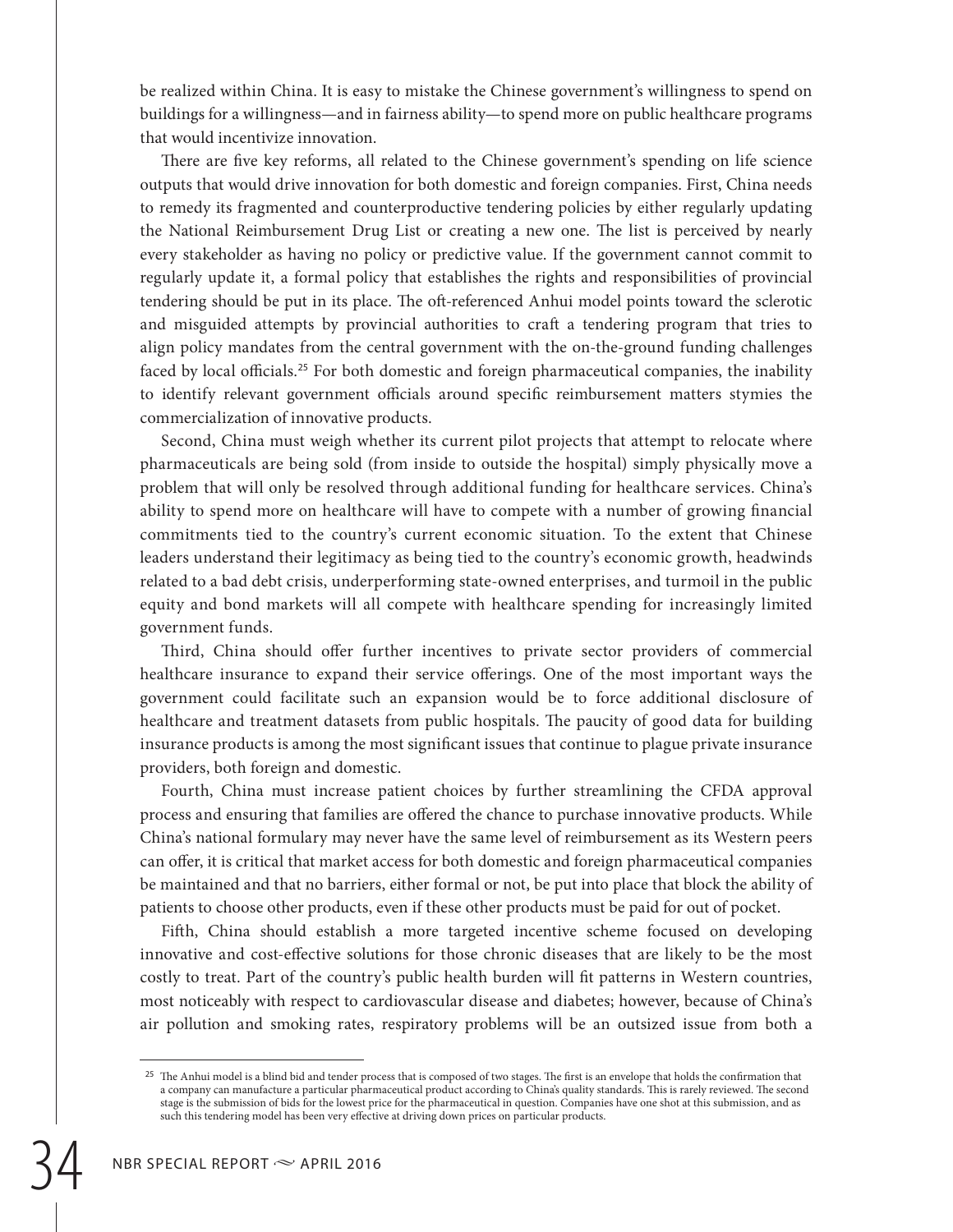be realized within China. It is easy to mistake the Chinese government's willingness to spend on buildings for a willingness—and in fairness ability—to spend more on public healthcare programs that would incentivize innovation.

There are five key reforms, all related to the Chinese government's spending on life science outputs that would drive innovation for both domestic and foreign companies. First, China needs to remedy its fragmented and counterproductive tendering policies by either regularly updating the National Reimbursement Drug List or creating a new one. The list is perceived by nearly every stakeholder as having no policy or predictive value. If the government cannot commit to regularly update it, a formal policy that establishes the rights and responsibilities of provincial tendering should be put in its place. The oft-referenced Anhui model points toward the sclerotic and misguided attempts by provincial authorities to craft a tendering program that tries to align policy mandates from the central government with the on-the-ground funding challenges faced by local officials.<sup>25</sup> For both domestic and foreign pharmaceutical companies, the inability to identify relevant government officials around specific reimbursement matters stymies the commercialization of innovative products.

Second, China must weigh whether its current pilot projects that attempt to relocate where pharmaceuticals are being sold (from inside to outside the hospital) simply physically move a problem that will only be resolved through additional funding for healthcare services. China's ability to spend more on healthcare will have to compete with a number of growing financial commitments tied to the country's current economic situation. To the extent that Chinese leaders understand their legitimacy as being tied to the country's economic growth, headwinds related to a bad debt crisis, underperforming state-owned enterprises, and turmoil in the public equity and bond markets will all compete with healthcare spending for increasingly limited government funds.

Third, China should offer further incentives to private sector providers of commercial healthcare insurance to expand their service offerings. One of the most important ways the government could facilitate such an expansion would be to force additional disclosure of healthcare and treatment datasets from public hospitals. The paucity of good data for building insurance products is among the most significant issues that continue to plague private insurance providers, both foreign and domestic.

Fourth, China must increase patient choices by further streamlining the CFDA approval process and ensuring that families are offered the chance to purchase innovative products. While China's national formulary may never have the same level of reimbursement as its Western peers can offer, it is critical that market access for both domestic and foreign pharmaceutical companies be maintained and that no barriers, either formal or not, be put into place that block the ability of patients to choose other products, even if these other products must be paid for out of pocket.

Fifth, China should establish a more targeted incentive scheme focused on developing innovative and cost-effective solutions for those chronic diseases that are likely to be the most costly to treat. Part of the country's public health burden will fit patterns in Western countries, most noticeably with respect to cardiovascular disease and diabetes; however, because of China's air pollution and smoking rates, respiratory problems will be an outsized issue from both a

<sup>&</sup>lt;sup>25</sup> The Anhui model is a blind bid and tender process that is composed of two stages. The first is an envelope that holds the confirmation that a company can manufacture a particular pharmaceutical product according to China's quality standards. This is rarely reviewed. The second stage is the submission of bids for the lowest price for the pharmaceutical in question. Companies have one shot at this submission, and as such this tendering model has been very effective at driving down prices on particular products.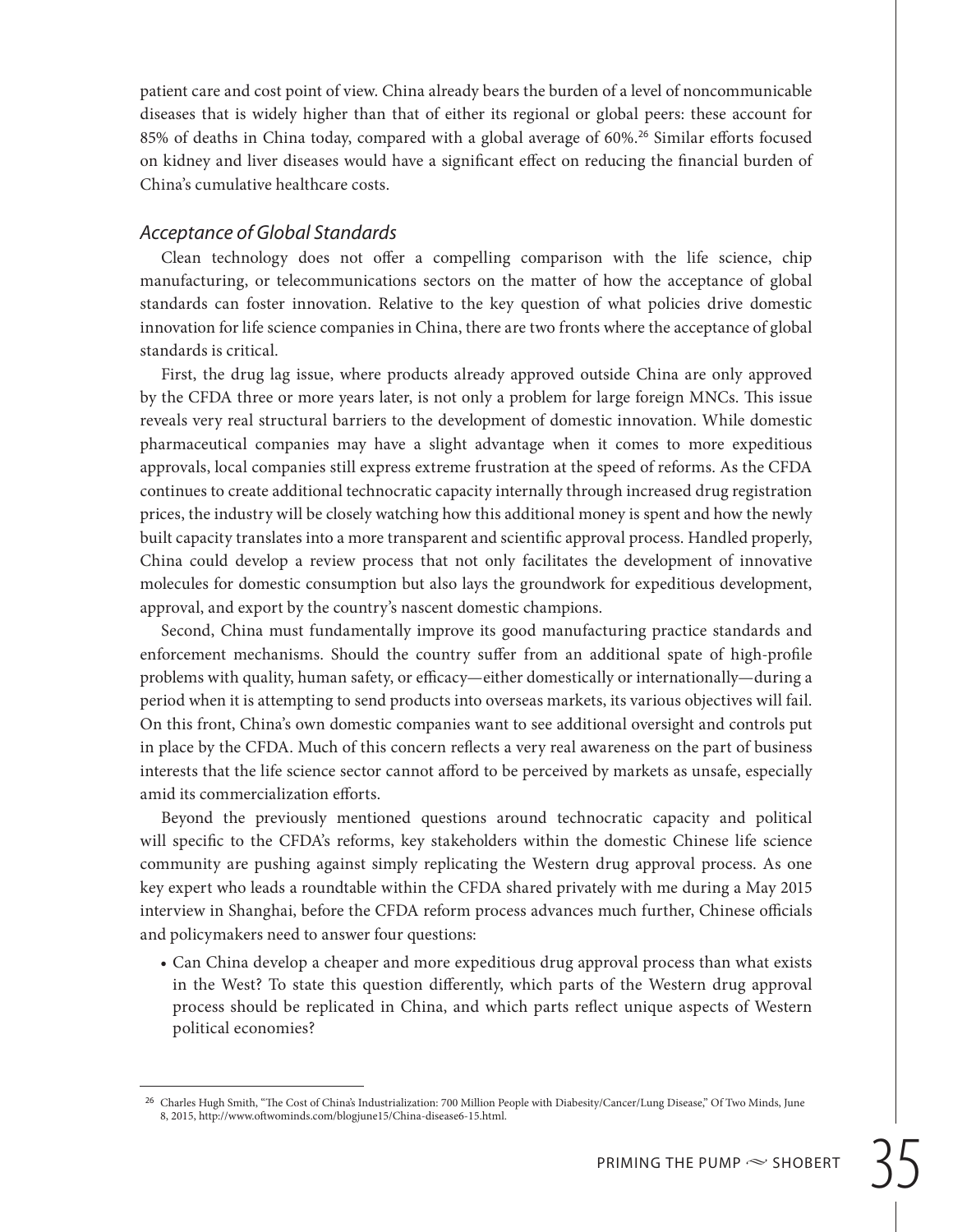patient care and cost point of view. China already bears the burden of a level of noncommunicable diseases that is widely higher than that of either its regional or global peers: these account for 85% of deaths in China today, compared with a global average of 60%.<sup>26</sup> Similar efforts focused on kidney and liver diseases would have a significant effect on reducing the financial burden of China's cumulative healthcare costs.

#### *Acceptance of Global Standards*

Clean technology does not offer a compelling comparison with the life science, chip manufacturing, or telecommunications sectors on the matter of how the acceptance of global standards can foster innovation. Relative to the key question of what policies drive domestic innovation for life science companies in China, there are two fronts where the acceptance of global standards is critical.

First, the drug lag issue, where products already approved outside China are only approved by the CFDA three or more years later, is not only a problem for large foreign MNCs. This issue reveals very real structural barriers to the development of domestic innovation. While domestic pharmaceutical companies may have a slight advantage when it comes to more expeditious approvals, local companies still express extreme frustration at the speed of reforms. As the CFDA continues to create additional technocratic capacity internally through increased drug registration prices, the industry will be closely watching how this additional money is spent and how the newly built capacity translates into a more transparent and scientific approval process. Handled properly, China could develop a review process that not only facilitates the development of innovative molecules for domestic consumption but also lays the groundwork for expeditious development, approval, and export by the country's nascent domestic champions.

Second, China must fundamentally improve its good manufacturing practice standards and enforcement mechanisms. Should the country suffer from an additional spate of high-profile problems with quality, human safety, or efficacy—either domestically or internationally—during a period when it is attempting to send products into overseas markets, its various objectives will fail. On this front, China's own domestic companies want to see additional oversight and controls put in place by the CFDA. Much of this concern reflects a very real awareness on the part of business interests that the life science sector cannot afford to be perceived by markets as unsafe, especially amid its commercialization efforts.

Beyond the previously mentioned questions around technocratic capacity and political will specific to the CFDA's reforms, key stakeholders within the domestic Chinese life science community are pushing against simply replicating the Western drug approval process. As one key expert who leads a roundtable within the CFDA shared privately with me during a May 2015 interview in Shanghai, before the CFDA reform process advances much further, Chinese officials and policymakers need to answer four questions:

• Can China develop a cheaper and more expeditious drug approval process than what exists in the West? To state this question differently, which parts of the Western drug approval process should be replicated in China, and which parts reflect unique aspects of Western political economies?

<sup>26</sup> Charles Hugh Smith, "The Cost of China's Industrialization: 700 Million People with Diabesity/Cancer/Lung Disease," Of Two Minds, June 8, 2015, http://www.oftwominds.com/blogjune15/China-disease6-15.html.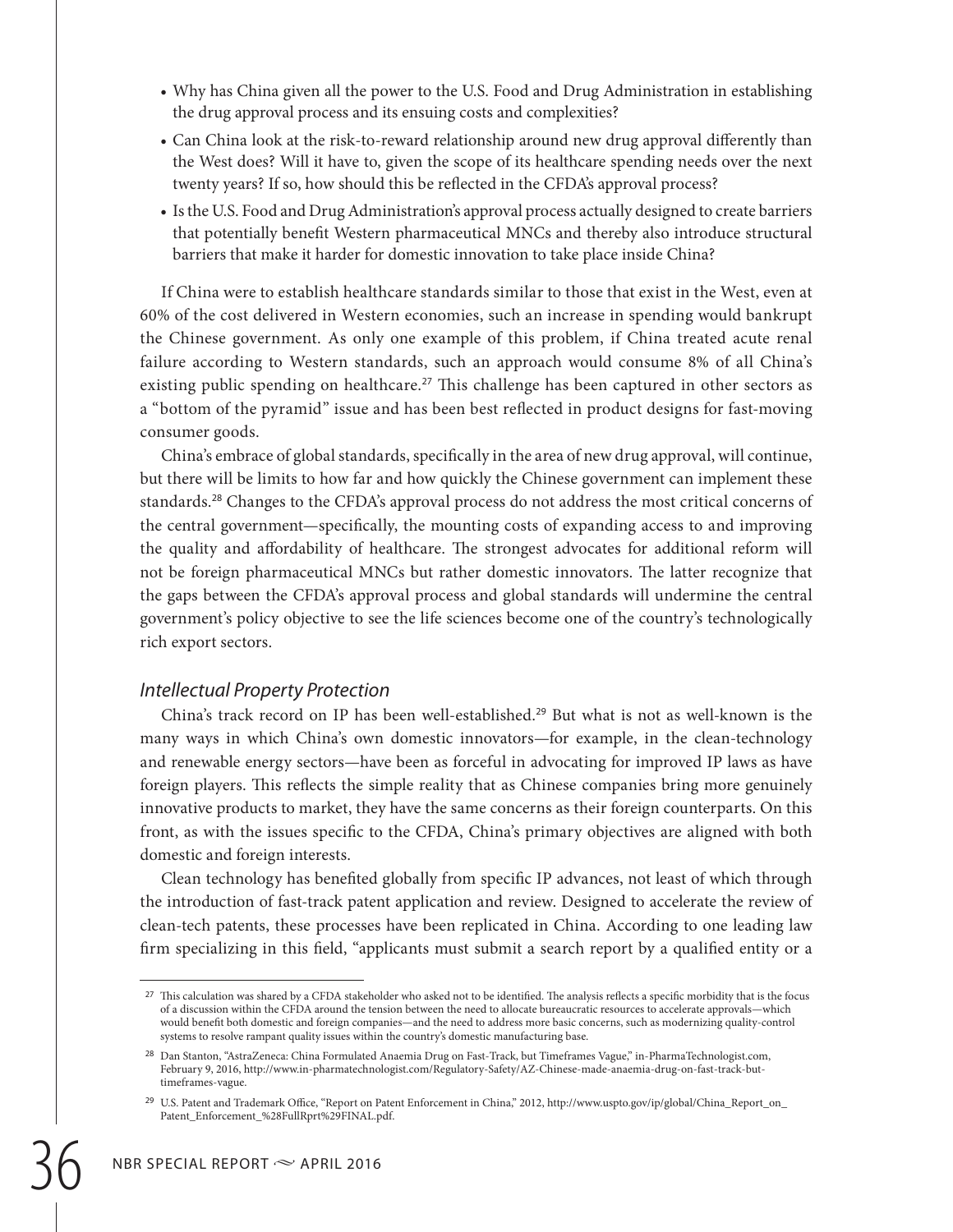- Why has China given all the power to the U.S. Food and Drug Administration in establishing the drug approval process and its ensuing costs and complexities?
- Can China look at the risk-to-reward relationship around new drug approval differently than the West does? Will it have to, given the scope of its healthcare spending needs over the next twenty years? If so, how should this be reflected in the CFDA's approval process?
- Is the U.S. Food and Drug Administration's approval process actually designed to create barriers that potentially benefit Western pharmaceutical MNCs and thereby also introduce structural barriers that make it harder for domestic innovation to take place inside China?

If China were to establish healthcare standards similar to those that exist in the West, even at 60% of the cost delivered in Western economies, such an increase in spending would bankrupt the Chinese government. As only one example of this problem, if China treated acute renal failure according to Western standards, such an approach would consume 8% of all China's existing public spending on healthcare.<sup>27</sup> This challenge has been captured in other sectors as a "bottom of the pyramid" issue and has been best reflected in product designs for fast-moving consumer goods.

China's embrace of global standards, specifically in the area of new drug approval, will continue, but there will be limits to how far and how quickly the Chinese government can implement these standards.<sup>28</sup> Changes to the CFDA's approval process do not address the most critical concerns of the central government—specifically, the mounting costs of expanding access to and improving the quality and affordability of healthcare. The strongest advocates for additional reform will not be foreign pharmaceutical MNCs but rather domestic innovators. The latter recognize that the gaps between the CFDA's approval process and global standards will undermine the central government's policy objective to see the life sciences become one of the country's technologically rich export sectors.

#### *Intellectual Property Protection*

China's track record on IP has been well-established.<sup>29</sup> But what is not as well-known is the many ways in which China's own domestic innovators—for example, in the clean-technology and renewable energy sectors—have been as forceful in advocating for improved IP laws as have foreign players. This reflects the simple reality that as Chinese companies bring more genuinely innovative products to market, they have the same concerns as their foreign counterparts. On this front, as with the issues specific to the CFDA, China's primary objectives are aligned with both domestic and foreign interests.

Clean technology has benefited globally from specific IP advances, not least of which through the introduction of fast-track patent application and review. Designed to accelerate the review of clean-tech patents, these processes have been replicated in China. According to one leading law firm specializing in this field, "applicants must submit a search report by a qualified entity or a

<sup>&</sup>lt;sup>27</sup> This calculation was shared by a CFDA stakeholder who asked not to be identified. The analysis reflects a specific morbidity that is the focus of a discussion within the CFDA around the tension between the need to allocate bureaucratic resources to accelerate approvals—which would benefit both domestic and foreign companies—and the need to address more basic concerns, such as modernizing quality-control systems to resolve rampant quality issues within the country's domestic manufacturing base.

<sup>28</sup> Dan Stanton, "AstraZeneca: China Formulated Anaemia Drug on Fast-Track, but Timeframes Vague," in-PharmaTechnologist.com, February 9, 2016, http://www.in-pharmatechnologist.com/Regulatory-Safety/AZ-Chinese-made-anaemia-drug-on-fast-track-buttimeframes-vague.

<sup>29</sup> U.S. Patent and Trademark Office, "Report on Patent Enforcement in China," 2012, http://www.uspto.gov/ip/global/China\_Report\_on\_ Patent\_Enforcement\_%28FullRprt%29FINAL.pdf.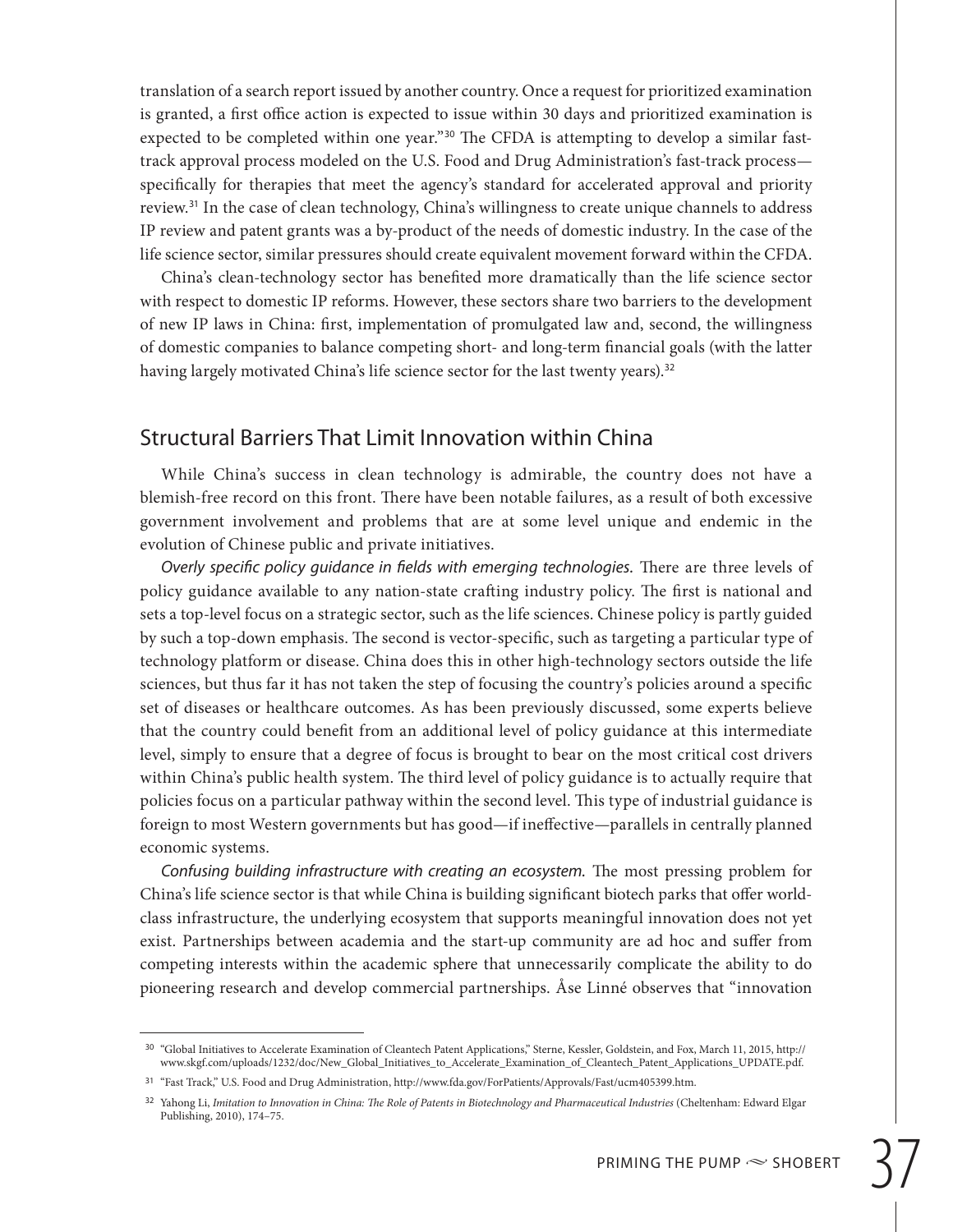translation of a search report issued by another country. Once a request for prioritized examination is granted, a first office action is expected to issue within 30 days and prioritized examination is expected to be completed within one year."<sup>30</sup> The CFDA is attempting to develop a similar fasttrack approval process modeled on the U.S. Food and Drug Administration's fast-track process specifically for therapies that meet the agency's standard for accelerated approval and priority review.<sup>31</sup> In the case of clean technology, China's willingness to create unique channels to address IP review and patent grants was a by-product of the needs of domestic industry. In the case of the life science sector, similar pressures should create equivalent movement forward within the CFDA.

China's clean-technology sector has benefited more dramatically than the life science sector with respect to domestic IP reforms. However, these sectors share two barriers to the development of new IP laws in China: first, implementation of promulgated law and, second, the willingness of domestic companies to balance competing short- and long-term financial goals (with the latter having largely motivated China's life science sector for the last twenty years).<sup>32</sup>

#### Structural Barriers That Limit Innovation within China

While China's success in clean technology is admirable, the country does not have a blemish-free record on this front. There have been notable failures, as a result of both excessive government involvement and problems that are at some level unique and endemic in the evolution of Chinese public and private initiatives.

*Overly specific policy guidance in fields with emerging technologies.* There are three levels of policy guidance available to any nation-state crafting industry policy. The first is national and sets a top-level focus on a strategic sector, such as the life sciences. Chinese policy is partly guided by such a top-down emphasis. The second is vector-specific, such as targeting a particular type of technology platform or disease. China does this in other high-technology sectors outside the life sciences, but thus far it has not taken the step of focusing the country's policies around a specific set of diseases or healthcare outcomes. As has been previously discussed, some experts believe that the country could benefit from an additional level of policy guidance at this intermediate level, simply to ensure that a degree of focus is brought to bear on the most critical cost drivers within China's public health system. The third level of policy guidance is to actually require that policies focus on a particular pathway within the second level. This type of industrial guidance is foreign to most Western governments but has good—if ineffective—parallels in centrally planned economic systems.

*Confusing building infrastructure with creating an ecosystem.* The most pressing problem for China's life science sector is that while China is building significant biotech parks that offer worldclass infrastructure, the underlying ecosystem that supports meaningful innovation does not yet exist. Partnerships between academia and the start-up community are ad hoc and suffer from competing interests within the academic sphere that unnecessarily complicate the ability to do pioneering research and develop commercial partnerships. Åse Linné observes that "innovation

<sup>&</sup>lt;sup>30</sup> "Global Initiatives to Accelerate Examination of Cleantech Patent Applications," Sterne, Kessler, Goldstein, and Fox, March 11, 2015, http:// www.skgf.com/uploads/1232/doc/New\_Global\_Initiatives\_to\_Accelerate\_Examination\_of\_Cleantech\_Patent\_Applications\_UPDATE.pdf.

<sup>31</sup> "Fast Track," U.S. Food and Drug Administration, http://www.fda.gov/ForPatients/Approvals/Fast/ucm405399.htm.

<sup>32</sup> Yahong Li, *Imitation to Innovation in China: The Role of Patents in Biotechnology and Pharmaceutical Industries* (Cheltenham: Edward Elgar Publishing, 2010), 174–75.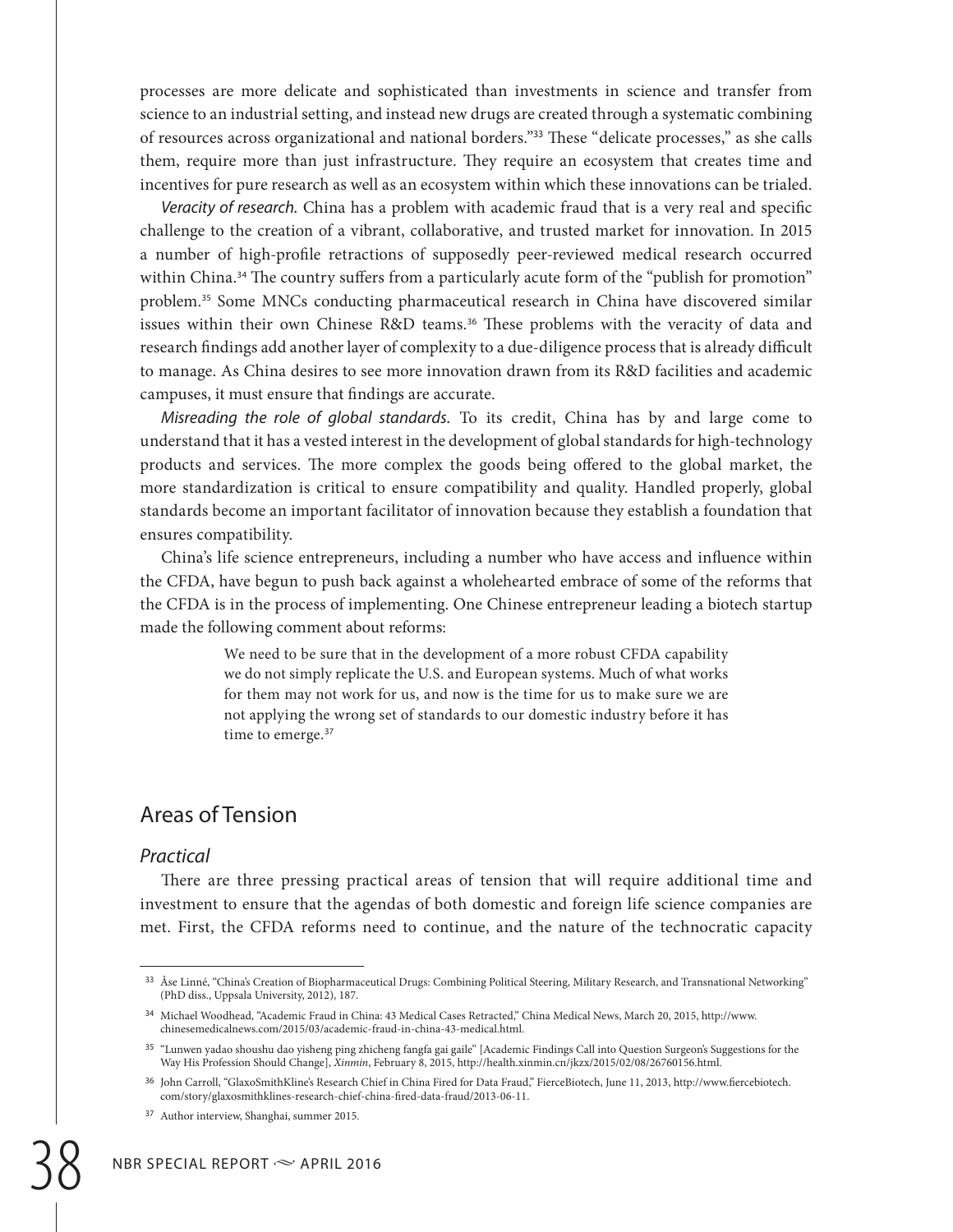processes are more delicate and sophisticated than investments in science and transfer from science to an industrial setting, and instead new drugs are created through a systematic combining of resources across organizational and national borders."<sup>33</sup> These "delicate processes," as she calls them, require more than just infrastructure. They require an ecosystem that creates time and incentives for pure research as well as an ecosystem within which these innovations can be trialed.

*Veracity of research.* China has a problem with academic fraud that is a very real and specific challenge to the creation of a vibrant, collaborative, and trusted market for innovation. In 2015 a number of high-profile retractions of supposedly peer-reviewed medical research occurred within China.<sup>34</sup> The country suffers from a particularly acute form of the "publish for promotion" problem.35 Some MNCs conducting pharmaceutical research in China have discovered similar issues within their own Chinese R&D teams.<sup>36</sup> These problems with the veracity of data and research findings add another layer of complexity to a due-diligence process that is already difficult to manage. As China desires to see more innovation drawn from its R&D facilities and academic campuses, it must ensure that findings are accurate.

*Misreading the role of global standards.* To its credit, China has by and large come to understand that it has a vested interest in the development of global standards for high-technology products and services. The more complex the goods being offered to the global market, the more standardization is critical to ensure compatibility and quality. Handled properly, global standards become an important facilitator of innovation because they establish a foundation that ensures compatibility.

China's life science entrepreneurs, including a number who have access and influence within the CFDA, have begun to push back against a wholehearted embrace of some of the reforms that the CFDA is in the process of implementing. One Chinese entrepreneur leading a biotech startup made the following comment about reforms:

> We need to be sure that in the development of a more robust CFDA capability we do not simply replicate the U.S. and European systems. Much of what works for them may not work for us, and now is the time for us to make sure we are not applying the wrong set of standards to our domestic industry before it has time to emerge.<sup>37</sup>

#### Areas of Tension

#### *Practical*

There are three pressing practical areas of tension that will require additional time and investment to ensure that the agendas of both domestic and foreign life science companies are met. First, the CFDA reforms need to continue, and the nature of the technocratic capacity

<sup>33</sup> Åse Linné, "China's Creation of Biopharmaceutical Drugs: Combining Political Steering, Military Research, and Transnational Networking" (PhD diss., Uppsala University, 2012), 187.

<sup>34</sup> Michael Woodhead, "Academic Fraud in China: 43 Medical Cases Retracted," China Medical News, March 20, 2015, http://www. chinesemedicalnews.com/2015/03/academic-fraud-in-china-43-medical.html.

<sup>35</sup> "Lunwen yadao shoushu dao yisheng ping zhicheng fangfa gai gaile" [Academic Findings Call into Question Surgeon's Suggestions for the Way His Profession Should Change], *Xinmin*, February 8, 2015, http://health.xinmin.cn/jkzx/2015/02/08/26760156.html.

<sup>36</sup> John Carroll, "GlaxoSmithKline's Research Chief in China Fired for Data Fraud," FierceBiotech, June 11, 2013, http://www.fiercebiotech. com/story/glaxosmithklines-research-chief-china-fired-data-fraud/2013-06-11.

<sup>37</sup> Author interview, Shanghai, summer 2015.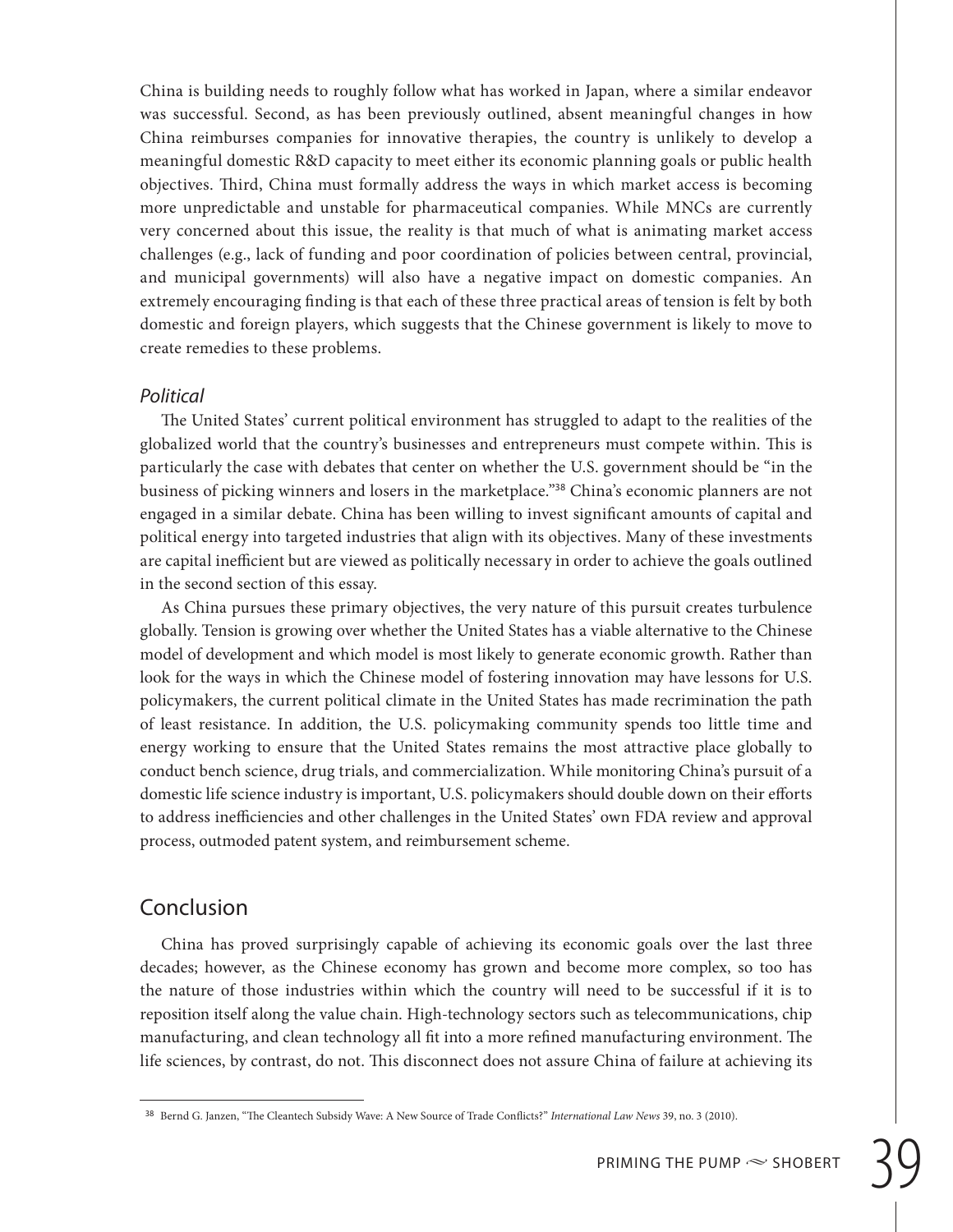China is building needs to roughly follow what has worked in Japan, where a similar endeavor was successful. Second, as has been previously outlined, absent meaningful changes in how China reimburses companies for innovative therapies, the country is unlikely to develop a meaningful domestic R&D capacity to meet either its economic planning goals or public health objectives. Third, China must formally address the ways in which market access is becoming more unpredictable and unstable for pharmaceutical companies. While MNCs are currently very concerned about this issue, the reality is that much of what is animating market access challenges (e.g., lack of funding and poor coordination of policies between central, provincial, and municipal governments) will also have a negative impact on domestic companies. An extremely encouraging finding is that each of these three practical areas of tension is felt by both domestic and foreign players, which suggests that the Chinese government is likely to move to create remedies to these problems.

#### *Political*

The United States' current political environment has struggled to adapt to the realities of the globalized world that the country's businesses and entrepreneurs must compete within. This is particularly the case with debates that center on whether the U.S. government should be "in the business of picking winners and losers in the marketplace."<sup>38</sup> China's economic planners are not engaged in a similar debate. China has been willing to invest significant amounts of capital and political energy into targeted industries that align with its objectives. Many of these investments are capital inefficient but are viewed as politically necessary in order to achieve the goals outlined in the second section of this essay.

As China pursues these primary objectives, the very nature of this pursuit creates turbulence globally. Tension is growing over whether the United States has a viable alternative to the Chinese model of development and which model is most likely to generate economic growth. Rather than look for the ways in which the Chinese model of fostering innovation may have lessons for U.S. policymakers, the current political climate in the United States has made recrimination the path of least resistance. In addition, the U.S. policymaking community spends too little time and energy working to ensure that the United States remains the most attractive place globally to conduct bench science, drug trials, and commercialization. While monitoring China's pursuit of a domestic life science industry is important, U.S. policymakers should double down on their efforts to address inefficiencies and other challenges in the United States' own FDA review and approval process, outmoded patent system, and reimbursement scheme.

#### Conclusion

China has proved surprisingly capable of achieving its economic goals over the last three decades; however, as the Chinese economy has grown and become more complex, so too has the nature of those industries within which the country will need to be successful if it is to reposition itself along the value chain. High-technology sectors such as telecommunications, chip manufacturing, and clean technology all fit into a more refined manufacturing environment. The life sciences, by contrast, do not. This disconnect does not assure China of failure at achieving its

<sup>38</sup> Bernd G. Janzen, "The Cleantech Subsidy Wave: A New Source of Trade Conflicts?" *International Law News* 39, no. 3 (2010).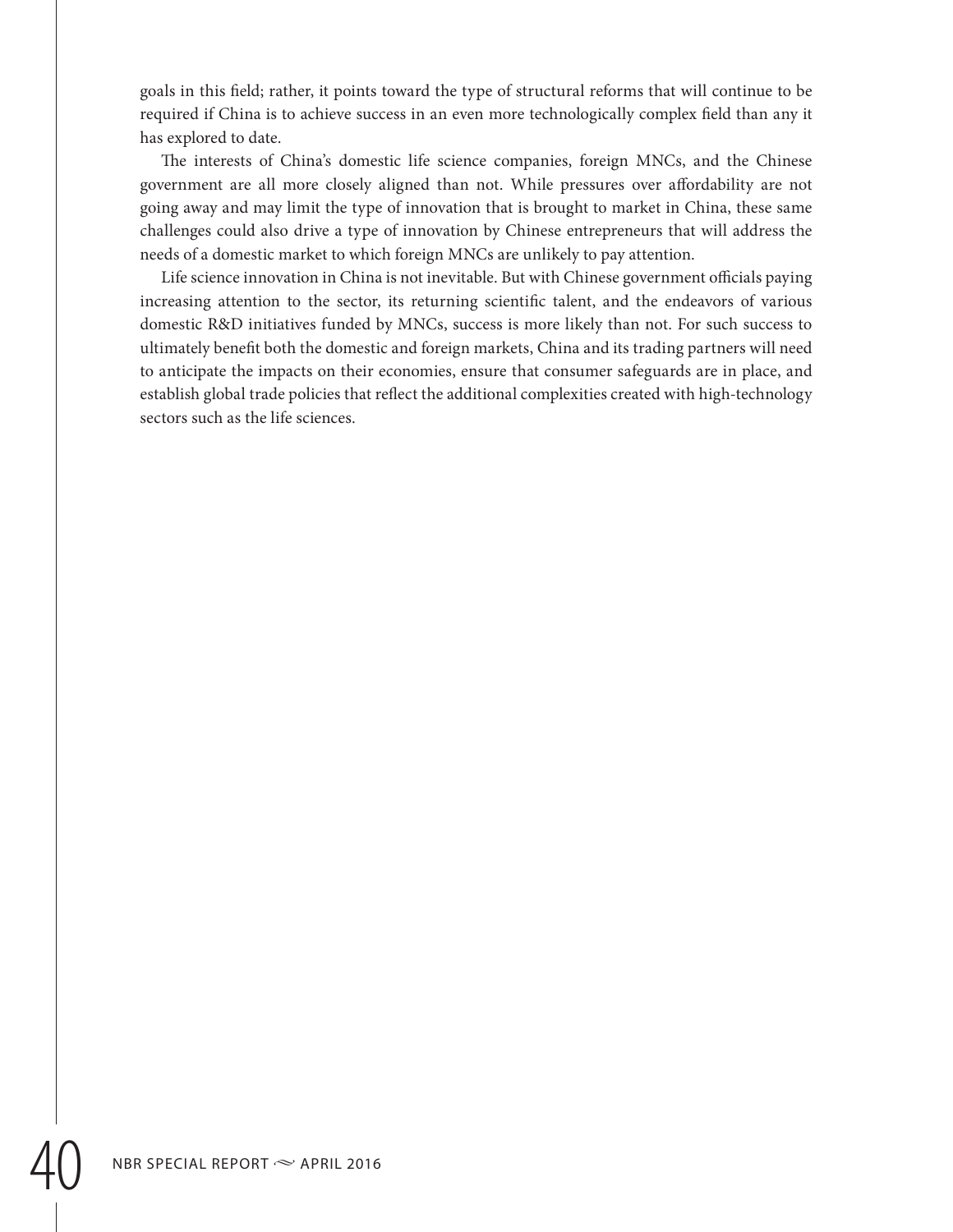goals in this field; rather, it points toward the type of structural reforms that will continue to be required if China is to achieve success in an even more technologically complex field than any it has explored to date.

The interests of China's domestic life science companies, foreign MNCs, and the Chinese government are all more closely aligned than not. While pressures over affordability are not going away and may limit the type of innovation that is brought to market in China, these same challenges could also drive a type of innovation by Chinese entrepreneurs that will address the needs of a domestic market to which foreign MNCs are unlikely to pay attention.

Life science innovation in China is not inevitable. But with Chinese government officials paying increasing attention to the sector, its returning scientific talent, and the endeavors of various domestic R&D initiatives funded by MNCs, success is more likely than not. For such success to ultimately benefit both the domestic and foreign markets, China and its trading partners will need to anticipate the impacts on their economies, ensure that consumer safeguards are in place, and establish global trade policies that reflect the additional complexities created with high-technology sectors such as the life sciences.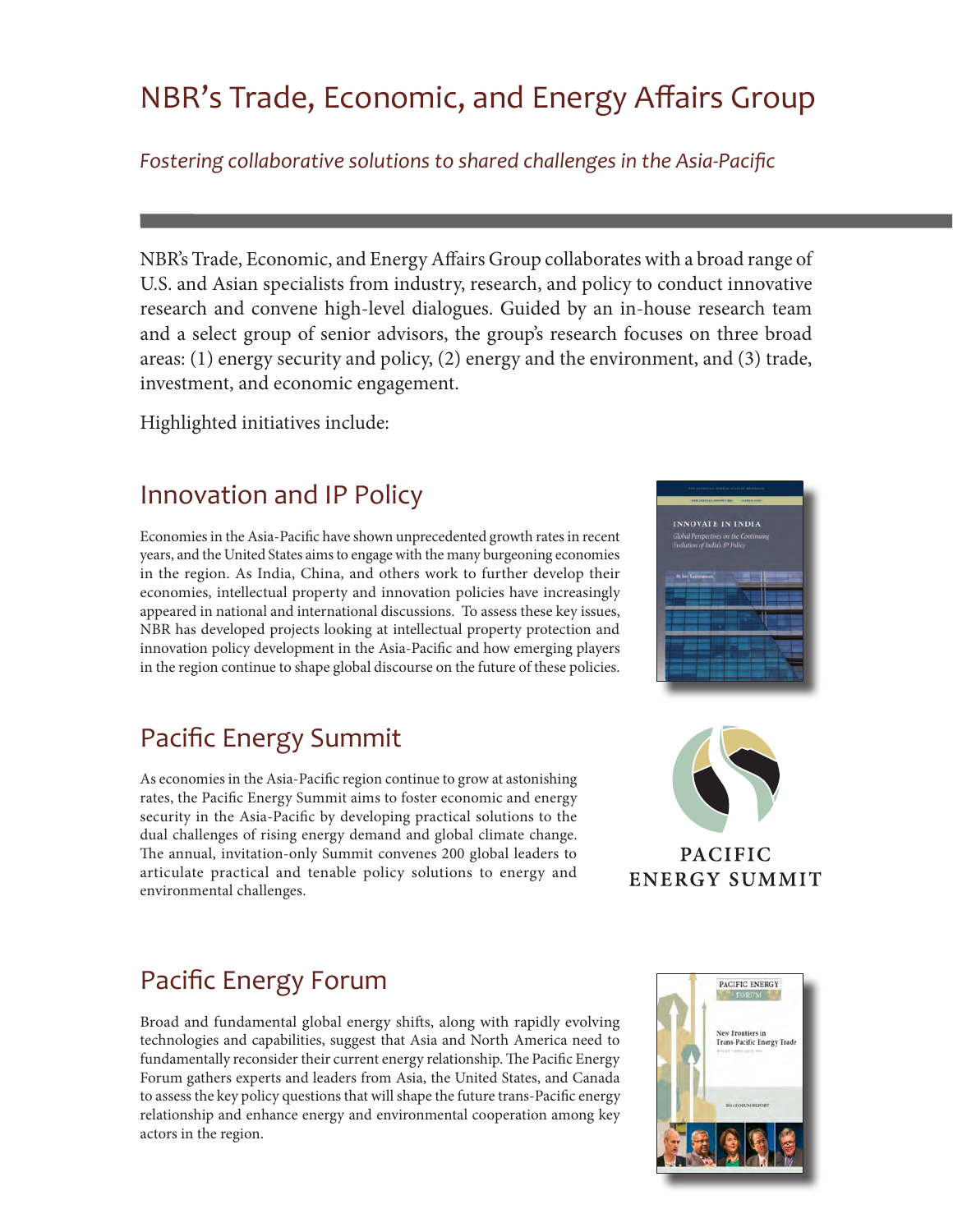## NBR's Trade, Economic, and Energy Affairs Group

*Fostering collaborative solutions to shared challenges in the Asia-Pacific* 

NBR's Trade, Economic, and Energy Affairs Group collaborates with a broad range of U.S. and Asian specialists from industry, research, and policy to conduct innovative research and convene high-level dialogues. Guided by an in-house research team and a select group of senior advisors, the group's research focuses on three broad areas: (1) energy security and policy, (2) energy and the environment, and (3) trade, investment, and economic engagement.

Highlighted initiatives include:

### Innovation and IP Policy

Economies in the Asia-Pacific have shown unprecedented growth rates in recent years, and the United States aims to engage with the many burgeoning economies in the region. As India, China, and others work to further develop their economies, intellectual property and innovation policies have increasingly appeared in national and international discussions. To assess these key issues, NBR has developed projects looking at intellectual property protection and innovation policy development in the Asia-Pacific and how emerging players in the region continue to shape global discourse on the future of these policies.

## Pacific Energy Summit

As economies in the Asia-Pacific region continue to grow at astonishing rates, the Pacific Energy Summit aims to foster economic and energy security in the Asia-Pacific by developing practical solutions to the dual challenges of rising energy demand and global climate change. The annual, invitation-only Summit convenes 200 global leaders to articulate practical and tenable policy solutions to energy and environmental challenges.

## Pacific Energy Forum

Broad and fundamental global energy shifts, along with rapidly evolving technologies and capabilities, suggest that Asia and North America need to fundamentally reconsider their current energy relationship. The Pacific Energy Forum gathers experts and leaders from Asia, the United States, and Canada to assess the key policy questions that will shape the future trans-Pacific energy relationship and enhance energy and environmental cooperation among key actors in the region.







**PACIFIC ENERGY SUMMIT**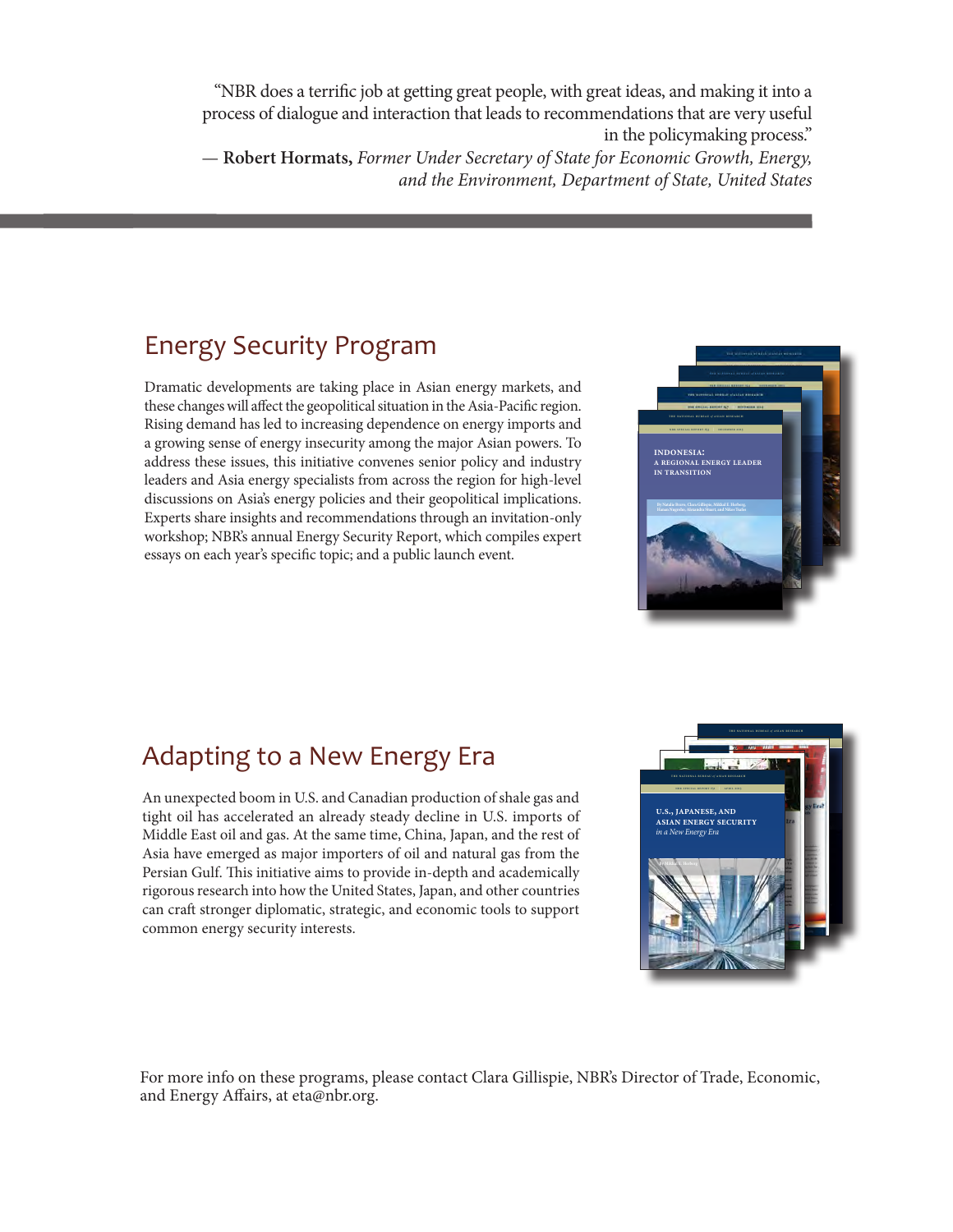"NBR does a terrific job at getting great people, with great ideas, and making it into a process of dialogue and interaction that leads to recommendations that are very useful in the policymaking process."

— **Robert Hormats,** *Former Under Secretary of State for Economic Growth, Energy, and the Environment, Department of State, United States*

## Energy Security Program

Dramatic developments are taking place in Asian energy markets, and these changes will affect the geopolitical situation in the Asia-Pacific region. Rising demand has led to increasing dependence on energy imports and a growing sense of energy insecurity among the major Asian powers. To address these issues, this initiative convenes senior policy and industry leaders and Asia energy specialists from across the region for high-level discussions on Asia's energy policies and their geopolitical implications. Experts share insights and recommendations through an invitation-only workshop; NBR's annual Energy Security Report, which compiles expert essays on each year's specific topic; and a public launch event.



## Adapting to a New Energy Era

An unexpected boom in U.S. and Canadian production of shale gas and tight oil has accelerated an already steady decline in U.S. imports of Middle East oil and gas. At the same time, China, Japan, and the rest of Asia have emerged as major importers of oil and natural gas from the Persian Gulf. This initiative aims to provide in-depth and academically rigorous research into how the United States, Japan, and other countries can craft stronger diplomatic, strategic, and economic tools to support common energy security interests.

For more info on these programs, please contact Clara Gillispie, NBR's Director of Trade, Economic, and Energy Affairs, at eta@nbr.org.